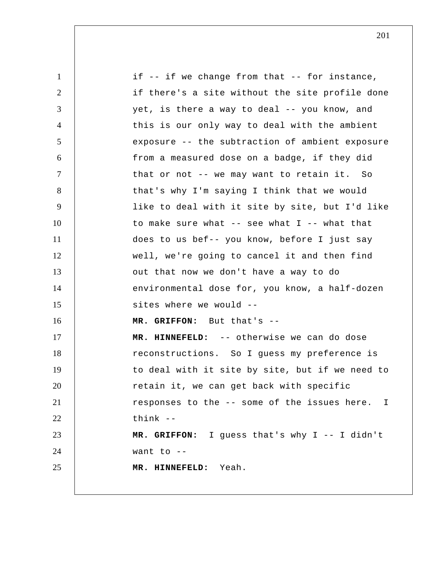1 2 3 4 5 6 7 8 9 10 11 12 13 14 15 16 17 18 19 20 21 22 23 24 25 if -- if we change from that -- for instance, if there's a site without the site profile done yet, is there a way to deal -- you know, and this is our only way to deal with the ambient exposure -- the subtraction of ambient exposure from a measured dose on a badge, if they did that or not -- we may want to retain it. So that's why I'm saying I think that we would like to deal with it site by site, but I'd like to make sure what  $--$  see what I  $--$  what that does to us bef-- you know, before I just say well, we're going to cancel it and then find out that now we don't have a way to do environmental dose for, you know, a half-dozen sites where we would --  **MR. GRIFFON:** But that's --  **MR. HINNEFELD:** -- otherwise we can do dose reconstructions. So I guess my preference is to deal with it site by site, but if we need to retain it, we can get back with specific responses to the -- some of the issues here. think --  **MR. GRIFFON:** I guess that's why I -- I didn't want to --  **MR. HINNEFELD:** Yeah. I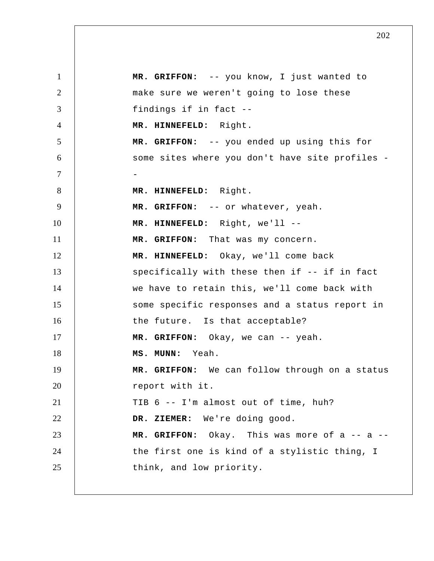1 2 3 4 5 6 7 8 9 10 11 12 13 14 15 16 17 18 19 20 21 22 23 24 25  **MR. GRIFFON:** -- you know, I just wanted to make sure we weren't going to lose these findings if in fact --  **MR. HINNEFELD:** Right.  **MR. GRIFFON:** -- you ended up using this for some sites where you don't have site profiles - -  **MR. HINNEFELD:** Right.  **MR. GRIFFON:** -- or whatever, yeah.  **MR. HINNEFELD:** Right, we'll --  **MR. GRIFFON:** That was my concern.  **MR. HINNEFELD:** Okay, we'll come back specifically with these then if -- if in fact we have to retain this, we'll come back with some specific responses and a status report in the future. Is that acceptable?  **MR. GRIFFON:** Okay, we can -- yeah.  **MS. MUNN:** Yeah.  **MR. GRIFFON:** We can follow through on a status report with it. TIB 6 -- I'm almost out of time, huh?  **DR. ZIEMER:** We're doing good.  **MR. GRIFFON:** Okay. This was more of a -- a - the first one is kind of a stylistic thing, I think, and low priority.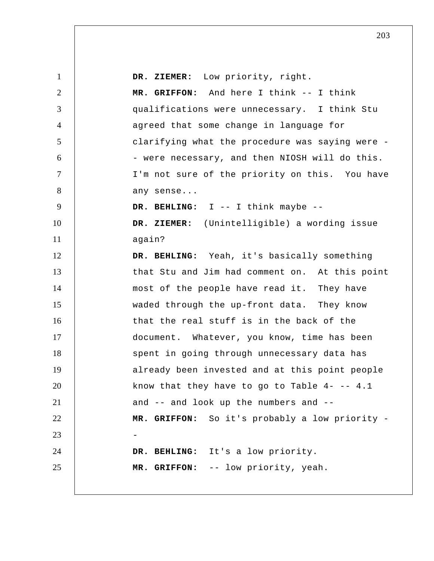| $\mathbf{1}$    | DR. ZIEMER: Low priority, right.                  |
|-----------------|---------------------------------------------------|
| $\overline{2}$  | MR. GRIFFON: And here I think -- I think          |
| 3               | qualifications were unnecessary. I think Stu      |
| $\overline{4}$  | agreed that some change in language for           |
| $5\overline{)}$ | clarifying what the procedure was saying were -   |
| 6               | - were necessary, and then NIOSH will do this.    |
| $\tau$          | I'm not sure of the priority on this. You have    |
| $8\phantom{.}$  | any sense                                         |
| 9               | DR. BEHLING: I -- I think maybe --                |
| 10              | DR. ZIEMER: (Unintelligible) a wording issue      |
| 11              | again?                                            |
| 12              | DR. BEHLING: Yeah, it's basically something       |
| 13              | that Stu and Jim had comment on. At this point    |
| 14              | most of the people have read it. They have        |
| 15              | waded through the up-front data. They know        |
| 16              | that the real stuff is in the back of the         |
| 17              | document. Whatever, you know, time has been       |
| 18              | spent in going through unnecessary data has       |
| 19              | already been invested and at this point people    |
| 20              | know that they have to go to Table $4$ - -- $4.1$ |
| 21              | and -- and look up the numbers and --             |
| 22              | MR. GRIFFON: So it's probably a low priority -    |
| 23              |                                                   |
| 24              | DR. BEHLING: It's a low priority.                 |
| 25              | MR. GRIFFON: -- low priority, yeah.               |
|                 |                                                   |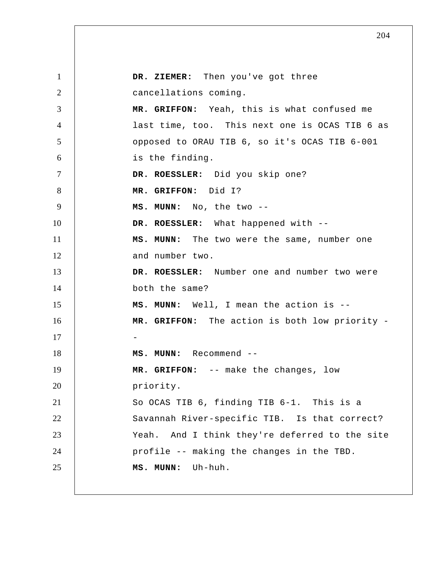1 2 3 4 5 6 7 8 9 10 11 12 13 14 15 16 17 18 19 20 21 22 23 24 25  **DR. ZIEMER:** Then you've got three cancellations coming.  **MR. GRIFFON:** Yeah, this is what confused me last time, too. This next one is OCAS TIB 6 as opposed to ORAU TIB 6, so it's OCAS TIB 6-001 is the finding. **DR. ROESSLER:** Did you skip one?  **MR. GRIFFON:** Did I?  **MS. MUNN:** No, the two -- **DR. ROESSLER:** What happened with --  **MS. MUNN:** The two were the same, number one and number two. **DR. ROESSLER:** Number one and number two were both the same?  **MS. MUNN:** Well, I mean the action is --  **MR. GRIFFON:** The action is both low priority - -  **MS. MUNN:** Recommend --  **MR. GRIFFON:** -- make the changes, low priority. So OCAS TIB 6, finding TIB 6-1. This is a Savannah River-specific TIB. Is that correct? Yeah. And I think they're deferred to the site profile -- making the changes in the TBD.  **MS. MUNN:** Uh-huh.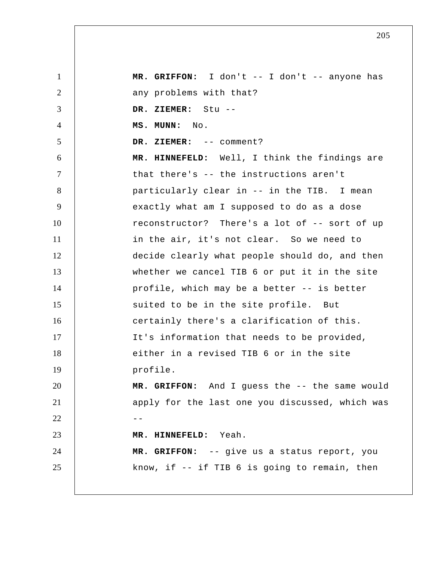1 2 3 4 5 6 7 8 9 10 11 12 13 14 15 16 17 18 19 20 21  $22$  --23 24 25  **MR. GRIFFON:** I don't -- I don't -- anyone has any problems with that?  **DR. ZIEMER:** Stu --  **MS. MUNN:** No.  **DR. ZIEMER:** -- comment?  **MR. HINNEFELD:** Well, I think the findings are that there's -- the instructions aren't particularly clear in -- in the TIB. I mean exactly what am I supposed to do as a dose reconstructor? There's a lot of -- sort of up in the air, it's not clear. So we need to decide clearly what people should do, and then whether we cancel TIB 6 or put it in the site profile, which may be a better -- is better suited to be in the site profile. But certainly there's a clarification of this. It's information that needs to be provided, either in a revised TIB 6 or in the site profile.  **MR. GRIFFON:** And I guess the -- the same would apply for the last one you discussed, which was  **MR. HINNEFELD:** Yeah.  **MR. GRIFFON:** -- give us a status report, you know, if -- if TIB 6 is going to remain, then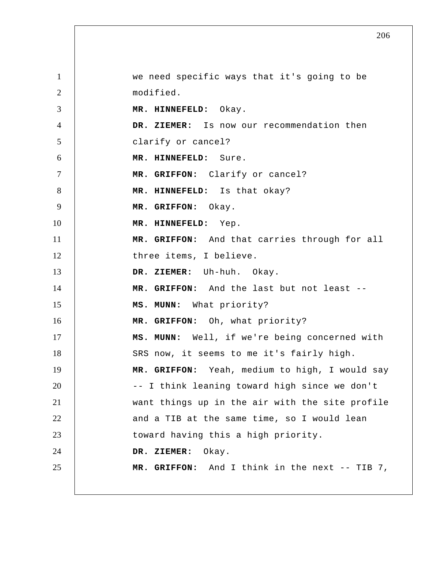1 2 3 4 5 6 7 8 9 10 11 12 13 14 15 16 17 18 19 20 21 22 23 24 25 we need specific ways that it's going to be modified.  **MR. HINNEFELD:** Okay.  **DR. ZIEMER:** Is now our recommendation then clarify or cancel?  **MR. HINNEFELD:** Sure.  **MR. GRIFFON:** Clarify or cancel?  **MR. HINNEFELD:** Is that okay?  **MR. GRIFFON:** Okay.  **MR. HINNEFELD:** Yep.  **MR. GRIFFON:** And that carries through for all three items, I believe.  **DR. ZIEMER:** Uh-huh. Okay.  **MR. GRIFFON:** And the last but not least --  **MS. MUNN:** What priority?  **MR. GRIFFON:** Oh, what priority?  **MS. MUNN:** Well, if we're being concerned with SRS now, it seems to me it's fairly high.  **MR. GRIFFON:** Yeah, medium to high, I would say -- I think leaning toward high since we don't want things up in the air with the site profile and a TIB at the same time, so I would lean toward having this a high priority.  **DR. ZIEMER:** Okay.  **MR. GRIFFON:** And I think in the next -- TIB 7,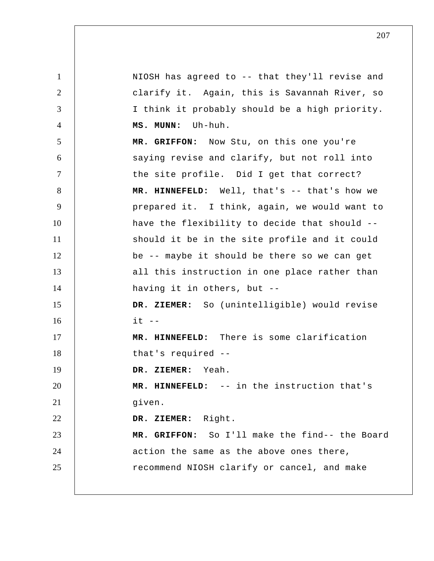1 2 3 4 5 6 7 8 9 10 11 12 13 14 15 16 17 18 19 20 21 22 23 24 25 NIOSH has agreed to -- that they'll revise and clarify it. Again, this is Savannah River, so I think it probably should be a high priority.  **MS. MUNN:** Uh-huh.  **MR. GRIFFON:** Now Stu, on this one you're saying revise and clarify, but not roll into the site profile. Did I get that correct?  **MR. HINNEFELD:** Well, that's -- that's how we prepared it. I think, again, we would want to have the flexibility to decide that should - should it be in the site profile and it could be -- maybe it should be there so we can get all this instruction in one place rather than having it in others, but --  **DR. ZIEMER:** So (unintelligible) would revise  $i + - -$  **MR. HINNEFELD:** There is some clarification that's required --  **DR. ZIEMER:** Yeah.  **MR. HINNEFELD:** -- in the instruction that's given.  **DR. ZIEMER:** Right.  **MR. GRIFFON:** So I'll make the find-- the Board action the same as the above ones there, recommend NIOSH clarify or cancel, and make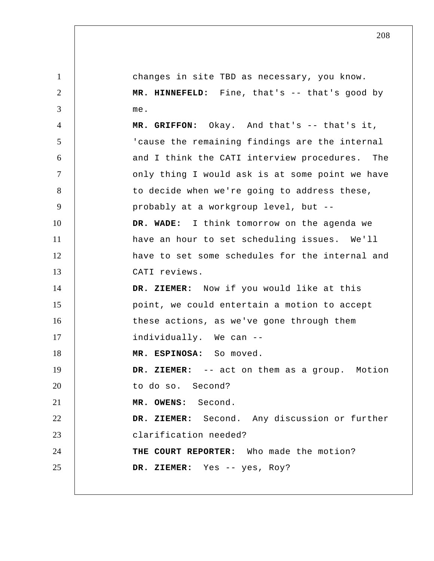1 2 3 4 5 6 7 8 9 10 11 12 13 14 15 16 17 18 19 20 21 22 23 24 25 changes in site TBD as necessary, you know.  **MR. HINNEFELD:** Fine, that's -- that's good by me.  **MR. GRIFFON:** Okay. And that's -- that's it, 'cause the remaining findings are the internal and I think the CATI interview procedures. The only thing I would ask is at some point we have to decide when we're going to address these, probably at a workgroup level, but --  **DR. WADE:** I think tomorrow on the agenda we have an hour to set scheduling issues. We'll have to set some schedules for the internal and CATI reviews.  **DR. ZIEMER:** Now if you would like at this point, we could entertain a motion to accept these actions, as we've gone through them individually. We can -- **MR. ESPINOSA:** So moved.  **DR. ZIEMER:** -- act on them as a group. Motion to do so. Second? **MR. OWENS:** Second.  **DR. ZIEMER:** Second. Any discussion or further clarification needed? **THE COURT REPORTER:** Who made the motion?  **DR. ZIEMER:** Yes -- yes, Roy?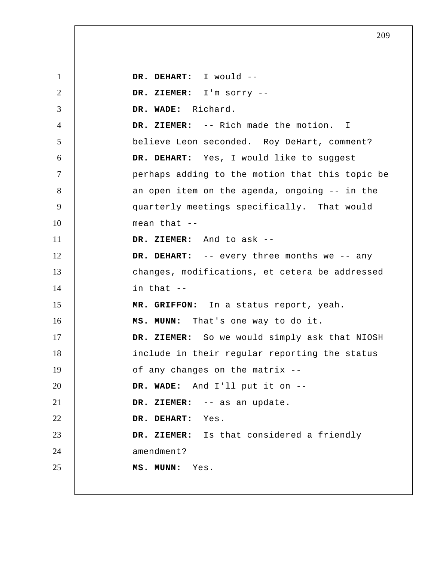1 2 3 4 5 6 7 8 9 10 11 12 13 14 15 16 17 18 19 20 21 22 23 24 25  **DR. DEHART:** I would --  **DR. ZIEMER:** I'm sorry --  **DR. WADE:** Richard.  **DR. ZIEMER:** -- Rich made the motion. I believe Leon seconded. Roy DeHart, comment?  **DR. DEHART:** Yes, I would like to suggest perhaps adding to the motion that this topic be an open item on the agenda, ongoing -- in the quarterly meetings specifically. That would mean that --  **DR. ZIEMER:** And to ask --  **DR. DEHART:** -- every three months we -- any changes, modifications, et cetera be addressed in that --  **MR. GRIFFON:** In a status report, yeah.  **MS. MUNN:** That's one way to do it.  **DR. ZIEMER:** So we would simply ask that NIOSH include in their regular reporting the status of any changes on the matrix --  **DR. WADE:** And I'll put it on --  **DR. ZIEMER:** -- as an update.  **DR. DEHART:** Yes.  **DR. ZIEMER:** Is that considered a friendly amendment?  **MS. MUNN:** Yes.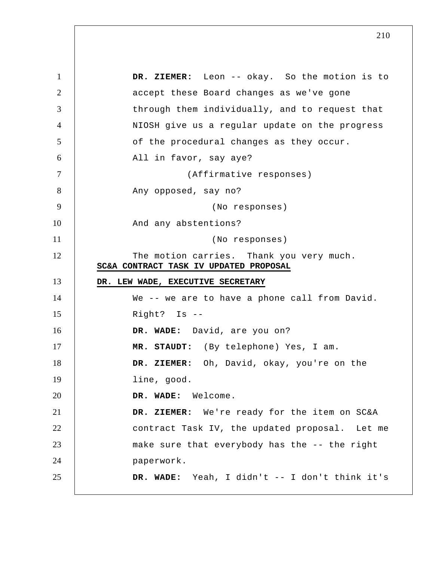5 10 15 20 25 1 2 3 4 6 7 8 9 11 12 13 14 16 17 18 19 21 22 23 24  **DR. ZIEMER:** Leon -- okay. So the motion is to accept these Board changes as we've gone through them individually, and to request that NIOSH give us a regular update on the progress of the procedural changes as they occur. All in favor, say aye? (Affirmative responses) Any opposed, say no? (No responses) And any abstentions? (No responses) The motion carries. Thank you very much. **SC&A CONTRACT TASK IV UPDATED PROPOSAL DR. LEW WADE, EXECUTIVE SECRETARY**  We -- we are to have a phone call from David. Right? Is --  **DR. WADE:** David, are you on?  **MR. STAUDT:** (By telephone) Yes, I am.  **DR. ZIEMER:** Oh, David, okay, you're on the line, good.  **DR. WADE:** Welcome.  **DR. ZIEMER:** We're ready for the item on SC&A contract Task IV, the updated proposal. Let me make sure that everybody has the -- the right paperwork.  **DR. WADE:** Yeah, I didn't -- I don't think it's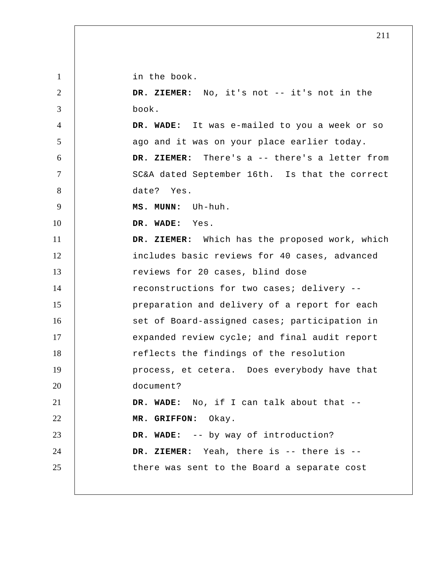1 2 3 4 5 6 7 8 9 10 11 12 13 14 15 16 17 18 19 20 21 22 23 24 25 in the book.  **DR. ZIEMER:** No, it's not -- it's not in the book.  **DR. WADE:** It was e-mailed to you a week or so ago and it was on your place earlier today.  **DR. ZIEMER:** There's a -- there's a letter from SC&A dated September 16th. Is that the correct date? Yes.  **MS. MUNN:** Uh-huh.  **DR. WADE:** Yes.  **DR. ZIEMER:** Which has the proposed work, which includes basic reviews for 40 cases, advanced reviews for 20 cases, blind dose reconstructions for two cases; delivery - preparation and delivery of a report for each set of Board-assigned cases; participation in expanded review cycle; and final audit report reflects the findings of the resolution process, et cetera. Does everybody have that document?  **DR. WADE:** No, if I can talk about that --  **MR. GRIFFON:** Okay.  **DR. WADE:** -- by way of introduction?  **DR. ZIEMER:** Yeah, there is -- there is - there was sent to the Board a separate cost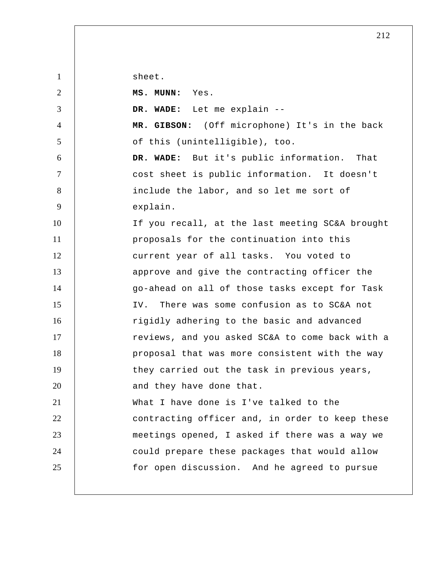sheet.

| $\overline{2}$ | MS. MUNN: Yes.                                  |
|----------------|-------------------------------------------------|
| 3              | DR. WADE: Let me explain --                     |
| $\overline{4}$ | MR. GIBSON: (Off microphone) It's in the back   |
| 5              | of this (unintelligible), too.                  |
| 6              | DR. WADE: But it's public information. That     |
| $\tau$         | cost sheet is public information. It doesn't    |
| 8              | include the labor, and so let me sort of        |
| 9              | explain.                                        |
| 10             | If you recall, at the last meeting SC&A brought |
| 11             | proposals for the continuation into this        |
| 12             | current year of all tasks. You voted to         |
| 13             | approve and give the contracting officer the    |
| 14             | go-ahead on all of those tasks except for Task  |
| 15             | There was some confusion as to SC&A not<br>IV.  |
| 16             | rigidly adhering to the basic and advanced      |
| 17             | reviews, and you asked SC&A to come back with a |
| 18             | proposal that was more consistent with the way  |
| 19             | they carried out the task in previous years,    |
| 20             | and they have done that.                        |
| 21             | What I have done is I've talked to the          |
| 22             | contracting officer and, in order to keep these |
| 23             | meetings opened, I asked if there was a way we  |
| 24             | could prepare these packages that would allow   |
| 25             | for open discussion. And he agreed to pursue    |
|                |                                                 |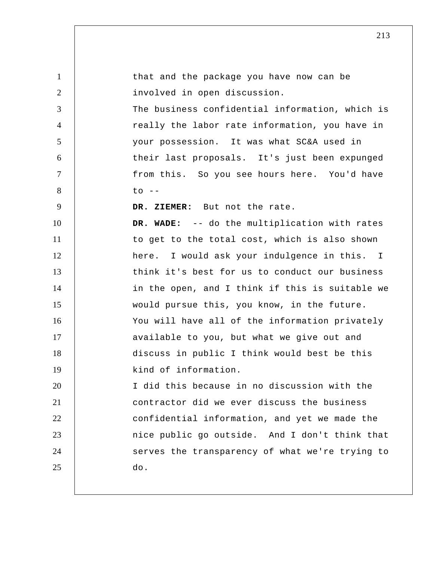| $\mathbf{1}$   | that and the package you have now can be        |
|----------------|-------------------------------------------------|
| 2              | involved in open discussion.                    |
| 3              | The business confidential information, which is |
| $\overline{4}$ | really the labor rate information, you have in  |
| 5              | your possession. It was what SC&A used in       |
| 6              | their last proposals. It's just been expunged   |
| $\overline{7}$ | from this. So you see hours here. You'd have    |
| 8              | $\circ$ --                                      |
| 9              | DR. ZIEMER: But not the rate.                   |
| 10             | DR. WADE: -- do the multiplication with rates   |
| 11             | to get to the total cost, which is also shown   |
| 12             | here. I would ask your indulgence in this. I    |
| 13             | think it's best for us to conduct our business  |
| 14             | in the open, and I think if this is suitable we |
| 15             | would pursue this, you know, in the future.     |
| 16             | You will have all of the information privately  |
| 17             | available to you, but what we give out and      |
| 18             | discuss in public I think would best be this    |
| 19             | kind of information.                            |
| 20             | I did this because in no discussion with the    |
| 21             | contractor did we ever discuss the business     |
| 22             | confidential information, and yet we made the   |
| 23             | nice public go outside. And I don't think that  |
| 24             | serves the transparency of what we're trying to |
| 25             | do.                                             |
|                |                                                 |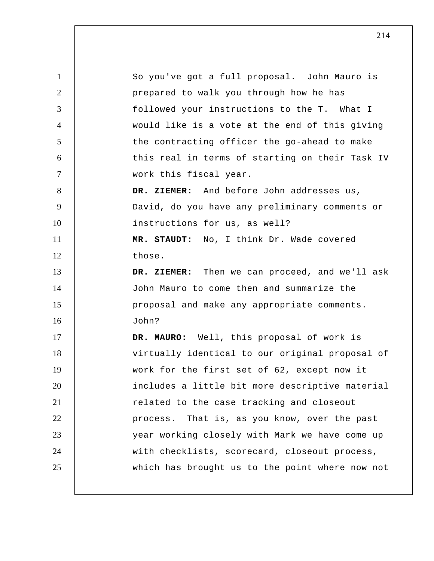1 2 3 4 5 6 7 8 9 10 11 12 13 14 15 16 17 18 19 20 21 22 23 24 25 So you've got a full proposal. John Mauro is prepared to walk you through how he has followed your instructions to the T. What I would like is a vote at the end of this giving the contracting officer the go-ahead to make this real in terms of starting on their Task IV work this fiscal year.  **DR. ZIEMER:** And before John addresses us, David, do you have any preliminary comments or instructions for us, as well?  **MR. STAUDT:** No, I think Dr. Wade covered those.  **DR. ZIEMER:** Then we can proceed, and we'll ask John Mauro to come then and summarize the proposal and make any appropriate comments. John? **DR. MAURO:** Well, this proposal of work is virtually identical to our original proposal of work for the first set of 62, except now it includes a little bit more descriptive material related to the case tracking and closeout process. That is, as you know, over the past year working closely with Mark we have come up with checklists, scorecard, closeout process, which has brought us to the point where now not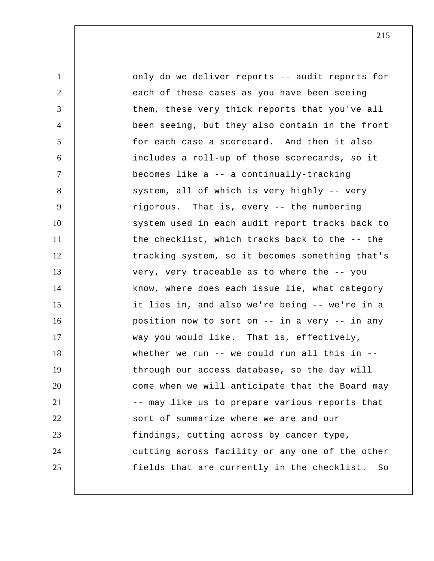1 2 3 4 5 6 7 8 9 10 11 12 13 14 15 16 17 18 19 20 21 22 23 24 25 only do we deliver reports -- audit reports for each of these cases as you have been seeing them, these very thick reports that you've all been seeing, but they also contain in the front for each case a scorecard. And then it also includes a roll-up of those scorecards, so it becomes like a -- a continually-tracking system, all of which is very highly -- very rigorous. That is, every -- the numbering system used in each audit report tracks back to the checklist, which tracks back to the -- the tracking system, so it becomes something that's very, very traceable as to where the -- you know, where does each issue lie, what category it lies in, and also we're being -- we're in a position now to sort on -- in a very -- in any way you would like. That is, effectively, whether we run -- we could run all this in - through our access database, so the day will come when we will anticipate that the Board may -- may like us to prepare various reports that sort of summarize where we are and our findings, cutting across by cancer type, cutting across facility or any one of the other fields that are currently in the checklist. So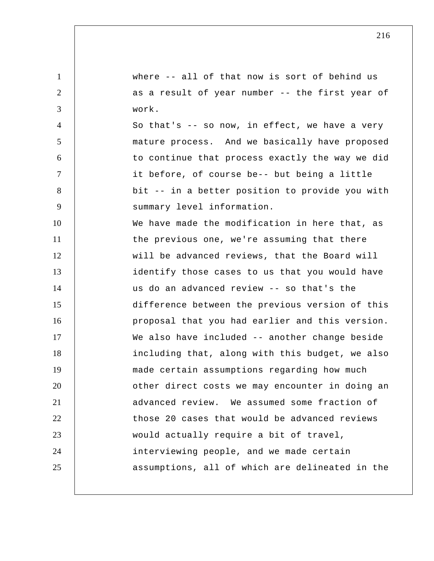1 2 3 4 5 6 7 8 9 10 11 12 13 14 15 16 17 18 19 20 21 22 23 24 25 where -- all of that now is sort of behind us as a result of year number -- the first year of work. So that's -- so now, in effect, we have a very mature process. And we basically have proposed to continue that process exactly the way we did it before, of course be-- but being a little bit -- in a better position to provide you with summary level information. We have made the modification in here that, as the previous one, we're assuming that there will be advanced reviews, that the Board will identify those cases to us that you would have us do an advanced review -- so that's the difference between the previous version of this proposal that you had earlier and this version. We also have included -- another change beside including that, along with this budget, we also made certain assumptions regarding how much other direct costs we may encounter in doing an advanced review. We assumed some fraction of those 20 cases that would be advanced reviews would actually require a bit of travel, interviewing people, and we made certain assumptions, all of which are delineated in the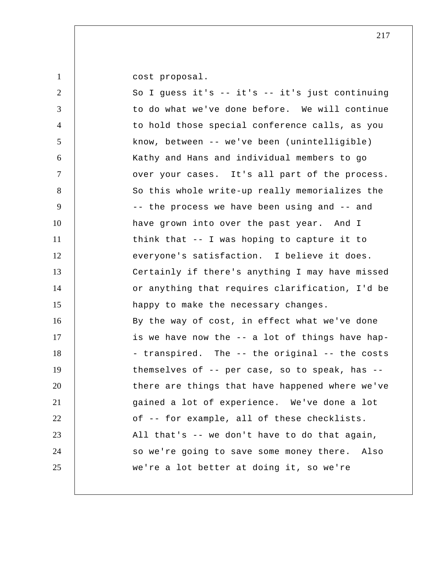1

cost proposal.

| $\overline{2}$ | So I guess it's -- it's -- it's just continuing  |
|----------------|--------------------------------------------------|
| 3              | to do what we've done before. We will continue   |
| $\overline{4}$ | to hold those special conference calls, as you   |
| 5              | know, between -- we've been (unintelligible)     |
| 6              | Kathy and Hans and individual members to go      |
| $\tau$         | over your cases. It's all part of the process.   |
| 8              | So this whole write-up really memorializes the   |
| 9              | -- the process we have been using and -- and     |
| 10             | have grown into over the past year. And I        |
| 11             | think that -- I was hoping to capture it to      |
| 12             | everyone's satisfaction. I believe it does.      |
| 13             | Certainly if there's anything I may have missed  |
| 14             | or anything that requires clarification, I'd be  |
| 15             | happy to make the necessary changes.             |
| 16             | By the way of cost, in effect what we've done    |
| 17             | is we have now the -- a lot of things have hap-  |
| 18             | - transpired. The -- the original -- the costs   |
| 19             | themselves of -- per case, so to speak, has --   |
| 20             | there are things that have happened where we've  |
| 21             | gained a lot of experience. We've done a lot     |
| 22             | of -- for example, all of these checklists.      |
| 23             | All that's -- we don't have to do that again,    |
| 24             | so we're going to save some money there.<br>Also |
| 25             | we're a lot better at doing it, so we're         |
|                |                                                  |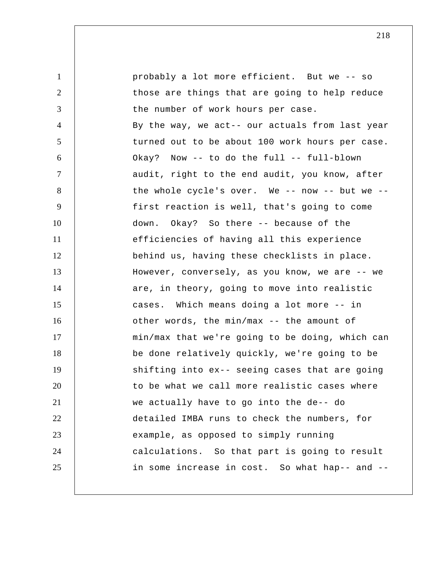1 2 3 4 5 6 7 8 9 10 11 12 13 14 15 16 17 18 19 20 21 22 23 24 25 probably a lot more efficient. But we -- so those are things that are going to help reduce the number of work hours per case. By the way, we act-- our actuals from last year turned out to be about 100 work hours per case. Okay? Now -- to do the full -- full-blown audit, right to the end audit, you know, after the whole cycle's over. We -- now -- but we -first reaction is well, that's going to come down. Okay? So there -- because of the efficiencies of having all this experience behind us, having these checklists in place. However, conversely, as you know, we are -- we are, in theory, going to move into realistic cases. Which means doing a lot more -- in other words, the min/max -- the amount of min/max that we're going to be doing, which can be done relatively quickly, we're going to be shifting into ex-- seeing cases that are going to be what we call more realistic cases where we actually have to go into the de-- do detailed IMBA runs to check the numbers, for example, as opposed to simply running calculations. So that part is going to result in some increase in cost. So what hap-- and --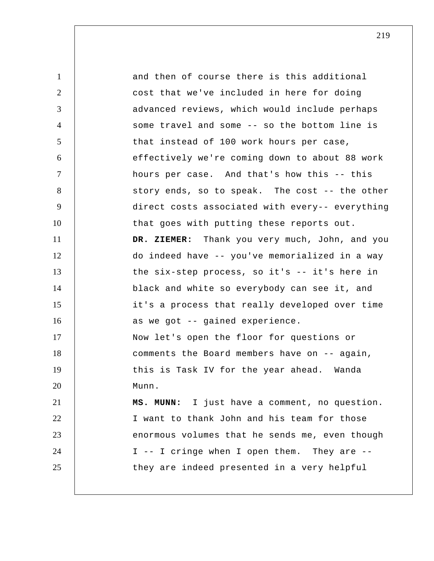1 2 3 4 5 6 7 8 9 10 11 12 13 14 15 16 17 18 19 20 21 22 23 24 25 and then of course there is this additional cost that we've included in here for doing advanced reviews, which would include perhaps some travel and some -- so the bottom line is that instead of 100 work hours per case, effectively we're coming down to about 88 work hours per case. And that's how this -- this story ends, so to speak. The cost -- the other direct costs associated with every-- everything that goes with putting these reports out.  **DR. ZIEMER:** Thank you very much, John, and you do indeed have -- you've memorialized in a way the six-step process, so it's -- it's here in black and white so everybody can see it, and it's a process that really developed over time as we got -- gained experience. Now let's open the floor for questions or comments the Board members have on -- again, this is Task IV for the year ahead. Wanda Munn.  **MS. MUNN:** I just have a comment, no question. I want to thank John and his team for those enormous volumes that he sends me, even though I -- I cringe when I open them. They are - they are indeed presented in a very helpful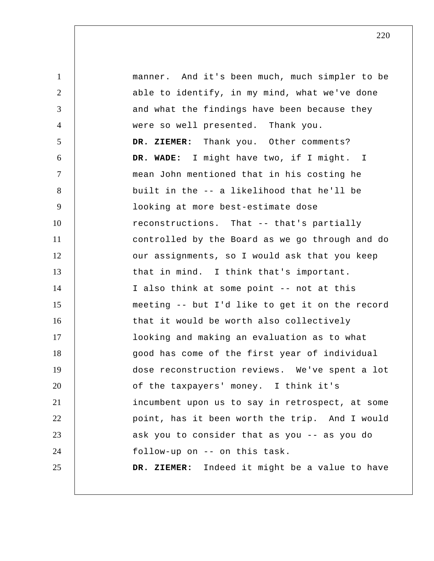1 2 3 4 5 6 7 8 9 10 11 12 13 14 15 16 17 18 19 20 21 22 23 24 25 manner. And it's been much, much simpler to be able to identify, in my mind, what we've done and what the findings have been because they were so well presented. Thank you.  **DR. ZIEMER:** Thank you. Other comments?  **DR. WADE:** I might have two, if I might. I mean John mentioned that in his costing he built in the -- a likelihood that he'll be looking at more best-estimate dose reconstructions. That -- that's partially controlled by the Board as we go through and do our assignments, so I would ask that you keep that in mind. I think that's important. I also think at some point -- not at this meeting -- but I'd like to get it on the record that it would be worth also collectively looking and making an evaluation as to what good has come of the first year of individual dose reconstruction reviews. We've spent a lot of the taxpayers' money. I think it's incumbent upon us to say in retrospect, at some point, has it been worth the trip. And I would ask you to consider that as you -- as you do follow-up on -- on this task.  **DR. ZIEMER:** Indeed it might be a value to have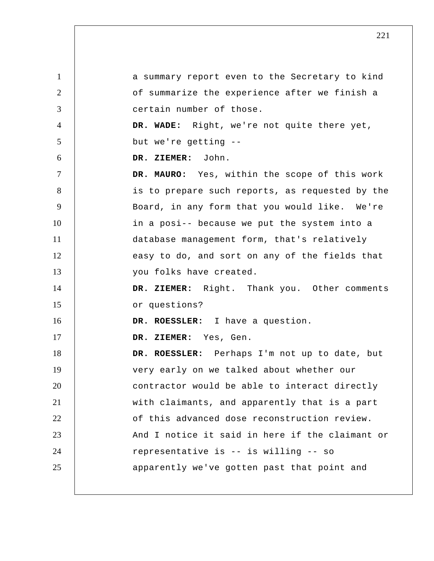1 2 3 4 5 6 7 8 9 10 11 12 13 14 15 16 17 18 19 20 21 22 23 24 25 a summary report even to the Secretary to kind of summarize the experience after we finish a certain number of those.  **DR. WADE:** Right, we're not quite there yet, but we're getting --  **DR. ZIEMER:** John. **DR. MAURO:** Yes, within the scope of this work is to prepare such reports, as requested by the Board, in any form that you would like. We're in a posi-- because we put the system into a database management form, that's relatively easy to do, and sort on any of the fields that you folks have created.  **DR. ZIEMER:** Right. Thank you. Other comments or questions? **DR. ROESSLER:** I have a question.  **DR. ZIEMER:** Yes, Gen. **DR. ROESSLER:** Perhaps I'm not up to date, but very early on we talked about whether our contractor would be able to interact directly with claimants, and apparently that is a part of this advanced dose reconstruction review. And I notice it said in here if the claimant or representative is -- is willing -- so apparently we've gotten past that point and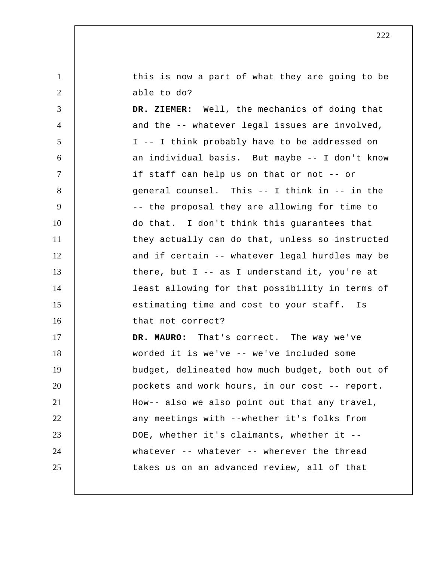1 2 this is now a part of what they are going to be able to do?

3 4 5 6 7 8 9 10 11 12 13 14 15 16 17 18 19 20 21 22 23  **DR. ZIEMER:** Well, the mechanics of doing that and the -- whatever legal issues are involved, I -- I think probably have to be addressed on an individual basis. But maybe -- I don't know if staff can help us on that or not -- or general counsel. This -- I think in -- in the -- the proposal they are allowing for time to do that. I don't think this guarantees that they actually can do that, unless so instructed and if certain -- whatever legal hurdles may be there, but  $I$  -- as I understand it, you're at least allowing for that possibility in terms of estimating time and cost to your staff. Is that not correct? **DR. MAURO:** That's correct. The way we've worded it is we've -- we've included some budget, delineated how much budget, both out of pockets and work hours, in our cost -- report. How-- also we also point out that any travel, any meetings with --whether it's folks from DOE, whether it's claimants, whether it --

whatever -- whatever -- wherever the thread

takes us on an advanced review, all of that

222

24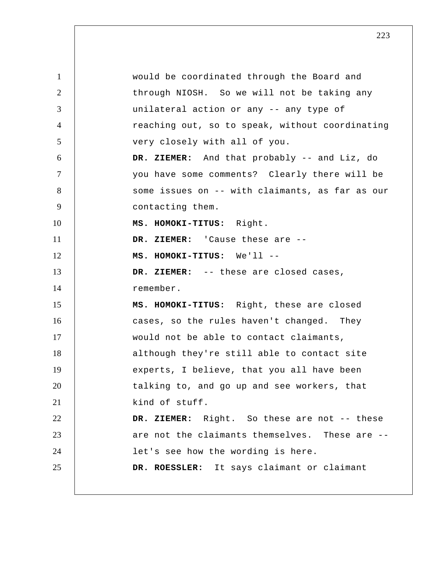1 2 3 4 5 6 7 8 9 10 11 12 13 14 15 16 17 18 19 20 21 22 23 24 25 would be coordinated through the Board and through NIOSH. So we will not be taking any unilateral action or any -- any type of reaching out, so to speak, without coordinating very closely with all of you.  **DR. ZIEMER:** And that probably -- and Liz, do you have some comments? Clearly there will be some issues on -- with claimants, as far as our contacting them. **MS. HOMOKI-TITUS:** Right.  **DR. ZIEMER:** 'Cause these are -- **MS. HOMOKI-TITUS:** We'll --  **DR. ZIEMER:** -- these are closed cases, remember. **MS. HOMOKI-TITUS:** Right, these are closed cases, so the rules haven't changed. They would not be able to contact claimants, although they're still able to contact site experts, I believe, that you all have been talking to, and go up and see workers, that kind of stuff.  **DR. ZIEMER:** Right. So these are not -- these are not the claimants themselves. These are - let's see how the wording is here. **DR. ROESSLER:** It says claimant or claimant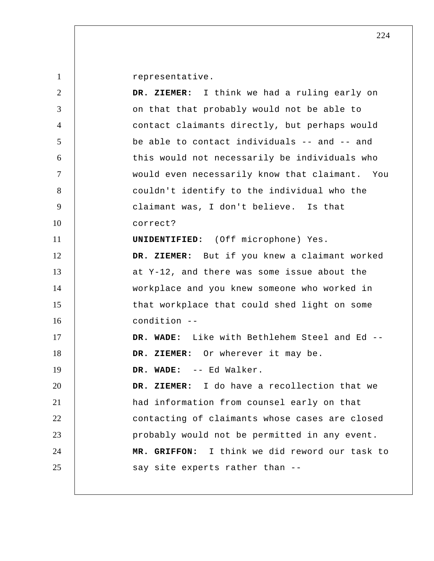1

representative.

| $\overline{2}$ | DR. ZIEMER: I think we had a ruling early on   |
|----------------|------------------------------------------------|
| 3              | on that that probably would not be able to     |
| $\overline{4}$ | contact claimants directly, but perhaps would  |
| 5              | be able to contact individuals -- and -- and   |
| 6              | this would not necessarily be individuals who  |
| $\tau$         | would even necessarily know that claimant. You |
| 8              | couldn't identify to the individual who the    |
| 9              | claimant was, I don't believe. Is that         |
| 10             | correct?                                       |
| 11             | <b>UNIDENTIFIED:</b> (Off microphone) Yes.     |
| 12             | DR. ZIEMER: But if you knew a claimant worked  |
| 13             | at Y-12, and there was some issue about the    |
| 14             | workplace and you knew someone who worked in   |
| 15             | that workplace that could shed light on some   |
| 16             | condition --                                   |
| 17             | DR. WADE: Like with Bethlehem Steel and Ed --  |
| 18             | DR. ZIEMER: Or wherever it may be.             |
| 19             | DR. WADE: -- Ed Walker.                        |
| 20             | DR. ZIEMER: I do have a recollection that we   |
| 21             | had information from counsel early on that     |
| 22             | contacting of claimants whose cases are closed |
| 23             | probably would not be permitted in any event.  |
| 24             | MR. GRIFFON: I think we did reword our task to |
| 25             | say site experts rather than --                |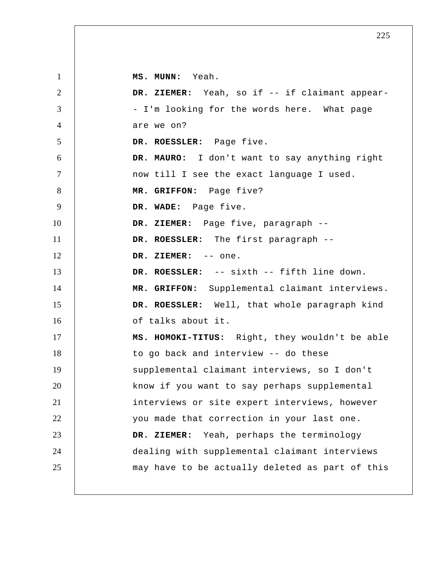1 2 3 4 5 6 7 8 9 10 11 12 13 14 15 16 17 18 19 20 21 22 23 24 25  **MS. MUNN:** Yeah.  **DR. ZIEMER:** Yeah, so if -- if claimant appear- - I'm looking for the words here. What page are we on? **DR. ROESSLER:** Page five. **DR. MAURO:** I don't want to say anything right now till I see the exact language I used.  **MR. GRIFFON:** Page five?  **DR. WADE:** Page five.  **DR. ZIEMER:** Page five, paragraph -- **DR. ROESSLER:** The first paragraph --  **DR. ZIEMER:** -- one. **DR. ROESSLER:** -- sixth -- fifth line down.  **MR. GRIFFON:** Supplemental claimant interviews. **DR. ROESSLER:** Well, that whole paragraph kind of talks about it. **MS. HOMOKI-TITUS:** Right, they wouldn't be able to go back and interview -- do these supplemental claimant interviews, so I don't know if you want to say perhaps supplemental interviews or site expert interviews, however you made that correction in your last one.  **DR. ZIEMER:** Yeah, perhaps the terminology dealing with supplemental claimant interviews may have to be actually deleted as part of this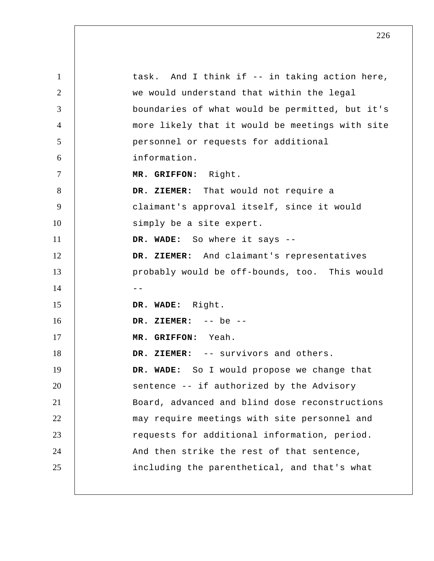| $\mathbf{1}$   | task. And I think if -- in taking action here,  |
|----------------|-------------------------------------------------|
| 2              | we would understand that within the legal       |
| 3              | boundaries of what would be permitted, but it's |
| $\overline{4}$ | more likely that it would be meetings with site |
| 5              | personnel or requests for additional            |
| 6              | information.                                    |
| $\tau$         | MR. GRIFFON: Right.                             |
| 8              | DR. ZIEMER: That would not require a            |
| 9              | claimant's approval itself, since it would      |
| 10             | simply be a site expert.                        |
| 11             | DR. WADE: So where it says --                   |
| 12             | DR. ZIEMER: And claimant's representatives      |
| 13             | probably would be off-bounds, too. This would   |
| 14             | $ -$                                            |
| 15             | DR. WADE: Right.                                |
| 16             | DR. ZIEMER: $--$ be $--$                        |
| 17             | MR. GRIFFON: Yeah.                              |
| 18             | DR. ZIEMER: -- survivors and others.            |
| 19             | DR. WADE: So I would propose we change that     |
| 20             | sentence -- if authorized by the Advisory       |
| 21             | Board, advanced and blind dose reconstructions  |
| 22             | may require meetings with site personnel and    |
| 23             | requests for additional information, period.    |
| 24             | And then strike the rest of that sentence,      |
| 25             | including the parenthetical, and that's what    |
|                |                                                 |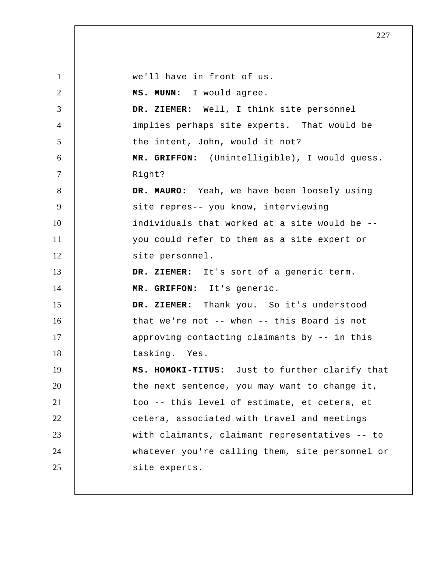| $\mathbf{1}$   | we'll have in front of us.                      |
|----------------|-------------------------------------------------|
| $\overline{2}$ | MS. MUNN: I would agree.                        |
| 3              | DR. ZIEMER: Well, I think site personnel        |
| $\overline{4}$ | implies perhaps site experts. That would be     |
| 5              | the intent, John, would it not?                 |
| 6              | MR. GRIFFON: (Unintelligible), I would guess.   |
| $\tau$         | Right?                                          |
| 8              | DR. MAURO: Yeah, we have been loosely using     |
| 9              | site repres-- you know, interviewing            |
| 10             | individuals that worked at a site would be --   |
| 11             | you could refer to them as a site expert or     |
| 12             | site personnel.                                 |
| 13             | DR. ZIEMER: It's sort of a generic term.        |
| 14             | MR. GRIFFON: It's generic.                      |
| 15             | DR. ZIEMER: Thank you. So it's understood       |
| 16             | that we're not -- when -- this Board is not     |
| 17             | approving contacting claimants by -- in this    |
| 18             | tasking. Yes.                                   |
| 19             | MS. HOMOKI-TITUS: Just to further clarify that  |
| 20             | the next sentence, you may want to change it,   |
| 21             | too -- this level of estimate, et cetera, et    |
| 22             | cetera, associated with travel and meetings     |
| 23             | with claimants, claimant representatives -- to  |
| 24             | whatever you're calling them, site personnel or |
| 25             | site experts.                                   |
|                |                                                 |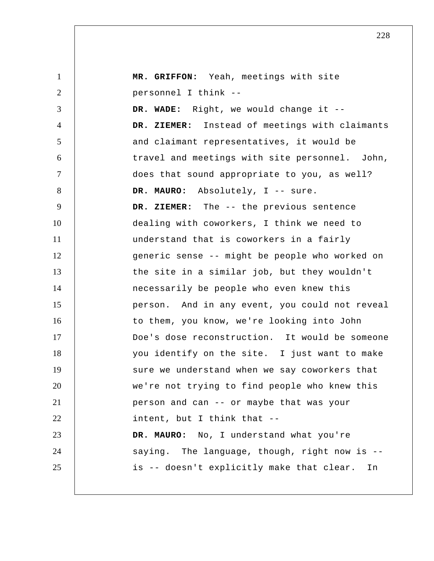| $\mathbf{1}$   | MR. GRIFFON: Yeah, meetings with site           |
|----------------|-------------------------------------------------|
| $\overline{2}$ | personnel I think --                            |
| 3              | DR. WADE: Right, we would change it --          |
| $\overline{4}$ | DR. ZIEMER: Instead of meetings with claimants  |
| 5              | and claimant representatives, it would be       |
| 6              | travel and meetings with site personnel. John,  |
| $\overline{7}$ | does that sound appropriate to you, as well?    |
| 8              | DR. MAURO: Absolutely, I -- sure.               |
| 9              | DR. ZIEMER: The -- the previous sentence        |
| 10             | dealing with coworkers, I think we need to      |
| 11             | understand that is coworkers in a fairly        |
| 12             | generic sense -- might be people who worked on  |
| 13             | the site in a similar job, but they wouldn't    |
| 14             | necessarily be people who even knew this        |
| 15             | person. And in any event, you could not reveal  |
| 16             | to them, you know, we're looking into John      |
| 17             | Doe's dose reconstruction. It would be someone  |
| 18             | you identify on the site. I just want to make   |
| 19             | sure we understand when we say coworkers that   |
| 20             | we're not trying to find people who knew this   |
| 21             | person and can -- or maybe that was your        |
| 22             | intent, but I think that --                     |
| 23             | DR. MAURO: No, I understand what you're         |
| 24             | saying. The language, though, right now is --   |
| 25             | is -- doesn't explicitly make that clear.<br>In |
|                |                                                 |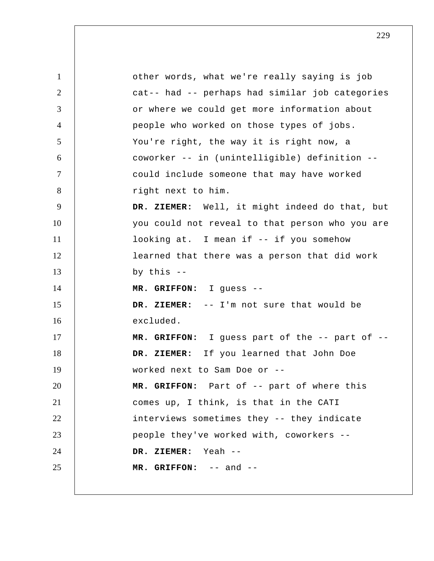1 2 3 4 5 6 7 8 9 10 11 12 13 14 15 16 17 18 19 20 21 22 23 24 25 other words, what we're really saying is job cat-- had -- perhaps had similar job categories or where we could get more information about people who worked on those types of jobs. You're right, the way it is right now, a coworker -- in (unintelligible) definition - could include someone that may have worked right next to him.  **DR. ZIEMER:** Well, it might indeed do that, but you could not reveal to that person who you are looking at. I mean if -- if you somehow learned that there was a person that did work by this --  **MR. GRIFFON:** I guess --  **DR. ZIEMER:** -- I'm not sure that would be excluded.  **MR. GRIFFON:** I guess part of the -- part of --  **DR. ZIEMER:** If you learned that John Doe worked next to Sam Doe or --  **MR. GRIFFON:** Part of -- part of where this comes up, I think, is that in the CATI interviews sometimes they -- they indicate people they've worked with, coworkers --  **DR. ZIEMER:** Yeah --  **MR. GRIFFON:** -- and --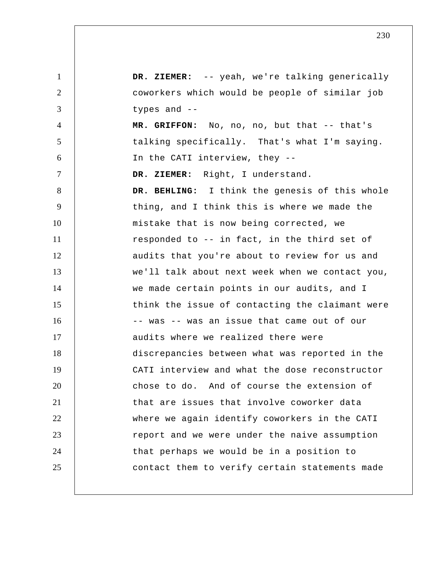1 2 3 4 5 6 7 8 9 10 11 12 13 14 15 16 17 18 19 20 21 22 23 24 25  **DR. ZIEMER:** -- yeah, we're talking generically coworkers which would be people of similar job types and --  **MR. GRIFFON:** No, no, no, but that -- that's talking specifically. That's what I'm saying. In the CATI interview, they --  **DR. ZIEMER:** Right, I understand.  **DR. BEHLING:** I think the genesis of this whole thing, and I think this is where we made the mistake that is now being corrected, we responded to -- in fact, in the third set of audits that you're about to review for us and we'll talk about next week when we contact you, we made certain points in our audits, and I think the issue of contacting the claimant were -- was -- was an issue that came out of our audits where we realized there were discrepancies between what was reported in the CATI interview and what the dose reconstructor chose to do. And of course the extension of that are issues that involve coworker data where we again identify coworkers in the CATI report and we were under the naive assumption that perhaps we would be in a position to contact them to verify certain statements made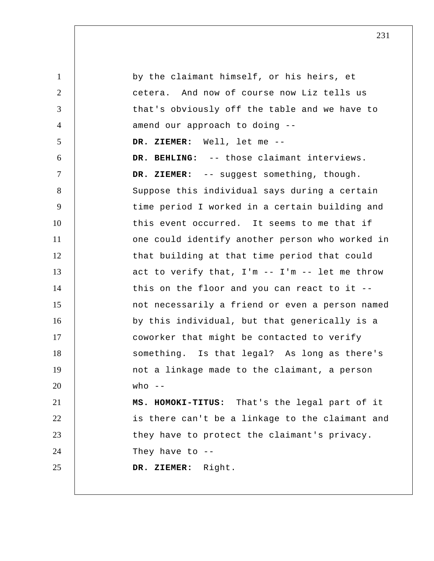1 2 3 4 5 6 7 8 9 10 11 12 13 14 15 16 17 18 19 20 21 22 23 24 25 by the claimant himself, or his heirs, et cetera. And now of course now Liz tells us that's obviously off the table and we have to amend our approach to doing --  **DR. ZIEMER:** Well, let me --  **DR. BEHLING:** -- those claimant interviews. DR. ZIEMER: -- suggest something, though. Suppose this individual says during a certain time period I worked in a certain building and this event occurred. It seems to me that if one could identify another person who worked in that building at that time period that could act to verify that, I'm -- I'm -- let me throw this on the floor and you can react to it - not necessarily a friend or even a person named by this individual, but that generically is a coworker that might be contacted to verify something. Is that legal? As long as there's not a linkage made to the claimant, a person who  $--$ **MS. HOMOKI-TITUS:** That's the legal part of it is there can't be a linkage to the claimant and they have to protect the claimant's privacy. They have to  $-$ - **DR. ZIEMER:** Right.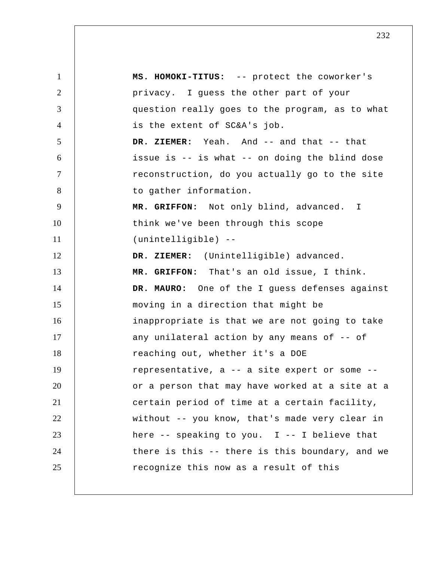1 2 3 4 5 6 7 8 9 10 11 12 13 14 15 16 17 18 19 20 21 22 23 24 25 **MS. HOMOKI-TITUS:** -- protect the coworker's privacy. I guess the other part of your question really goes to the program, as to what is the extent of SC&A's job.  **DR. ZIEMER:** Yeah. And -- and that -- that issue is -- is what -- on doing the blind dose reconstruction, do you actually go to the site to gather information.  **MR. GRIFFON:** Not only blind, advanced. I think we've been through this scope (unintelligible) --  **DR. ZIEMER:** (Unintelligible) advanced.  **MR. GRIFFON:** That's an old issue, I think. **DR. MAURO:** One of the I guess defenses against moving in a direction that might be inappropriate is that we are not going to take any unilateral action by any means of -- of reaching out, whether it's a DOE representative, a -- a site expert or some - or a person that may have worked at a site at a certain period of time at a certain facility, without -- you know, that's made very clear in here  $-$ - speaking to you. I  $-$ - I believe that there is this -- there is this boundary, and we recognize this now as a result of this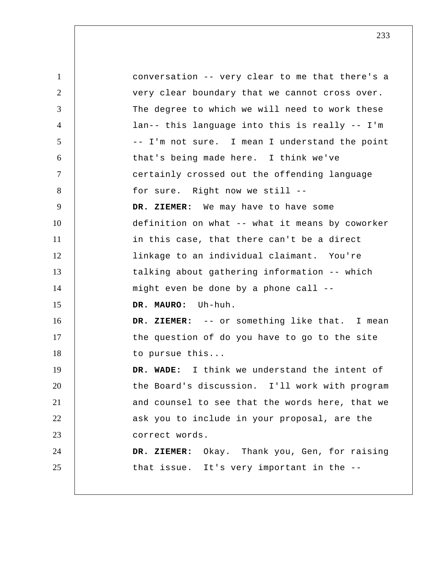1 2 3 4 5 6 7 8 9 10 11 12 13 14 15 16 17 18 19 20 21 22 23 24 25 conversation -- very clear to me that there's a very clear boundary that we cannot cross over. The degree to which we will need to work these lan-- this language into this is really -- I'm -- I'm not sure. I mean I understand the point that's being made here. I think we've certainly crossed out the offending language for sure. Right now we still --  **DR. ZIEMER:** We may have to have some definition on what -- what it means by coworker in this case, that there can't be a direct linkage to an individual claimant. You're talking about gathering information -- which might even be done by a phone call -- **DR. MAURO:** Uh-huh.  **DR. ZIEMER:** -- or something like that. I mean the question of do you have to go to the site to pursue this...  **DR. WADE:** I think we understand the intent of the Board's discussion. I'll work with program and counsel to see that the words here, that we ask you to include in your proposal, are the correct words.  **DR. ZIEMER:** Okay. Thank you, Gen, for raising that issue. It's very important in the --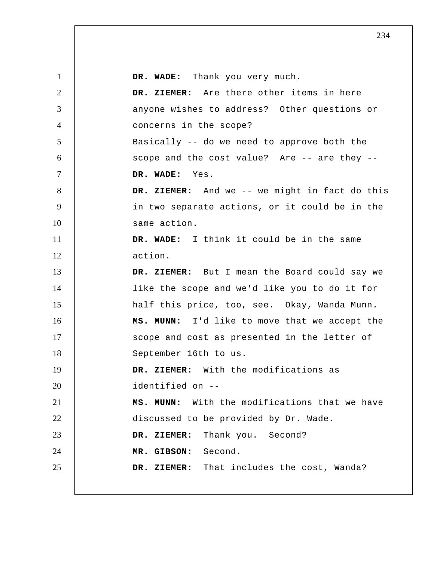| $\mathbf{1}$    | DR. WADE: Thank you very much.                 |
|-----------------|------------------------------------------------|
| $\overline{2}$  | DR. ZIEMER: Are there other items in here      |
| 3               | anyone wishes to address? Other questions or   |
| $\overline{4}$  | concerns in the scope?                         |
| $5\overline{)}$ | Basically -- do we need to approve both the    |
| 6               | scope and the cost value? Are -- are they --   |
| $\tau$          | DR. WADE: Yes.                                 |
| 8               | DR. ZIEMER: And we -- we might in fact do this |
| 9               | in two separate actions, or it could be in the |
| 10              | same action.                                   |
| 11              | DR. WADE: I think it could be in the same      |
| 12              | action.                                        |
| 13              | DR. ZIEMER: But I mean the Board could say we  |
| 14              | like the scope and we'd like you to do it for  |
| 15              | half this price, too, see. Okay, Wanda Munn.   |
| 16              | MS. MUNN: I'd like to move that we accept the  |
| 17              | scope and cost as presented in the letter of   |
| 18              | September 16th to us.                          |
| 19              | DR. ZIEMER: With the modifications as          |
| 20              | identified on --                               |
| 21              | MS. MUNN: With the modifications that we have  |
| 22              | discussed to be provided by Dr. Wade.          |
| 23              | DR. ZIEMER: Thank you. Second?                 |
| 24              | MR. GIBSON: Second.                            |
| 25              | DR. ZIEMER: That includes the cost, Wanda?     |
|                 |                                                |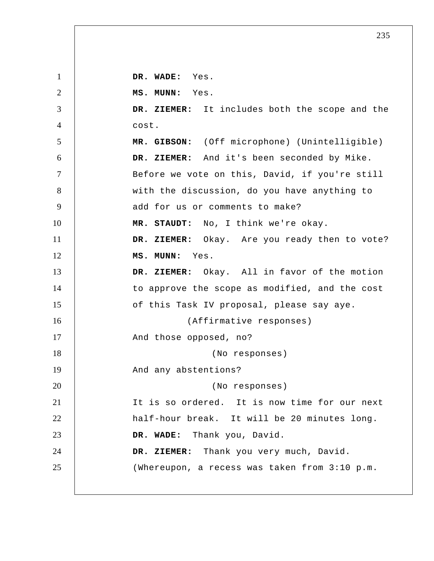1 2 3 4 5 6 7 8 9 10 11 12 13 14 15 16 17 18 19 20 21 22 23 24 25  **DR. WADE:** Yes.  **MS. MUNN:** Yes.  **DR. ZIEMER:** It includes both the scope and the cost.  **MR. GIBSON:** (Off microphone) (Unintelligible)  **DR. ZIEMER:** And it's been seconded by Mike. Before we vote on this, David, if you're still with the discussion, do you have anything to add for us or comments to make?  **MR. STAUDT:** No, I think we're okay.  **DR. ZIEMER:** Okay. Are you ready then to vote?  **MS. MUNN:** Yes.  **DR. ZIEMER:** Okay. All in favor of the motion to approve the scope as modified, and the cost of this Task IV proposal, please say aye. (Affirmative responses) And those opposed, no? (No responses) And any abstentions? (No responses) It is so ordered. It is now time for our next half-hour break. It will be 20 minutes long.  **DR. WADE:** Thank you, David.  **DR. ZIEMER:** Thank you very much, David. (Whereupon, a recess was taken from 3:10 p.m.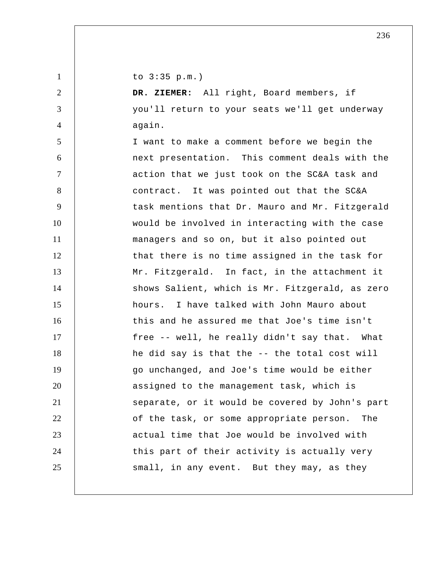to 3:35 p.m.)

1

2

3

4

 **DR. ZIEMER:** All right, Board members, if you'll return to your seats we'll get underway again.

5 6 7 8 9 10 11 12 13 14 15 16 17 18 19 20 21 22 23 24 25 I want to make a comment before we begin the next presentation. This comment deals with the action that we just took on the SC&A task and contract. It was pointed out that the SC&A task mentions that Dr. Mauro and Mr. Fitzgerald would be involved in interacting with the case managers and so on, but it also pointed out that there is no time assigned in the task for Mr. Fitzgerald. In fact, in the attachment it shows Salient, which is Mr. Fitzgerald, as zero hours. I have talked with John Mauro about this and he assured me that Joe's time isn't free -- well, he really didn't say that. What he did say is that the -- the total cost will go unchanged, and Joe's time would be either assigned to the management task, which is separate, or it would be covered by John's part of the task, or some appropriate person. The actual time that Joe would be involved with this part of their activity is actually very small, in any event. But they may, as they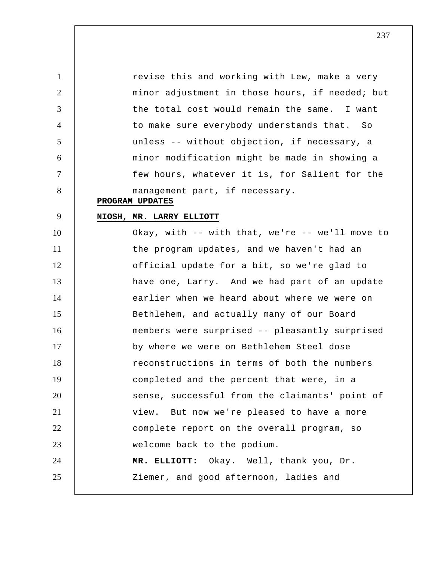revise this and working with Lew, make a very minor adjustment in those hours, if needed; but the total cost would remain the same. I want to make sure everybody understands that. So unless -- without objection, if necessary, a minor modification might be made in showing a few hours, whatever it is, for Salient for the management part, if necessary.

## **PROGRAM UPDATES**

5

6

7

8

9

1

2

3

4

## **NIOSH, MR. LARRY ELLIOTT**

10 15 20 25 11 12 13 14 16 17 18 19 21 22 23 24 Okay, with -- with that, we're -- we'll move to the program updates, and we haven't had an official update for a bit, so we're glad to have one, Larry. And we had part of an update earlier when we heard about where we were on Bethlehem, and actually many of our Board members were surprised -- pleasantly surprised by where we were on Bethlehem Steel dose reconstructions in terms of both the numbers completed and the percent that were, in a sense, successful from the claimants' point of view. But now we're pleased to have a more complete report on the overall program, so welcome back to the podium.  **MR. ELLIOTT:** Okay. Well, thank you, Dr. Ziemer, and good afternoon, ladies and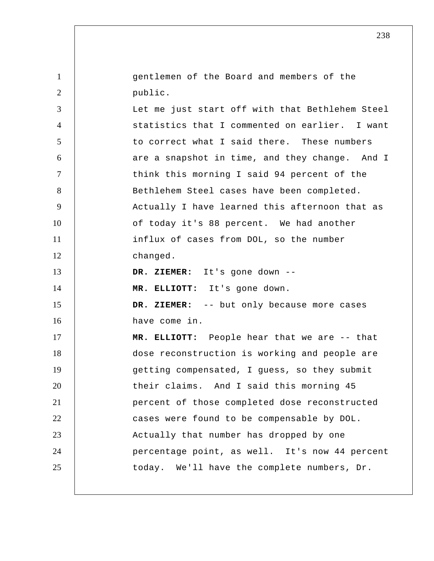1 2 3 4 5 6 7 8 9 10 11 12 13 14 15 16 17 18 19 20 21 22 23 24 25 gentlemen of the Board and members of the public. Let me just start off with that Bethlehem Steel statistics that I commented on earlier. I want to correct what I said there. These numbers are a snapshot in time, and they change. And I think this morning I said 94 percent of the Bethlehem Steel cases have been completed. Actually I have learned this afternoon that as of today it's 88 percent. We had another influx of cases from DOL, so the number changed.  **DR. ZIEMER:** It's gone down --  **MR. ELLIOTT:** It's gone down.  **DR. ZIEMER:** -- but only because more cases have come in.  **MR. ELLIOTT:** People hear that we are -- that dose reconstruction is working and people are getting compensated, I guess, so they submit their claims. And I said this morning 45 percent of those completed dose reconstructed cases were found to be compensable by DOL. Actually that number has dropped by one percentage point, as well. It's now 44 percent today. We'll have the complete numbers, Dr.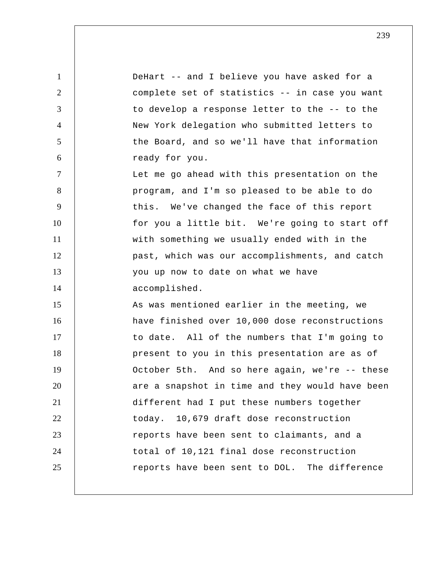1 2 3 4 5 6 7 8 9 10 11 12 13 14 15 16 17 18 19 20 21 22 23 24 25 DeHart -- and I believe you have asked for a complete set of statistics -- in case you want to develop a response letter to the -- to the New York delegation who submitted letters to the Board, and so we'll have that information ready for you. Let me go ahead with this presentation on the program, and I'm so pleased to be able to do this. We've changed the face of this report for you a little bit. We're going to start off with something we usually ended with in the past, which was our accomplishments, and catch you up now to date on what we have accomplished. As was mentioned earlier in the meeting, we have finished over 10,000 dose reconstructions to date. All of the numbers that I'm going to present to you in this presentation are as of October 5th. And so here again, we're -- these are a snapshot in time and they would have been different had I put these numbers together today. 10,679 draft dose reconstruction reports have been sent to claimants, and a total of 10,121 final dose reconstruction reports have been sent to DOL. The difference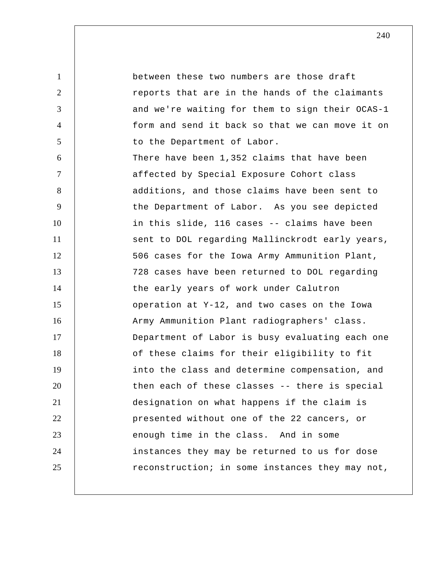1 2 3 4 5 6 7 8 9 10 11 12 13 14 15 16 17 18 19 20 21 22 23 24 25 between these two numbers are those draft reports that are in the hands of the claimants and we're waiting for them to sign their OCAS-1 form and send it back so that we can move it on to the Department of Labor. There have been 1,352 claims that have been affected by Special Exposure Cohort class additions, and those claims have been sent to the Department of Labor. As you see depicted in this slide, 116 cases -- claims have been sent to DOL regarding Mallinckrodt early years, 506 cases for the Iowa Army Ammunition Plant, 728 cases have been returned to DOL regarding the early years of work under Calutron operation at Y-12, and two cases on the Iowa Army Ammunition Plant radiographers' class. Department of Labor is busy evaluating each one of these claims for their eligibility to fit into the class and determine compensation, and then each of these classes -- there is special designation on what happens if the claim is presented without one of the 22 cancers, or enough time in the class. And in some instances they may be returned to us for dose reconstruction; in some instances they may not,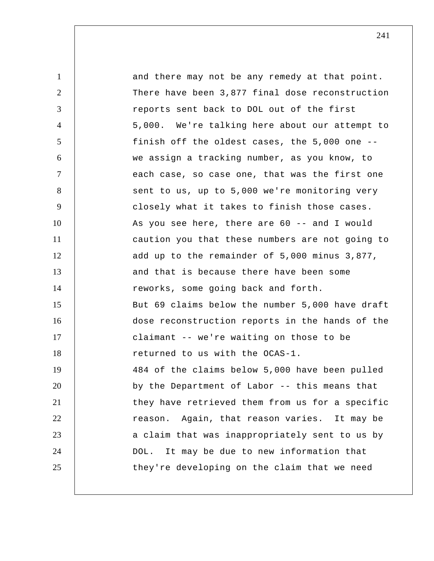1 2 3 4 5 6 7 8 9 10 11 12 13 14 15 16 17 18 19 20 21 22 23 24 25 and there may not be any remedy at that point. There have been 3,877 final dose reconstruction reports sent back to DOL out of the first 5,000. We're talking here about our attempt to finish off the oldest cases, the 5,000 one - we assign a tracking number, as you know, to each case, so case one, that was the first one sent to us, up to 5,000 we're monitoring very closely what it takes to finish those cases. As you see here, there are 60 -- and I would caution you that these numbers are not going to add up to the remainder of 5,000 minus 3,877, and that is because there have been some reworks, some going back and forth. But 69 claims below the number 5,000 have draft dose reconstruction reports in the hands of the claimant -- we're waiting on those to be returned to us with the OCAS-1. 484 of the claims below 5,000 have been pulled by the Department of Labor -- this means that they have retrieved them from us for a specific reason. Again, that reason varies. It may be a claim that was inappropriately sent to us by DOL. It may be due to new information that they're developing on the claim that we need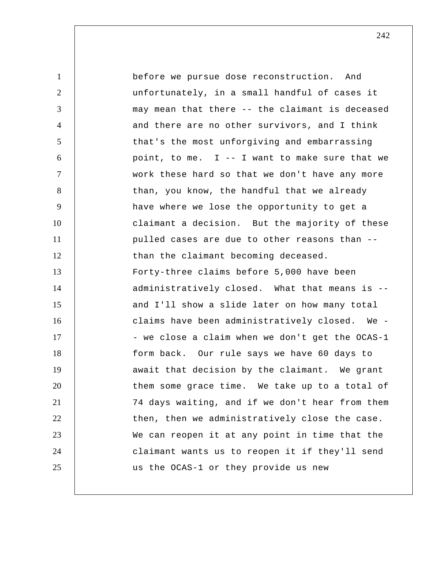1 2 3 4 5 6 7 8 9 10 11 12 13 14 15 16 17 18 19 20 21 22 23 24 25 before we pursue dose reconstruction. And unfortunately, in a small handful of cases it may mean that there -- the claimant is deceased and there are no other survivors, and I think that's the most unforgiving and embarrassing point, to me.  $I - I$  want to make sure that we work these hard so that we don't have any more than, you know, the handful that we already have where we lose the opportunity to get a claimant a decision. But the majority of these pulled cases are due to other reasons than - than the claimant becoming deceased. Forty-three claims before 5,000 have been administratively closed. What that means is - and I'll show a slide later on how many total claims have been administratively closed. We - - we close a claim when we don't get the OCAS-1 form back. Our rule says we have 60 days to await that decision by the claimant. We grant them some grace time. We take up to a total of 74 days waiting, and if we don't hear from them then, then we administratively close the case. We can reopen it at any point in time that the claimant wants us to reopen it if they'll send us the OCAS-1 or they provide us new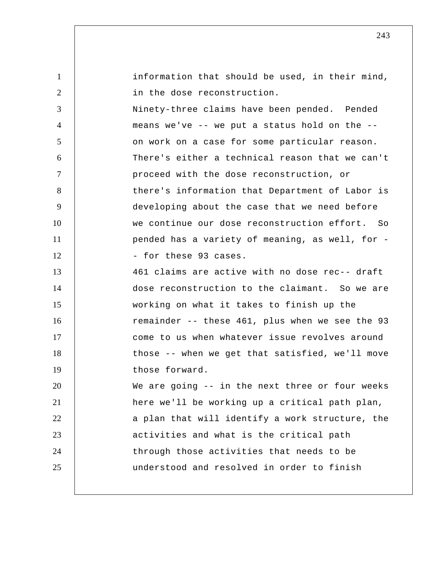| $\mathbf{1}$   | information that should be used, in their mind, |
|----------------|-------------------------------------------------|
| $\overline{2}$ | in the dose reconstruction.                     |
| 3              | Ninety-three claims have been pended. Pended    |
| $\overline{4}$ | means we've -- we put a status hold on the --   |
| 5              | on work on a case for some particular reason.   |
| 6              | There's either a technical reason that we can't |
| $\tau$         | proceed with the dose reconstruction, or        |
| 8              | there's information that Department of Labor is |
| 9              | developing about the case that we need before   |
| 10             | we continue our dose reconstruction effort. So  |
| 11             | pended has a variety of meaning, as well, for - |
| 12             | - for these 93 cases.                           |
| 13             | 461 claims are active with no dose rec-- draft  |
| 14             | dose reconstruction to the claimant. So we are  |
| 15             | working on what it takes to finish up the       |
| 16             | remainder -- these 461, plus when we see the 93 |
| 17             | come to us when whatever issue revolves around  |
| 18             | those -- when we get that satisfied, we'll move |
| 19             | those forward.                                  |
| 20             | We are going -- in the next three or four weeks |
| 21             | here we'll be working up a critical path plan,  |
| 22             | a plan that will identify a work structure, the |
| 23             | activities and what is the critical path        |
| 24             | through those activities that needs to be       |
| 25             | understood and resolved in order to finish      |
|                |                                                 |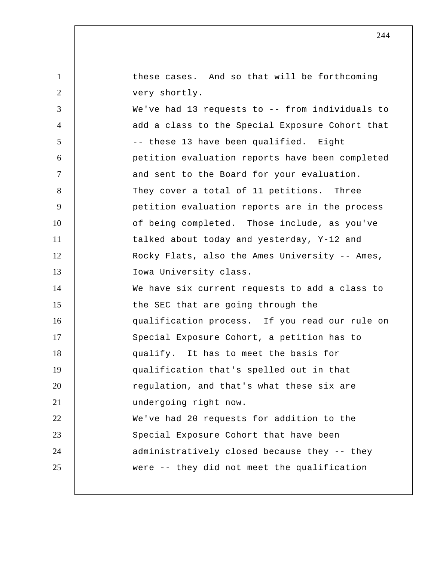these cases. And so that will be forthcoming very shortly.

1

2

3 4 5 6 7 8 9 10 11 12 13 14 15 16 17 18 19 20 21 22 23 24 25 We've had 13 requests to -- from individuals to add a class to the Special Exposure Cohort that -- these 13 have been qualified. Eight petition evaluation reports have been completed and sent to the Board for your evaluation. They cover a total of 11 petitions. Three petition evaluation reports are in the process of being completed. Those include, as you've talked about today and yesterday, Y-12 and Rocky Flats, also the Ames University -- Ames, Iowa University class. We have six current requests to add a class to the SEC that are going through the qualification process. If you read our rule on Special Exposure Cohort, a petition has to qualify. It has to meet the basis for qualification that's spelled out in that regulation, and that's what these six are undergoing right now. We've had 20 requests for addition to the Special Exposure Cohort that have been administratively closed because they -- they were -- they did not meet the qualification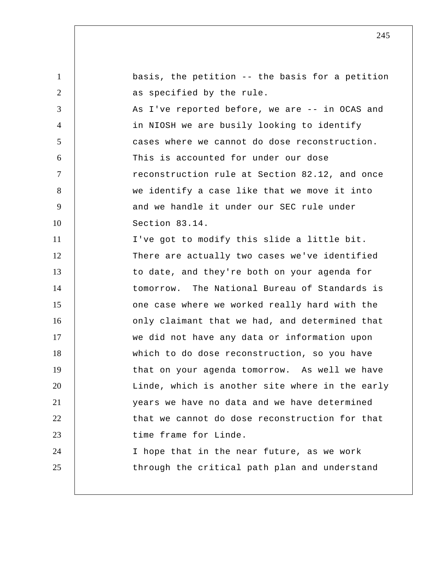1 2 3 4 5 6 7 8 9 10 11 12 13 14 15 16 17 18 19 20 21 22 23 24 25 basis, the petition -- the basis for a petition as specified by the rule. As I've reported before, we are -- in OCAS and in NIOSH we are busily looking to identify cases where we cannot do dose reconstruction. This is accounted for under our dose reconstruction rule at Section 82.12, and once we identify a case like that we move it into and we handle it under our SEC rule under Section 83.14. I've got to modify this slide a little bit. There are actually two cases we've identified to date, and they're both on your agenda for tomorrow. The National Bureau of Standards is one case where we worked really hard with the only claimant that we had, and determined that we did not have any data or information upon which to do dose reconstruction, so you have that on your agenda tomorrow. As well we have Linde, which is another site where in the early years we have no data and we have determined that we cannot do dose reconstruction for that time frame for Linde. I hope that in the near future, as we work through the critical path plan and understand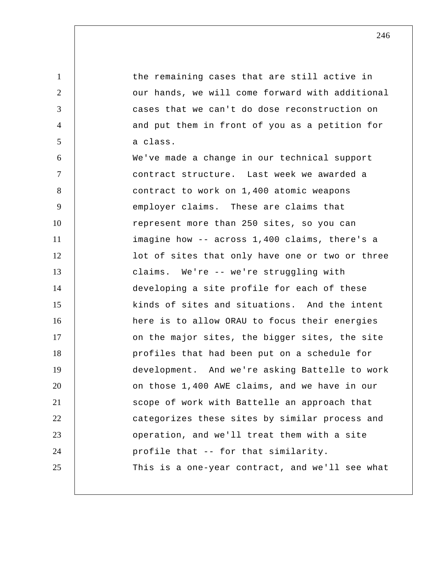1 2 3 4 5 6 7 8 9 10 11 12 13 14 15 16 17 18 19 20 21 22 23 24 25 the remaining cases that are still active in our hands, we will come forward with additional cases that we can't do dose reconstruction on and put them in front of you as a petition for a class. We've made a change in our technical support contract structure. Last week we awarded a contract to work on 1,400 atomic weapons employer claims. These are claims that represent more than 250 sites, so you can imagine how -- across 1,400 claims, there's a lot of sites that only have one or two or three claims. We're -- we're struggling with developing a site profile for each of these kinds of sites and situations. And the intent here is to allow ORAU to focus their energies on the major sites, the bigger sites, the site profiles that had been put on a schedule for development. And we're asking Battelle to work on those 1,400 AWE claims, and we have in our scope of work with Battelle an approach that categorizes these sites by similar process and operation, and we'll treat them with a site profile that -- for that similarity. This is a one-year contract, and we'll see what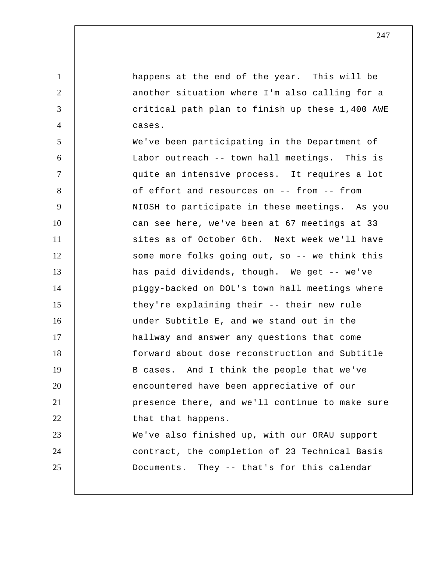happens at the end of the year. This will be another situation where I'm also calling for a critical path plan to finish up these 1,400 AWE cases.

1

2

3

4

5 6 7 8 9 10 11 12 13 14 15 16 17 18 19 20 21 22 23 24 25 We've been participating in the Department of Labor outreach -- town hall meetings. This is quite an intensive process. It requires a lot of effort and resources on -- from -- from NIOSH to participate in these meetings. As you can see here, we've been at 67 meetings at 33 sites as of October 6th. Next week we'll have some more folks going out, so -- we think this has paid dividends, though. We get -- we've piggy-backed on DOL's town hall meetings where they're explaining their -- their new rule under Subtitle E, and we stand out in the hallway and answer any questions that come forward about dose reconstruction and Subtitle B cases. And I think the people that we've encountered have been appreciative of our presence there, and we'll continue to make sure that that happens. We've also finished up, with our ORAU support contract, the completion of 23 Technical Basis Documents. They -- that's for this calendar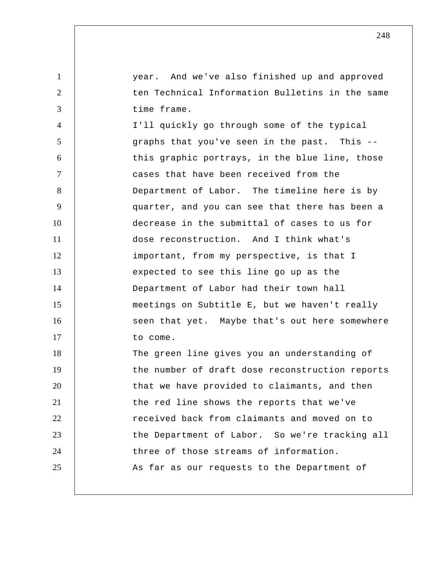year. And we've also finished up and approved ten Technical Information Bulletins in the same time frame.

1

2

3

4 5 6 7 8 9 10 11 12 13 14 15 16 17 I'll quickly go through some of the typical graphs that you've seen in the past. This - this graphic portrays, in the blue line, those cases that have been received from the Department of Labor. The timeline here is by quarter, and you can see that there has been a decrease in the submittal of cases to us for dose reconstruction. And I think what's important, from my perspective, is that I expected to see this line go up as the Department of Labor had their town hall meetings on Subtitle E, but we haven't really seen that yet. Maybe that's out here somewhere to come.

18 19 20 21 22 23 24 25 The green line gives you an understanding of the number of draft dose reconstruction reports that we have provided to claimants, and then the red line shows the reports that we've received back from claimants and moved on to the Department of Labor. So we're tracking all three of those streams of information. As far as our requests to the Department of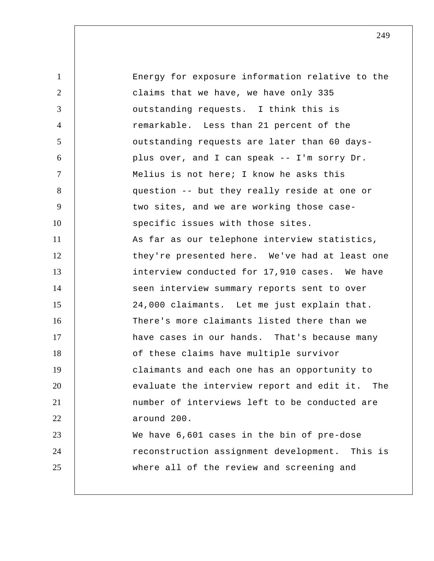| $\mathbf{1}$   | Energy for exposure information relative to the |
|----------------|-------------------------------------------------|
| $\overline{2}$ | claims that we have, we have only 335           |
| 3              | outstanding requests. I think this is           |
| $\overline{4}$ | remarkable. Less than 21 percent of the         |
| 5              | outstanding requests are later than 60 days-    |
| 6              | plus over, and I can speak -- I'm sorry Dr.     |
| $\tau$         | Melius is not here; I know he asks this         |
| 8              | question -- but they really reside at one or    |
| 9              | two sites, and we are working those case-       |
| 10             | specific issues with those sites.               |
| 11             | As far as our telephone interview statistics,   |
| 12             | they're presented here. We've had at least one  |
| 13             | interview conducted for 17,910 cases. We have   |
| 14             | seen interview summary reports sent to over     |
| 15             | 24,000 claimants. Let me just explain that.     |
| 16             | There's more claimants listed there than we     |
| 17             | have cases in our hands. That's because many    |
| 18             | of these claims have multiple survivor          |
| 19             | claimants and each one has an opportunity to    |
| 20             | evaluate the interview report and edit it. The  |
| 21             | number of interviews left to be conducted are   |
| 22             | around 200.                                     |
| 23             | We have 6,601 cases in the bin of pre-dose      |
| 24             | reconstruction assignment development. This is  |
| 25             | where all of the review and screening and       |
|                |                                                 |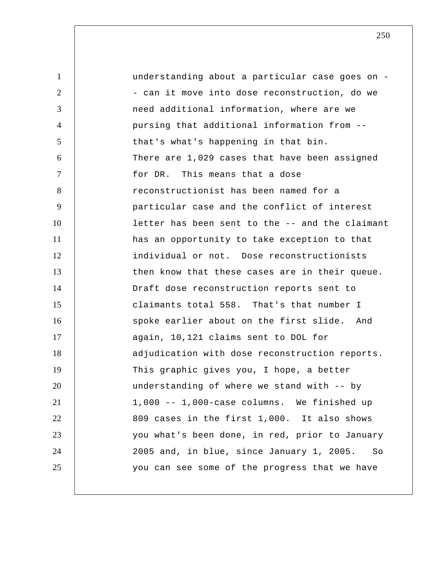1 2 3 4 5 6 7 8 9 10 11 12 13 14 15 16 17 18 19 20 21 22 23 24 25 understanding about a particular case goes on - - can it move into dose reconstruction, do we need additional information, where are we pursing that additional information from - that's what's happening in that bin. There are 1,029 cases that have been assigned for DR. This means that a dose reconstructionist has been named for a particular case and the conflict of interest letter has been sent to the -- and the claimant has an opportunity to take exception to that individual or not. Dose reconstructionists then know that these cases are in their queue. Draft dose reconstruction reports sent to claimants total 558. That's that number I spoke earlier about on the first slide. And again, 10,121 claims sent to DOL for adjudication with dose reconstruction reports. This graphic gives you, I hope, a better understanding of where we stand with -- by 1,000 -- 1,000-case columns. We finished up 809 cases in the first 1,000. It also shows you what's been done, in red, prior to January 2005 and, in blue, since January 1, 2005. So you can see some of the progress that we have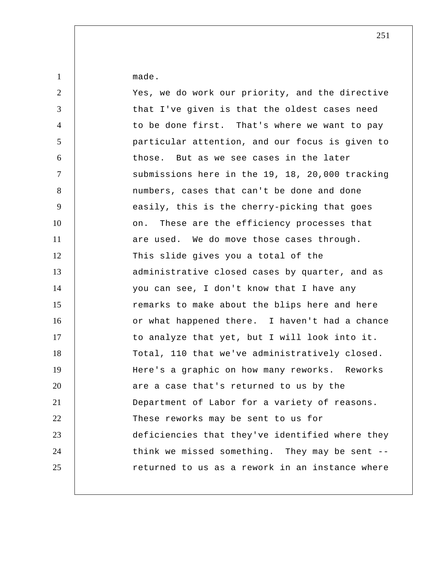made.

1

| $\overline{2}$  | Yes, we do work our priority, and the directive |
|-----------------|-------------------------------------------------|
| 3               | that I've given is that the oldest cases need   |
| $\overline{4}$  | to be done first. That's where we want to pay   |
| $5\overline{)}$ | particular attention, and our focus is given to |
| 6               | those. But as we see cases in the later         |
| $\tau$          | submissions here in the 19, 18, 20,000 tracking |
| 8               | numbers, cases that can't be done and done      |
| 9               | easily, this is the cherry-picking that goes    |
| 10              | These are the efficiency processes that<br>on.  |
| 11              | are used. We do move those cases through.       |
| 12              | This slide gives you a total of the             |
| 13              | administrative closed cases by quarter, and as  |
| 14              | you can see, I don't know that I have any       |
| 15              | remarks to make about the blips here and here   |
| 16              | or what happened there. I haven't had a chance  |
| 17              | to analyze that yet, but I will look into it.   |
| 18              | Total, 110 that we've administratively closed.  |
| 19              | Here's a graphic on how many reworks. Reworks   |
| 20              | are a case that's returned to us by the         |
| 21              | Department of Labor for a variety of reasons.   |
| 22              | These reworks may be sent to us for             |
| 23              | deficiencies that they've identified where they |
| 24              | think we missed something. They may be sent --  |
| 25              | returned to us as a rework in an instance where |
|                 |                                                 |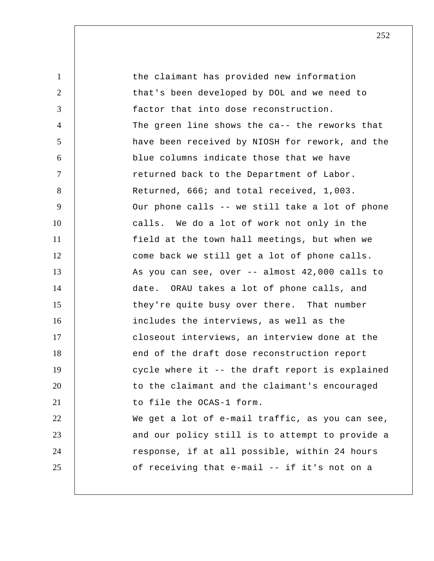1 2 3 4 5 6 7 8 9 10 11 12 13 14 15 16 17 18 19 20 21 22 23 24 25 the claimant has provided new information that's been developed by DOL and we need to factor that into dose reconstruction. The green line shows the ca-- the reworks that have been received by NIOSH for rework, and the blue columns indicate those that we have returned back to the Department of Labor. Returned, 666; and total received, 1,003. Our phone calls -- we still take a lot of phone calls. We do a lot of work not only in the field at the town hall meetings, but when we come back we still get a lot of phone calls. As you can see, over -- almost 42,000 calls to date. ORAU takes a lot of phone calls, and they're quite busy over there. That number includes the interviews, as well as the closeout interviews, an interview done at the end of the draft dose reconstruction report cycle where it -- the draft report is explained to the claimant and the claimant's encouraged to file the OCAS-1 form. We get a lot of e-mail traffic, as you can see, and our policy still is to attempt to provide a response, if at all possible, within 24 hours of receiving that e-mail -- if it's not on a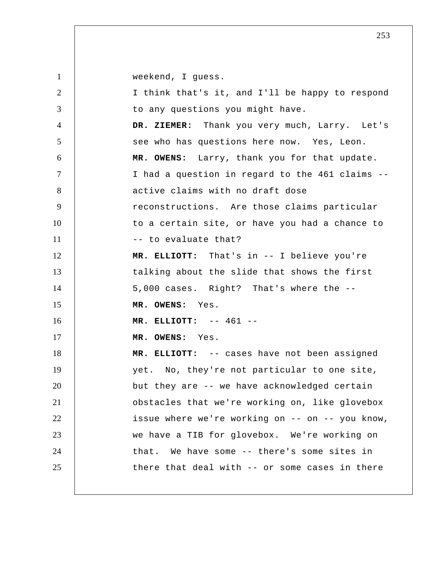weekend, I guess.

| 2              | I think that's it, and I'll be happy to respond |
|----------------|-------------------------------------------------|
| 3              | to any questions you might have.                |
| $\overline{4}$ | DR. ZIEMER: Thank you very much, Larry. Let's   |
| 5              | see who has questions here now. Yes, Leon.      |
| 6              | MR. OWENS: Larry, thank you for that update.    |
| $\tau$         | I had a question in regard to the 461 claims -- |
| 8              | active claims with no draft dose                |
| 9              | reconstructions. Are those claims particular    |
| 10             | to a certain site, or have you had a chance to  |
| 11             | -- to evaluate that?                            |
| 12             | MR. ELLIOTT: That's in -- I believe you're      |
| 13             | talking about the slide that shows the first    |
| 14             | 5,000 cases. Right? That's where the --         |
| 15             | MR. OWENS: Yes.                                 |
| 16             | MR. ELLIOTT: $-- 461 --$                        |
| 17             | MR. OWENS: Yes.                                 |
| 18             | MR. ELLIOTT: -- cases have not been assigned    |
| 19             | yet. No, they're not particular to one site,    |
| 20             | but they are -- we have acknowledged certain    |
| 21             | obstacles that we're working on, like glovebox  |
| 22             | issue where we're working on -- on -- you know, |
| 23             | we have a TIB for glovebox. We're working on    |
| 24             | that. We have some -- there's some sites in     |
| 25             | there that deal with -- or some cases in there  |
|                |                                                 |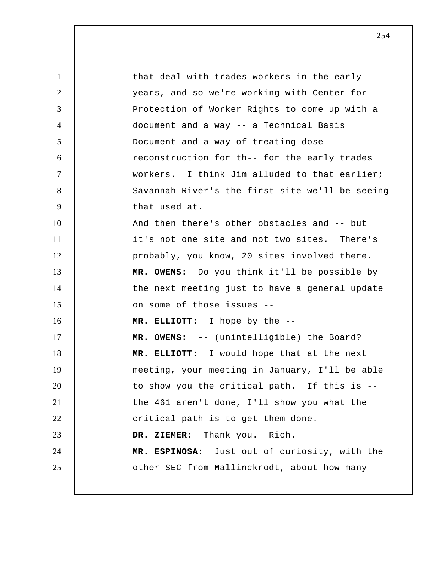1 2 3 4 5 6 7 8 9 10 11 12 13 14 15 16 17 18 19 20 21 22 23 24 25 that deal with trades workers in the early years, and so we're working with Center for Protection of Worker Rights to come up with a document and a way -- a Technical Basis Document and a way of treating dose reconstruction for th-- for the early trades workers. I think Jim alluded to that earlier; Savannah River's the first site we'll be seeing that used at. And then there's other obstacles and -- but it's not one site and not two sites. There's probably, you know, 20 sites involved there. **MR. OWENS:** Do you think it'll be possible by the next meeting just to have a general update on some of those issues --  **MR. ELLIOTT:** I hope by the -- **MR. OWENS:** -- (unintelligible) the Board?  **MR. ELLIOTT:** I would hope that at the next meeting, your meeting in January, I'll be able to show you the critical path. If this is - the 461 aren't done, I'll show you what the critical path is to get them done.  **DR. ZIEMER:** Thank you. Rich. **MR. ESPINOSA:** Just out of curiosity, with the other SEC from Mallinckrodt, about how many --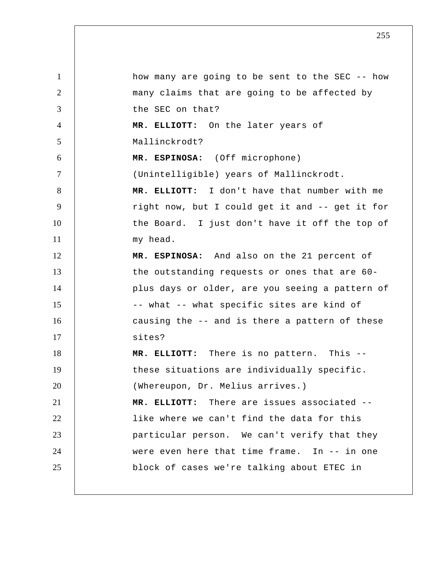1 2 3 4 5 6 7 8 9 10 11 12 13 14 15 16 17 18 19 20 21 22 23 24 25 how many are going to be sent to the SEC -- how many claims that are going to be affected by the SEC on that?  **MR. ELLIOTT:** On the later years of Mallinckrodt? **MR. ESPINOSA:** (Off microphone) (Unintelligible) years of Mallinckrodt.  **MR. ELLIOTT:** I don't have that number with me right now, but I could get it and -- get it for the Board. I just don't have it off the top of my head. **MR. ESPINOSA:** And also on the 21 percent of the outstanding requests or ones that are 60 plus days or older, are you seeing a pattern of -- what -- what specific sites are kind of causing the -- and is there a pattern of these sites?  **MR. ELLIOTT:** There is no pattern. This - these situations are individually specific. (Whereupon, Dr. Melius arrives.)  **MR. ELLIOTT:** There are issues associated - like where we can't find the data for this particular person. We can't verify that they were even here that time frame. In -- in one block of cases we're talking about ETEC in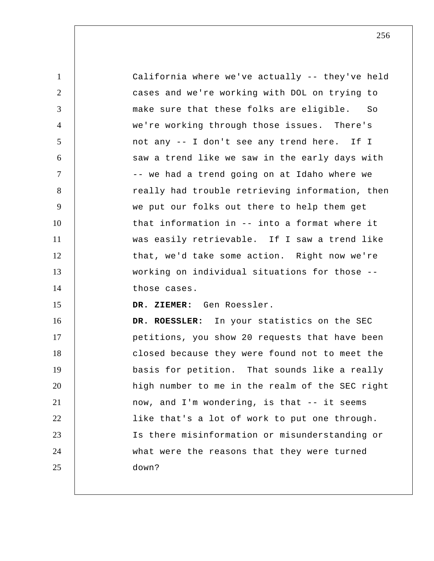| $\mathbf{1}$   | California where we've actually -- they've held |
|----------------|-------------------------------------------------|
| $\overline{2}$ | cases and we're working with DOL on trying to   |
| 3              | make sure that these folks are eligible. So     |
| $\overline{4}$ | we're working through those issues. There's     |
| 5              | not any -- I don't see any trend here. If I     |
| 6              | saw a trend like we saw in the early days with  |
| $\overline{7}$ | -- we had a trend going on at Idaho where we    |
| 8              | really had trouble retrieving information, then |
| 9              | we put our folks out there to help them get     |
| 10             | that information in -- into a format where it   |
| 11             | was easily retrievable. If I saw a trend like   |
| 12             | that, we'd take some action. Right now we're    |
| 13             | working on individual situations for those --   |
| 14             | those cases.                                    |
| 15             | DR. ZIEMER: Gen Roessler.                       |
| 16             | DR. ROESSLER: In your statistics on the SEC     |
| 17             | petitions, you show 20 requests that have been  |
| 18             | closed because they were found not to meet the  |
| 19             | basis for petition. That sounds like a really   |
| 20             | high number to me in the realm of the SEC right |
| 21             | now, and I'm wondering, is that -- it seems     |
| 22             | like that's a lot of work to put one through.   |
| 23             | Is there misinformation or misunderstanding or  |
| 24             | what were the reasons that they were turned     |
| 25             | down?                                           |
|                |                                                 |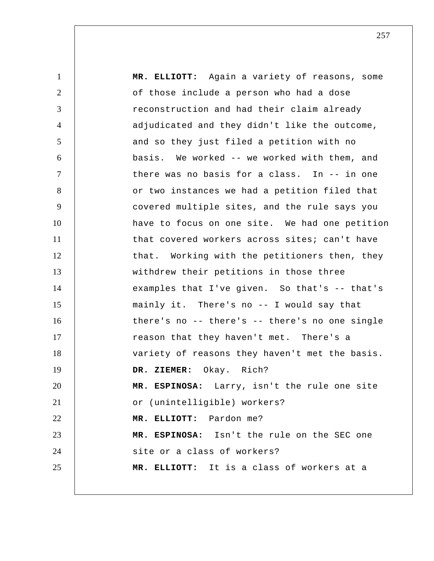1 2 3 4 5 6 7 8 9 10 11 12 13 14 15 16 17 18 19 20 21 22 23 24 25  **MR. ELLIOTT:** Again a variety of reasons, some of those include a person who had a dose reconstruction and had their claim already adjudicated and they didn't like the outcome, and so they just filed a petition with no basis. We worked -- we worked with them, and there was no basis for a class. In -- in one or two instances we had a petition filed that covered multiple sites, and the rule says you have to focus on one site. We had one petition that covered workers across sites; can't have that. Working with the petitioners then, they withdrew their petitions in those three examples that I've given. So that's -- that's mainly it. There's no -- I would say that there's no -- there's -- there's no one single reason that they haven't met. There's a variety of reasons they haven't met the basis.  **DR. ZIEMER:** Okay. Rich? **MR. ESPINOSA:** Larry, isn't the rule one site or (unintelligible) workers?  **MR. ELLIOTT:** Pardon me? **MR. ESPINOSA:** Isn't the rule on the SEC one site or a class of workers?  **MR. ELLIOTT:** It is a class of workers at a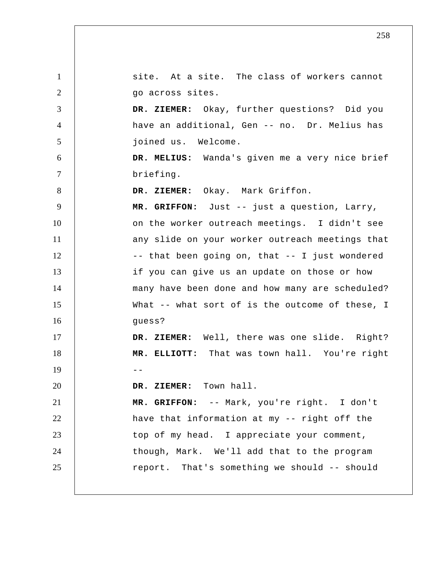1 2 3 4 5 6 7 8 9 10 11 12 13 14 15 16 17 18  $19$  --20 21 22 23 24 25 site. At a site. The class of workers cannot go across sites.  **DR. ZIEMER:** Okay, further questions? Did you have an additional, Gen -- no. Dr. Melius has joined us. Welcome.  **DR. MELIUS:** Wanda's given me a very nice brief briefing.  **DR. ZIEMER:** Okay. Mark Griffon.  **MR. GRIFFON:** Just -- just a question, Larry, on the worker outreach meetings. I didn't see any slide on your worker outreach meetings that -- that been going on, that -- I just wondered if you can give us an update on those or how many have been done and how many are scheduled? What -- what sort of is the outcome of these, I guess?  **DR. ZIEMER:** Well, there was one slide. Right?  **MR. ELLIOTT:** That was town hall. You're right  **DR. ZIEMER:** Town hall.  **MR. GRIFFON:** -- Mark, you're right. I don't have that information at my -- right off the top of my head. I appreciate your comment, though, Mark. We'll add that to the program report. That's something we should -- should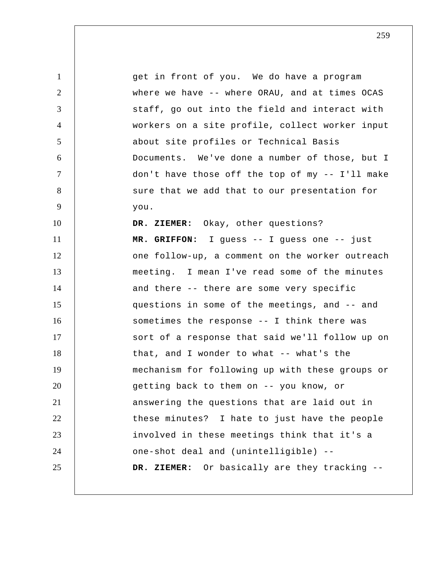1 2 3 4 5 6 7 8 9 10 11 12 13 14 15 16 17 18 19 20 21 22 23 24 25 get in front of you. We do have a program where we have -- where ORAU, and at times OCAS staff, go out into the field and interact with workers on a site profile, collect worker input about site profiles or Technical Basis Documents. We've done a number of those, but I don't have those off the top of my -- I'll make sure that we add that to our presentation for you.  **DR. ZIEMER:** Okay, other questions?  **MR. GRIFFON:** I guess -- I guess one -- just one follow-up, a comment on the worker outreach meeting. I mean I've read some of the minutes and there -- there are some very specific questions in some of the meetings, and -- and sometimes the response -- I think there was sort of a response that said we'll follow up on that, and I wonder to what -- what's the mechanism for following up with these groups or getting back to them on -- you know, or answering the questions that are laid out in these minutes? I hate to just have the people involved in these meetings think that it's a one-shot deal and (unintelligible) --  **DR. ZIEMER:** Or basically are they tracking --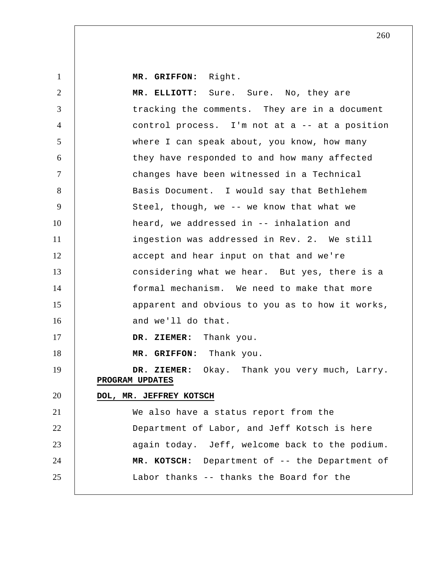**MR. GRIFFON:** Right.

1

| $\overline{2}$ | MR. ELLIOTT: Sure. Sure. No, they are                            |
|----------------|------------------------------------------------------------------|
| 3              | tracking the comments. They are in a document                    |
| $\overline{4}$ | control process. I'm not at a -- at a position                   |
| 5              | where I can speak about, you know, how many                      |
| 6              | they have responded to and how many affected                     |
| $\tau$         | changes have been witnessed in a Technical                       |
| 8              | Basis Document. I would say that Bethlehem                       |
| 9              | Steel, though, we -- we know that what we                        |
| 10             | heard, we addressed in -- inhalation and                         |
| 11             | ingestion was addressed in Rev. 2. We still                      |
| 12             | accept and hear input on that and we're                          |
| 13             | considering what we hear. But yes, there is a                    |
| 14             | formal mechanism. We need to make that more                      |
| 15             | apparent and obvious to you as to how it works,                  |
| 16             | and we'll do that.                                               |
| 17             | DR. ZIEMER: Thank you.                                           |
| 18             | MR. GRIFFON: Thank you.                                          |
| 19             | DR. ZIEMER: Okay. Thank you very much, Larry.<br>PROGRAM UPDATES |
| 20             | DOL, MR. JEFFREY KOTSCH                                          |
| 21             | We also have a status report from the                            |
| 22             | Department of Labor, and Jeff Kotsch is here                     |
| 23             | again today. Jeff, welcome back to the podium.                   |
| 24             | MR. KOTSCH: Department of -- the Department of                   |
| 25             | Labor thanks -- thanks the Board for the                         |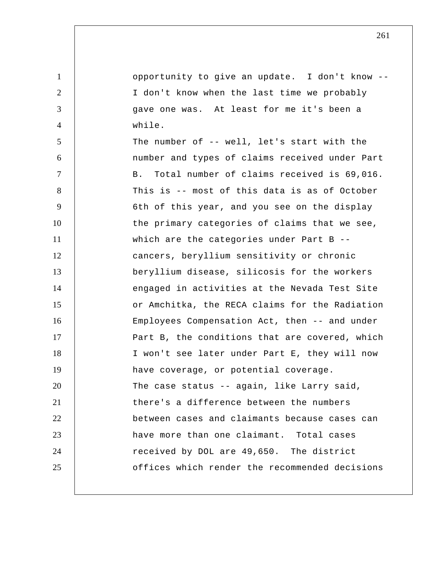1 2 3 4 5 6 7 8 9 10 11 12 13 14 15 16 17 18 19 20 21 22 23 24 25 opportunity to give an update. I don't know -- I don't know when the last time we probably gave one was. At least for me it's been a while. The number of -- well, let's start with the number and types of claims received under Part B. Total number of claims received is 69,016. This is -- most of this data is as of October 6th of this year, and you see on the display the primary categories of claims that we see, which are the categories under Part B -cancers, beryllium sensitivity or chronic beryllium disease, silicosis for the workers engaged in activities at the Nevada Test Site or Amchitka, the RECA claims for the Radiation Employees Compensation Act, then -- and under Part B, the conditions that are covered, which I won't see later under Part E, they will now have coverage, or potential coverage. The case status -- again, like Larry said, there's a difference between the numbers between cases and claimants because cases can have more than one claimant. Total cases received by DOL are 49,650. The district offices which render the recommended decisions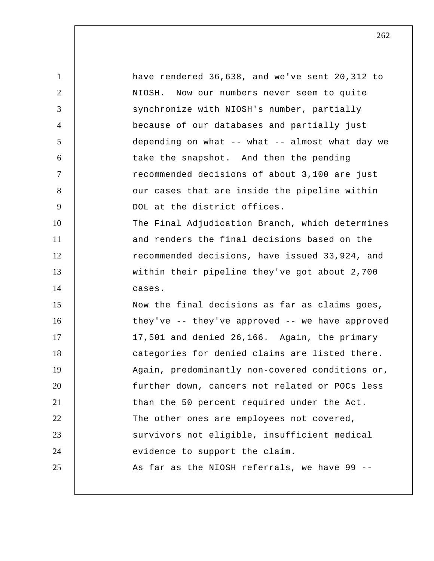| $\mathbf{1}$   | have rendered 36,638, and we've sent 20,312 to  |
|----------------|-------------------------------------------------|
| $\overline{2}$ | NIOSH. Now our numbers never seem to quite      |
| 3              | synchronize with NIOSH's number, partially      |
| $\overline{4}$ | because of our databases and partially just     |
| 5              | depending on what -- what -- almost what day we |
| 6              | take the snapshot. And then the pending         |
| $\overline{7}$ | recommended decisions of about 3,100 are just   |
| 8              | our cases that are inside the pipeline within   |
| 9              | DOL at the district offices.                    |
| 10             | The Final Adjudication Branch, which determines |
| 11             | and renders the final decisions based on the    |
| 12             | recommended decisions, have issued 33,924, and  |
| 13             | within their pipeline they've got about 2,700   |
| 14             | cases.                                          |
| 15             | Now the final decisions as far as claims goes,  |
| 16             | they've -- they've approved -- we have approved |
| 17             | 17,501 and denied 26,166. Again, the primary    |
| 18             | categories for denied claims are listed there.  |
| 19             | Again, predominantly non-covered conditions or, |
| 20             | further down, cancers not related or POCs less  |
| 21             | than the 50 percent required under the Act.     |
| 22             | The other ones are employees not covered,       |
| 23             | survivors not eligible, insufficient medical    |
| 24             | evidence to support the claim.                  |
| 25             | As far as the NIOSH referrals, we have 99 --    |
|                |                                                 |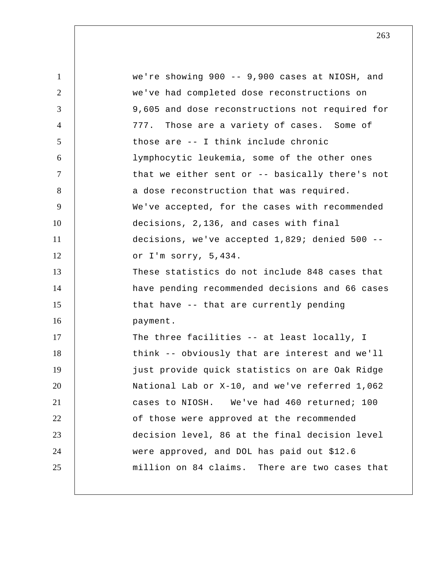1 2 3 4 5 6 7 8 9 10 11 12 13 14 15 16 17 18 19 20 21 22 23 24 25 we're showing 900 -- 9,900 cases at NIOSH, and we've had completed dose reconstructions on 9,605 and dose reconstructions not required for 777. Those are a variety of cases. Some of those are -- I think include chronic lymphocytic leukemia, some of the other ones that we either sent or -- basically there's not a dose reconstruction that was required. We've accepted, for the cases with recommended decisions, 2,136, and cases with final decisions, we've accepted 1,829; denied 500 - or I'm sorry, 5,434. These statistics do not include 848 cases that have pending recommended decisions and 66 cases that have -- that are currently pending payment. The three facilities -- at least locally, I think -- obviously that are interest and we'll just provide quick statistics on are Oak Ridge National Lab or X-10, and we've referred 1,062 cases to NIOSH. We've had 460 returned; 100 of those were approved at the recommended decision level, 86 at the final decision level were approved, and DOL has paid out \$12.6 million on 84 claims. There are two cases that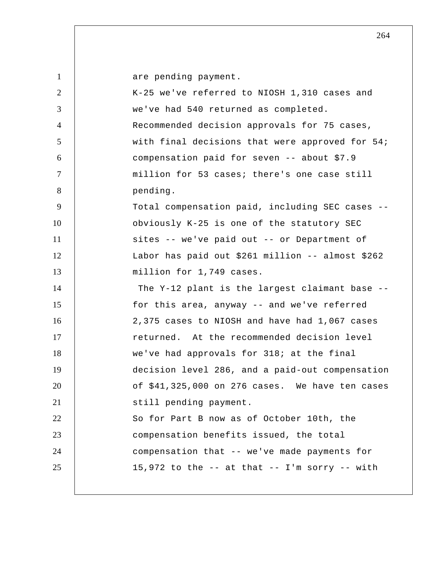| $\mathbf{1}$   | are pending payment.                                |
|----------------|-----------------------------------------------------|
| 2              | K-25 we've referred to NIOSH 1,310 cases and        |
| 3              | we've had 540 returned as completed.                |
| $\overline{4}$ | Recommended decision approvals for 75 cases,        |
| 5              | with final decisions that were approved for 54;     |
| 6              | compensation paid for seven -- about \$7.9          |
| $\tau$         | million for 53 cases; there's one case still        |
| 8              | pending.                                            |
| 9              | Total compensation paid, including SEC cases --     |
| 10             | obviously K-25 is one of the statutory SEC          |
| 11             | sites -- we've paid out -- or Department of         |
| 12             | Labor has paid out \$261 million -- almost \$262    |
| 13             | million for 1,749 cases.                            |
| 14             | The Y-12 plant is the largest claimant base --      |
| 15             | for this area, anyway -- and we've referred         |
| 16             | 2,375 cases to NIOSH and have had 1,067 cases       |
| 17             | returned. At the recommended decision level         |
| 18             | we've had approvals for 318; at the final           |
| 19             | decision level 286, and a paid-out compensation     |
| 20             | of $$41,325,000$ on 276 cases. We have ten cases    |
| 21             | still pending payment.                              |
| 22             | So for Part B now as of October 10th, the           |
| 23             | compensation benefits issued, the total             |
| 24             | compensation that -- we've made payments for        |
| 25             | 15,972 to the $--$ at that $--$ I'm sorry $--$ with |
|                |                                                     |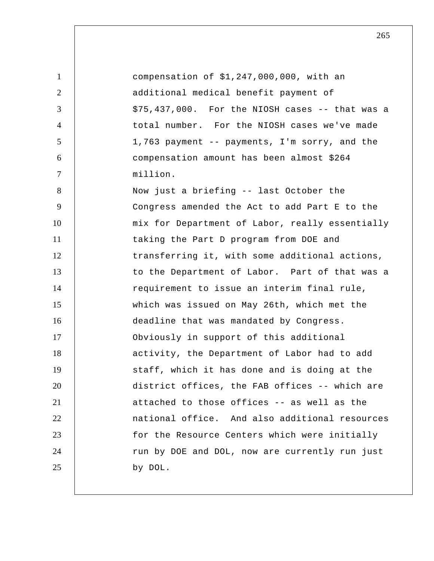1 2 3 4 5 6 7 8 9 10 11 12 13 14 15 16 17 18 19 20 21 22 23 24 25 compensation of \$1,247,000,000, with an additional medical benefit payment of \$75,437,000. For the NIOSH cases -- that was a total number. For the NIOSH cases we've made 1,763 payment -- payments, I'm sorry, and the compensation amount has been almost \$264 million. Now just a briefing -- last October the Congress amended the Act to add Part E to the mix for Department of Labor, really essentially taking the Part D program from DOE and transferring it, with some additional actions, to the Department of Labor. Part of that was a requirement to issue an interim final rule, which was issued on May 26th, which met the deadline that was mandated by Congress. Obviously in support of this additional activity, the Department of Labor had to add staff, which it has done and is doing at the district offices, the FAB offices -- which are attached to those offices -- as well as the national office. And also additional resources for the Resource Centers which were initially run by DOE and DOL, now are currently run just by DOL.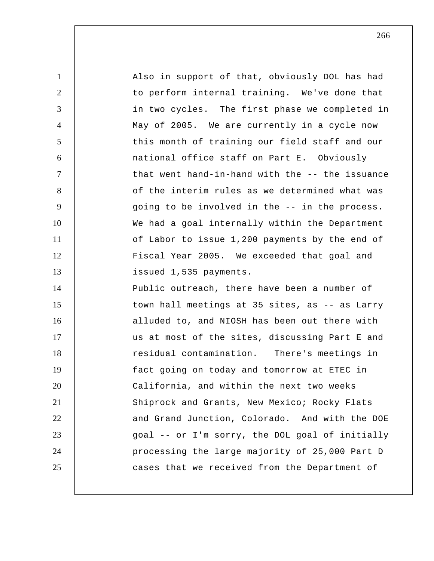1 2 3 4 5 6 7 8 9 10 11 12 13 14 15 16 17 18 19 20 21 22 23 24 25 Also in support of that, obviously DOL has had to perform internal training. We've done that in two cycles. The first phase we completed in May of 2005. We are currently in a cycle now this month of training our field staff and our national office staff on Part E. Obviously that went hand-in-hand with the -- the issuance of the interim rules as we determined what was going to be involved in the -- in the process. We had a goal internally within the Department of Labor to issue 1,200 payments by the end of Fiscal Year 2005. We exceeded that goal and issued 1,535 payments. Public outreach, there have been a number of town hall meetings at 35 sites, as -- as Larry alluded to, and NIOSH has been out there with us at most of the sites, discussing Part E and residual contamination. There's meetings in fact going on today and tomorrow at ETEC in California, and within the next two weeks Shiprock and Grants, New Mexico; Rocky Flats and Grand Junction, Colorado. And with the DOE goal -- or I'm sorry, the DOL goal of initially processing the large majority of 25,000 Part D cases that we received from the Department of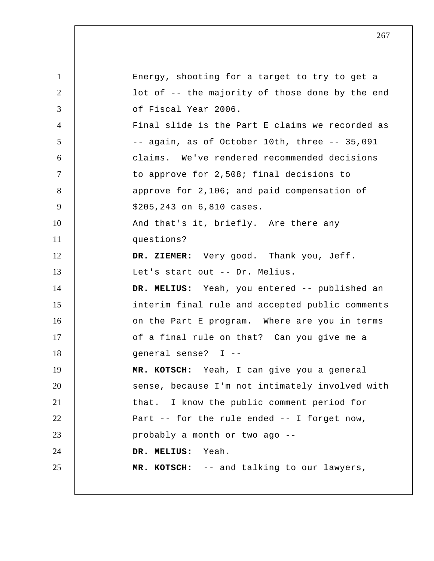1 2 3 4 5 6 7 8 9 10 11 12 13 14 15 16 17 18 19 20 21 22 23 24 25 Energy, shooting for a target to try to get a lot of -- the majority of those done by the end of Fiscal Year 2006. Final slide is the Part E claims we recorded as -- again, as of October 10th, three -- 35,091 claims. We've rendered recommended decisions to approve for 2,508; final decisions to approve for 2,106; and paid compensation of \$205,243 on 6,810 cases. And that's it, briefly. Are there any questions?  **DR. ZIEMER:** Very good. Thank you, Jeff. Let's start out -- Dr. Melius.  **DR. MELIUS:** Yeah, you entered -- published an interim final rule and accepted public comments on the Part E program. Where are you in terms of a final rule on that? Can you give me a general sense? I --  **MR. KOTSCH:** Yeah, I can give you a general sense, because I'm not intimately involved with that. I know the public comment period for Part -- for the rule ended -- I forget now, probably a month or two ago --  **DR. MELIUS:** Yeah.  **MR. KOTSCH:** -- and talking to our lawyers,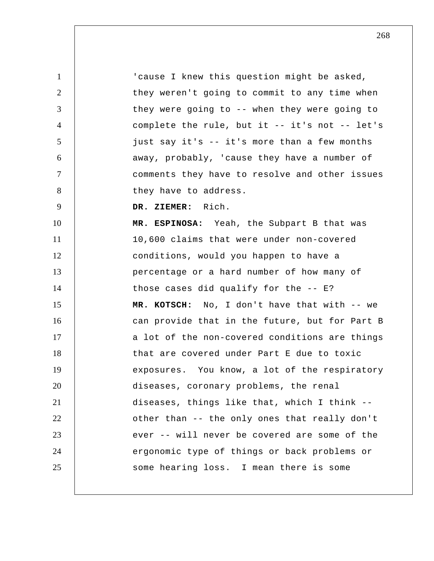1 2 3 4 5 6 7 8 9 10 11 12 13 14 15 16 17 18 19 20 21 22 23 24 25 'cause I knew this question might be asked, they weren't going to commit to any time when they were going to -- when they were going to complete the rule, but it -- it's not -- let's just say it's -- it's more than a few months away, probably, 'cause they have a number of comments they have to resolve and other issues they have to address.  **DR. ZIEMER:** Rich. **MR. ESPINOSA:** Yeah, the Subpart B that was 10,600 claims that were under non-covered conditions, would you happen to have a percentage or a hard number of how many of those cases did qualify for the -- E?  **MR. KOTSCH:** No, I don't have that with -- we can provide that in the future, but for Part B a lot of the non-covered conditions are things that are covered under Part E due to toxic exposures. You know, a lot of the respiratory diseases, coronary problems, the renal diseases, things like that, which I think - other than -- the only ones that really don't ever -- will never be covered are some of the ergonomic type of things or back problems or some hearing loss. I mean there is some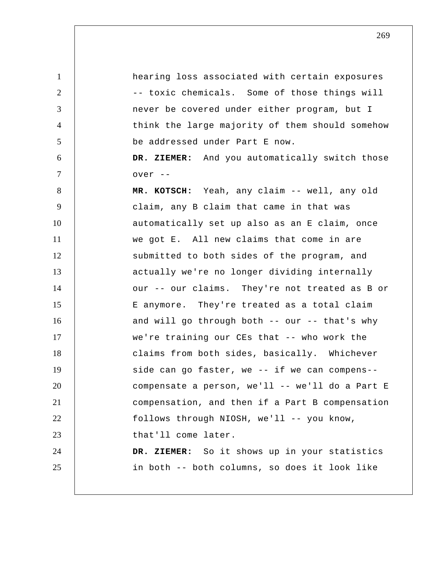1 2 3 4 5 6 7 8 9 10 11 12 13 14 15 16 17 18 19 20 21 22 23 24 25 hearing loss associated with certain exposures -- toxic chemicals. Some of those things will never be covered under either program, but I think the large majority of them should somehow be addressed under Part E now.  **DR. ZIEMER:** And you automatically switch those over --  **MR. KOTSCH:** Yeah, any claim -- well, any old claim, any B claim that came in that was automatically set up also as an E claim, once we got E. All new claims that come in are submitted to both sides of the program, and actually we're no longer dividing internally our -- our claims. They're not treated as B or E anymore. They're treated as a total claim and will go through both -- our -- that's why we're training our CEs that -- who work the claims from both sides, basically. Whichever side can go faster, we -- if we can compens- compensate a person, we'll -- we'll do a Part E compensation, and then if a Part B compensation follows through NIOSH, we'll -- you know, that'll come later.  **DR. ZIEMER:** So it shows up in your statistics in both -- both columns, so does it look like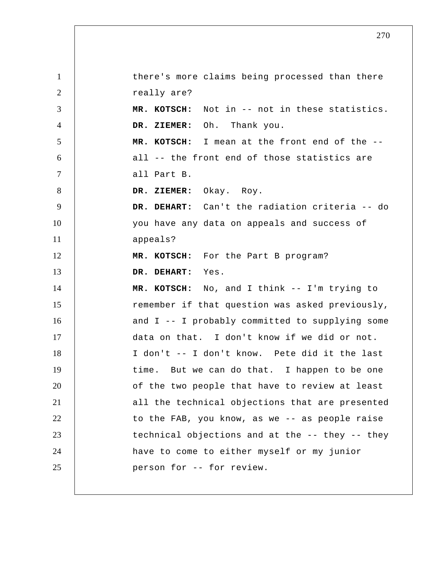1 2 3 4 5 6 7 8 9 10 11 12 13 14 15 16 17 18 19 20 21 22 23 24 25 there's more claims being processed than there really are?  **MR. KOTSCH:** Not in -- not in these statistics.  **DR. ZIEMER:** Oh. Thank you.  **MR. KOTSCH:** I mean at the front end of the - all -- the front end of those statistics are all Part B.  **DR. ZIEMER:** Okay. Roy.  **DR. DEHART:** Can't the radiation criteria -- do you have any data on appeals and success of appeals?  **MR. KOTSCH:** For the Part B program?  **DR. DEHART:** Yes.  **MR. KOTSCH:** No, and I think -- I'm trying to remember if that question was asked previously, and I -- I probably committed to supplying some data on that. I don't know if we did or not. I don't -- I don't know. Pete did it the last time. But we can do that. I happen to be one of the two people that have to review at least all the technical objections that are presented to the FAB, you know, as we -- as people raise technical objections and at the -- they -- they have to come to either myself or my junior person for -- for review.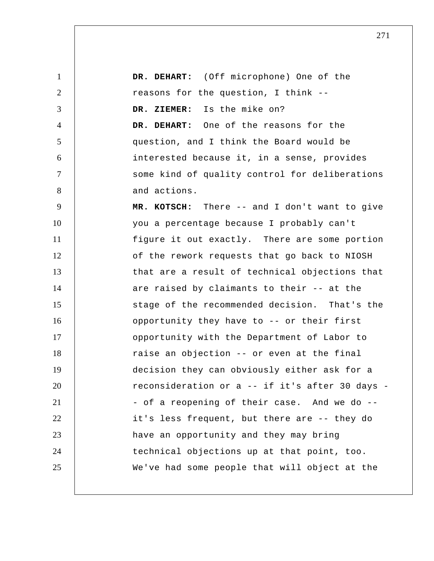1 2 3 4 5 6 7 8 9 10 11 12 13 14 15 16 17 18 19 20 21 22 23 24 25  **DR. DEHART:** (Off microphone) One of the reasons for the question, I think --  **DR. ZIEMER:** Is the mike on?  **DR. DEHART:** One of the reasons for the question, and I think the Board would be interested because it, in a sense, provides some kind of quality control for deliberations and actions.  **MR. KOTSCH:** There -- and I don't want to give you a percentage because I probably can't figure it out exactly. There are some portion of the rework requests that go back to NIOSH that are a result of technical objections that are raised by claimants to their -- at the stage of the recommended decision. That's the opportunity they have to -- or their first opportunity with the Department of Labor to raise an objection -- or even at the final decision they can obviously either ask for a reconsideration or a -- if it's after 30 days - - of a reopening of their case. And we do - it's less frequent, but there are -- they do have an opportunity and they may bring technical objections up at that point, too. We've had some people that will object at the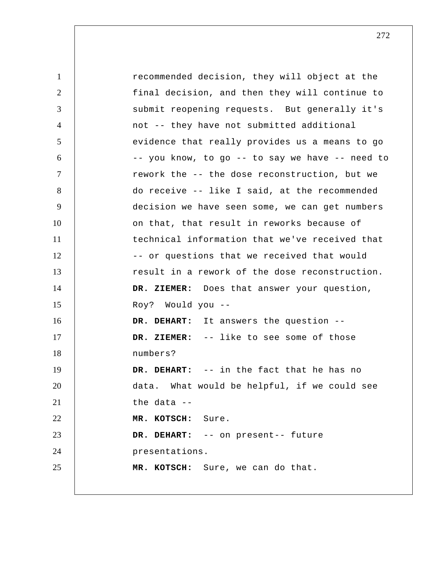1 2 3 4 5 6 7 8 9 10 11 12 13 14 15 16 17 18 19 20 21 22 23 24 25 recommended decision, they will object at the final decision, and then they will continue to submit reopening requests. But generally it's not -- they have not submitted additional evidence that really provides us a means to go -- you know, to go -- to say we have -- need to rework the -- the dose reconstruction, but we do receive -- like I said, at the recommended decision we have seen some, we can get numbers on that, that result in reworks because of technical information that we've received that -- or questions that we received that would result in a rework of the dose reconstruction.  **DR. ZIEMER:** Does that answer your question, Roy? Would you --  **DR. DEHART:** It answers the question --  **DR. ZIEMER:** -- like to see some of those numbers?  **DR. DEHART:** -- in the fact that he has no data. What would be helpful, if we could see the data --  **MR. KOTSCH:** Sure.  **DR. DEHART:** -- on present-- future presentations.  **MR. KOTSCH:** Sure, we can do that.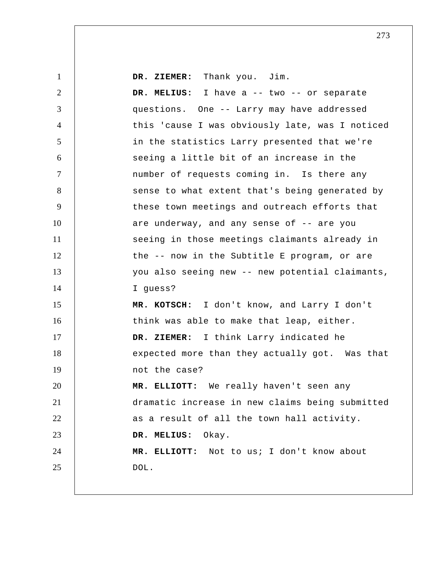| $\mathbf{1}$   | DR. ZIEMER: Thank you. Jim.                     |
|----------------|-------------------------------------------------|
| 2              | DR. MELIUS: I have a -- two -- or separate      |
| 3              | questions. One -- Larry may have addressed      |
| $\overline{4}$ | this 'cause I was obviously late, was I noticed |
| 5              | in the statistics Larry presented that we're    |
| 6              | seeing a little bit of an increase in the       |
| $\tau$         | number of requests coming in. Is there any      |
| 8              | sense to what extent that's being generated by  |
| 9              | these town meetings and outreach efforts that   |
| 10             | are underway, and any sense of -- are you       |
| 11             | seeing in those meetings claimants already in   |
| 12             | the -- now in the Subtitle E program, or are    |
| 13             | you also seeing new -- new potential claimants, |
| 14             | I guess?                                        |
| 15             | MR. KOTSCH: I don't know, and Larry I don't     |
| 16             | think was able to make that leap, either.       |
| 17             | DR. ZIEMER: I think Larry indicated he          |
| 18             | expected more than they actually got. Was that  |
| 19             | not the case?                                   |
| 20             | MR. ELLIOTT: We really haven't seen any         |
| 21             | dramatic increase in new claims being submitted |
| 22             | as a result of all the town hall activity.      |
| 23             | DR. MELIUS:<br>Okay.                            |
| 24             | MR. ELLIOTT: Not to us; I don't know about      |
| 25             | DOL.                                            |
|                |                                                 |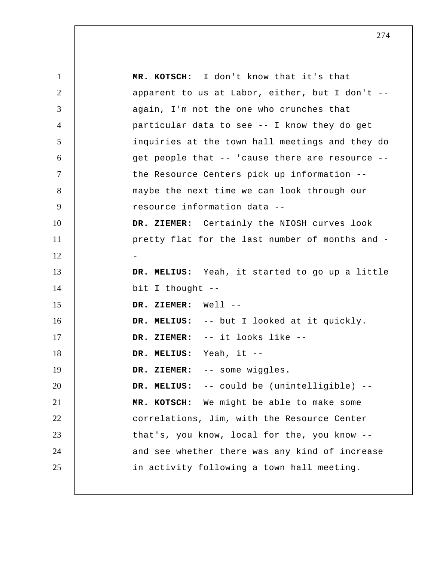1 2 3 4 5 6 7 8 9 10 11 12 13 14 15 16 17 18 19 20 21 22 23 24 25  **MR. KOTSCH:** I don't know that it's that apparent to us at Labor, either, but I don't - again, I'm not the one who crunches that particular data to see -- I know they do get inquiries at the town hall meetings and they do get people that -- 'cause there are resource - the Resource Centers pick up information - maybe the next time we can look through our resource information data --  **DR. ZIEMER:** Certainly the NIOSH curves look pretty flat for the last number of months and - -  **DR. MELIUS:** Yeah, it started to go up a little bit I thought --  **DR. ZIEMER:** Well --  **DR. MELIUS:** -- but I looked at it quickly.  **DR. ZIEMER:** -- it looks like --  **DR. MELIUS:** Yeah, it --  **DR. ZIEMER:** -- some wiggles.  **DR. MELIUS:** -- could be (unintelligible) --  **MR. KOTSCH:** We might be able to make some correlations, Jim, with the Resource Center that's, you know, local for the, you know - and see whether there was any kind of increase in activity following a town hall meeting.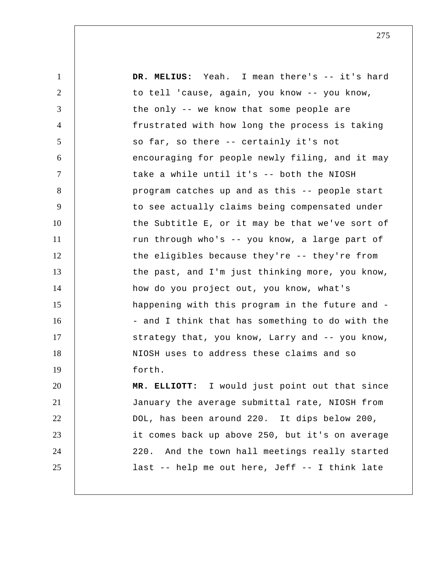1 2 3 4 5 6 7 8 9 10 11 12 13 14 15 16 17 18 19 20 21 22 23 24 25  **DR. MELIUS:** Yeah. I mean there's -- it's hard to tell 'cause, again, you know -- you know, the only -- we know that some people are frustrated with how long the process is taking so far, so there -- certainly it's not encouraging for people newly filing, and it may take a while until it's -- both the NIOSH program catches up and as this -- people start to see actually claims being compensated under the Subtitle E, or it may be that we've sort of run through who's -- you know, a large part of the eligibles because they're -- they're from the past, and I'm just thinking more, you know, how do you project out, you know, what's happening with this program in the future and - - and I think that has something to do with the strategy that, you know, Larry and -- you know, NIOSH uses to address these claims and so forth.  **MR. ELLIOTT:** I would just point out that since January the average submittal rate, NIOSH from DOL, has been around 220. It dips below 200, it comes back up above 250, but it's on average 220. And the town hall meetings really started last -- help me out here, Jeff -- I think late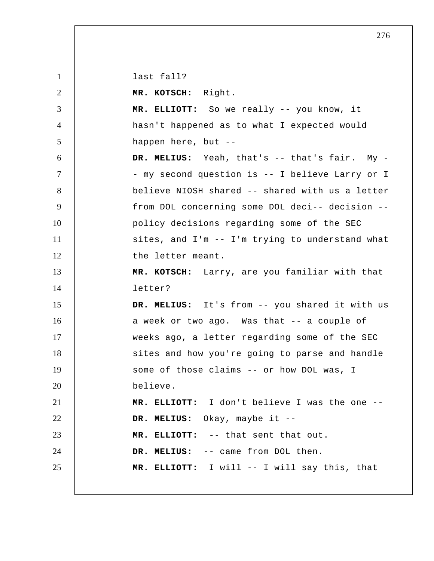1 2 3 4 5 6 7 8 9 10 11 12 13 14 15 16 17 18 19 20 21 22 23 24 25 last fall?  **MR. KOTSCH:** Right.  **MR. ELLIOTT:** So we really -- you know, it hasn't happened as to what I expected would happen here, but --  **DR. MELIUS:** Yeah, that's -- that's fair. My - - my second question is -- I believe Larry or I believe NIOSH shared -- shared with us a letter from DOL concerning some DOL deci-- decision - policy decisions regarding some of the SEC sites, and I'm -- I'm trying to understand what the letter meant.  **MR. KOTSCH:** Larry, are you familiar with that letter?  **DR. MELIUS:** It's from -- you shared it with us a week or two ago. Was that -- a couple of weeks ago, a letter regarding some of the SEC sites and how you're going to parse and handle some of those claims -- or how DOL was, I believe.  **MR. ELLIOTT:** I don't believe I was the one --  **DR. MELIUS:** Okay, maybe it --  **MR. ELLIOTT:** -- that sent that out.  **DR. MELIUS:** -- came from DOL then.  **MR. ELLIOTT:** I will -- I will say this, that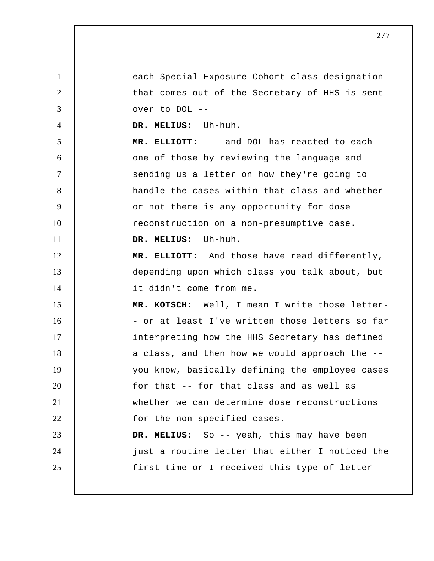1 2 3 4 5 6 7 8 9 10 11 12 13 14 15 16 17 18 19 20 21 22 23 24 25 each Special Exposure Cohort class designation that comes out of the Secretary of HHS is sent over to DOL --  **DR. MELIUS:** Uh-huh.  **MR. ELLIOTT:** -- and DOL has reacted to each one of those by reviewing the language and sending us a letter on how they're going to handle the cases within that class and whether or not there is any opportunity for dose reconstruction on a non-presumptive case.  **DR. MELIUS:** Uh-huh.  **MR. ELLIOTT:** And those have read differently, depending upon which class you talk about, but it didn't come from me.  **MR. KOTSCH:** Well, I mean I write those letter- - or at least I've written those letters so far interpreting how the HHS Secretary has defined a class, and then how we would approach the - you know, basically defining the employee cases for that -- for that class and as well as whether we can determine dose reconstructions for the non-specified cases.  **DR. MELIUS:** So -- yeah, this may have been just a routine letter that either I noticed the first time or I received this type of letter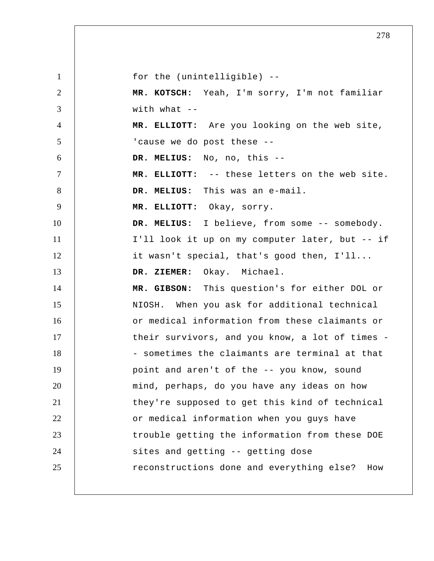1 2 3 4 5 6 7 8 9 10 11 12 13 14 15 16 17 18 19 20 21 22 23 24 25 for the (unintelligible) --  **MR. KOTSCH:** Yeah, I'm sorry, I'm not familiar with what  $-$  **MR. ELLIOTT:** Are you looking on the web site, 'cause we do post these --  **DR. MELIUS:** No, no, this --  **MR. ELLIOTT:** -- these letters on the web site.  **DR. MELIUS:** This was an e-mail.  **MR. ELLIOTT:** Okay, sorry.  **DR. MELIUS:** I believe, from some -- somebody. I'll look it up on my computer later, but -- if it wasn't special, that's good then, I'll...  **DR. ZIEMER:** Okay. Michael.  **MR. GIBSON:** This question's for either DOL or NIOSH. When you ask for additional technical or medical information from these claimants or their survivors, and you know, a lot of times - - sometimes the claimants are terminal at that point and aren't of the -- you know, sound mind, perhaps, do you have any ideas on how they're supposed to get this kind of technical or medical information when you guys have trouble getting the information from these DOE sites and getting -- getting dose reconstructions done and everything else? How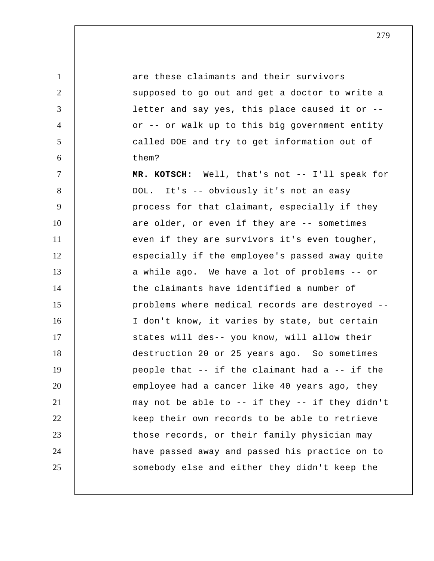1 2 3 4 5 6 7 8 9 10 11 12 13 14 15 16 17 18 19 20 21 22 23 24 25 are these claimants and their survivors supposed to go out and get a doctor to write a letter and say yes, this place caused it or - or -- or walk up to this big government entity called DOE and try to get information out of them?  **MR. KOTSCH:** Well, that's not -- I'll speak for DOL. It's -- obviously it's not an easy process for that claimant, especially if they are older, or even if they are -- sometimes even if they are survivors it's even tougher, especially if the employee's passed away quite a while ago. We have a lot of problems -- or the claimants have identified a number of problems where medical records are destroyed -- I don't know, it varies by state, but certain states will des-- you know, will allow their destruction 20 or 25 years ago. So sometimes people that -- if the claimant had a -- if the employee had a cancer like 40 years ago, they may not be able to -- if they -- if they didn't keep their own records to be able to retrieve those records, or their family physician may have passed away and passed his practice on to somebody else and either they didn't keep the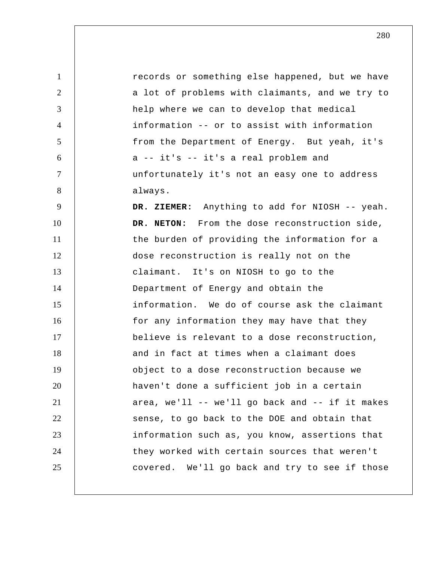1 2 3 4 5 6 7 8 9 10 11 12 13 14 15 16 17 18 19 20 21 22 23 24 25 records or something else happened, but we have a lot of problems with claimants, and we try to help where we can to develop that medical information -- or to assist with information from the Department of Energy. But yeah, it's a -- it's -- it's a real problem and unfortunately it's not an easy one to address always.  **DR. ZIEMER:** Anything to add for NIOSH -- yeah. **DR. NETON:** From the dose reconstruction side, the burden of providing the information for a dose reconstruction is really not on the claimant. It's on NIOSH to go to the Department of Energy and obtain the information. We do of course ask the claimant for any information they may have that they believe is relevant to a dose reconstruction, and in fact at times when a claimant does object to a dose reconstruction because we haven't done a sufficient job in a certain area, we'll -- we'll go back and -- if it makes sense, to go back to the DOE and obtain that information such as, you know, assertions that they worked with certain sources that weren't covered. We'll go back and try to see if those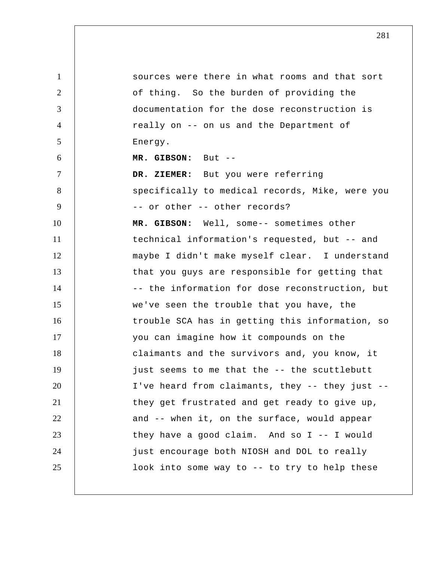1 2 3 4 5 6 7 8 9 10 11 12 13 14 15 16 17 18 19 20 21 22 23 24 25 sources were there in what rooms and that sort of thing. So the burden of providing the documentation for the dose reconstruction is really on -- on us and the Department of Energy.  **MR. GIBSON:** But --  **DR. ZIEMER:** But you were referring specifically to medical records, Mike, were you -- or other -- other records?  **MR. GIBSON:** Well, some-- sometimes other technical information's requested, but -- and maybe I didn't make myself clear. I understand that you guys are responsible for getting that -- the information for dose reconstruction, but we've seen the trouble that you have, the trouble SCA has in getting this information, so you can imagine how it compounds on the claimants and the survivors and, you know, it just seems to me that the -- the scuttlebutt I've heard from claimants, they -- they just - they get frustrated and get ready to give up, and -- when it, on the surface, would appear they have a good claim. And so I -- I would just encourage both NIOSH and DOL to really look into some way to -- to try to help these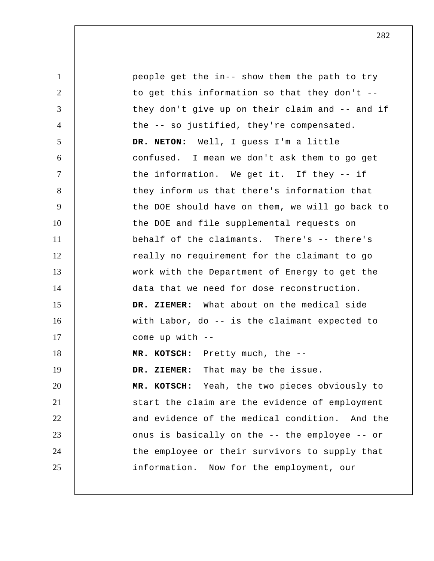1 2 3 4 5 6 7 8 9 10 11 12 13 14 15 16 17 18 19 20 21 22 23 24 25 people get the in-- show them the path to try to get this information so that they don't - they don't give up on their claim and -- and if the -- so justified, they're compensated. **DR. NETON:** Well, I guess I'm a little confused. I mean we don't ask them to go get the information. We get it. If they -- if they inform us that there's information that the DOE should have on them, we will go back to the DOE and file supplemental requests on behalf of the claimants. There's -- there's really no requirement for the claimant to go work with the Department of Energy to get the data that we need for dose reconstruction.  **DR. ZIEMER:** What about on the medical side with Labor, do -- is the claimant expected to come up with --  **MR. KOTSCH:** Pretty much, the --  **DR. ZIEMER:** That may be the issue.  **MR. KOTSCH:** Yeah, the two pieces obviously to start the claim are the evidence of employment and evidence of the medical condition. And the onus is basically on the -- the employee -- or the employee or their survivors to supply that information. Now for the employment, our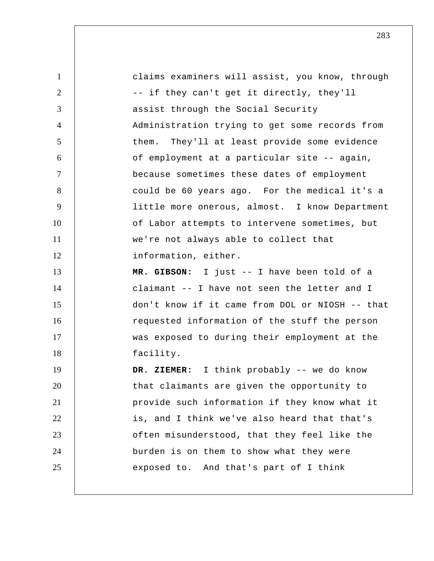1 2 3 4 5 6 7 8 9 10 11 12 13 14 15 16 17 18 19 20 21 22 23 24 25 claims examiners will assist, you know, through -- if they can't get it directly, they'll assist through the Social Security Administration trying to get some records from them. They'll at least provide some evidence of employment at a particular site -- again, because sometimes these dates of employment could be 60 years ago. For the medical it's a little more onerous, almost. I know Department of Labor attempts to intervene sometimes, but we're not always able to collect that information, either.  **MR. GIBSON:** I just -- I have been told of a claimant -- I have not seen the letter and I don't know if it came from DOL or NIOSH -- that requested information of the stuff the person was exposed to during their employment at the facility.  **DR. ZIEMER:** I think probably -- we do know that claimants are given the opportunity to provide such information if they know what it is, and I think we've also heard that that's often misunderstood, that they feel like the burden is on them to show what they were exposed to. And that's part of I think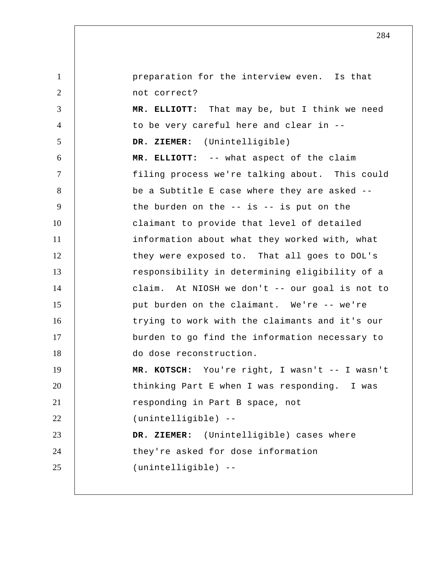1 2 3 4 5 6 7 8 9 10 11 12 13 14 15 16 17 18 19 20 21 22 23 24 25 preparation for the interview even. Is that not correct?  **MR. ELLIOTT:** That may be, but I think we need to be very careful here and clear in --  **DR. ZIEMER:** (Unintelligible)  **MR. ELLIOTT:** -- what aspect of the claim filing process we're talking about. This could be a Subtitle E case where they are asked - the burden on the  $--$  is  $--$  is put on the claimant to provide that level of detailed information about what they worked with, what they were exposed to. That all goes to DOL's responsibility in determining eligibility of a claim. At NIOSH we don't -- our goal is not to put burden on the claimant. We're -- we're trying to work with the claimants and it's our burden to go find the information necessary to do dose reconstruction.  **MR. KOTSCH:** You're right, I wasn't -- I wasn't thinking Part E when I was responding. I was responding in Part B space, not (unintelligible) --  **DR. ZIEMER:** (Unintelligible) cases where they're asked for dose information (unintelligible) --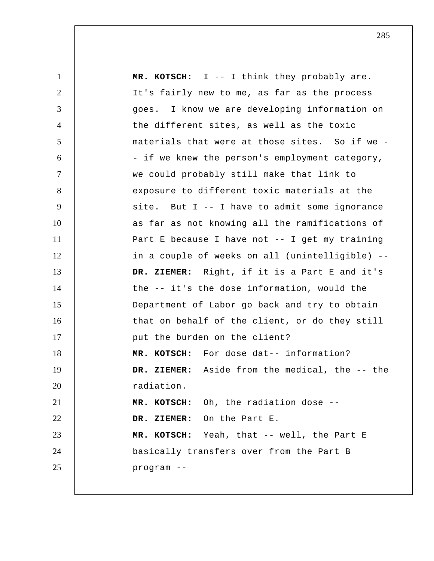| $\mathbf{1}$   | MR. KOTSCH: $I$ -- I think they probably are.     |
|----------------|---------------------------------------------------|
| $\overline{2}$ | It's fairly new to me, as far as the process      |
| 3              | goes. I know we are developing information on     |
| $\overline{4}$ | the different sites, as well as the toxic         |
| 5              | materials that were at those sites. So if we -    |
| 6              | - if we knew the person's employment category,    |
| $\tau$         | we could probably still make that link to         |
| 8              | exposure to different toxic materials at the      |
| 9              | site. But I -- I have to admit some ignorance     |
| 10             | as far as not knowing all the ramifications of    |
| 11             | Part E because I have not $-$ - I get my training |
| 12             | in a couple of weeks on all (unintelligible) --   |
| 13             | DR. ZIEMER: Right, if it is a Part E and it's     |
| 14             | the -- it's the dose information, would the       |
| 15             | Department of Labor go back and try to obtain     |
| 16             | that on behalf of the client, or do they still    |
| 17             | put the burden on the client?                     |
| 18             | MR. KOTSCH: For dose dat-- information?           |
| 19             | DR. ZIEMER: Aside from the medical, the -- the    |
| 20             | radiation.                                        |
| 21             | MR. KOTSCH: Oh, the radiation dose --             |
| 22             | DR. ZIEMER: On the Part E.                        |
| 23             | MR. KOTSCH: Yeah, that -- well, the Part E        |
| 24             | basically transfers over from the Part B          |
| 25             | program --                                        |
|                |                                                   |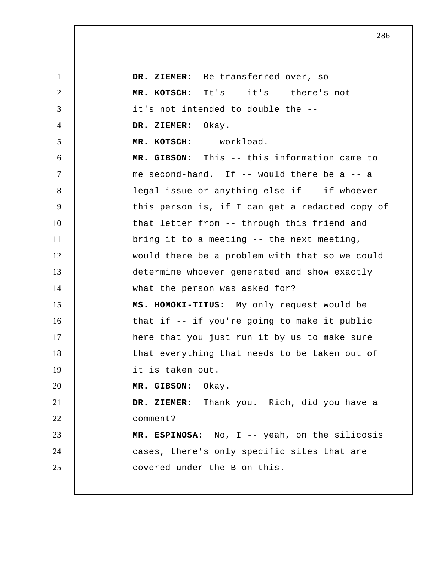1 2 3 4 5 6 7 8 9 10 11 12 13 14 15 16 17 18 19 20 21 22 23 24 25  **DR. ZIEMER:** Be transferred over, so --  **MR. KOTSCH:** It's -- it's -- there's not - it's not intended to double the --  **DR. ZIEMER:** Okay.  **MR. KOTSCH:** -- workload.  **MR. GIBSON:** This -- this information came to me second-hand. If -- would there be a -- a legal issue or anything else if -- if whoever this person is, if I can get a redacted copy of that letter from -- through this friend and bring it to a meeting -- the next meeting, would there be a problem with that so we could determine whoever generated and show exactly what the person was asked for? **MS. HOMOKI-TITUS:** My only request would be that if -- if you're going to make it public here that you just run it by us to make sure that everything that needs to be taken out of it is taken out.  **MR. GIBSON:** Okay.  **DR. ZIEMER:** Thank you. Rich, did you have a comment? **MR. ESPINOSA:** No, I -- yeah, on the silicosis cases, there's only specific sites that are covered under the B on this.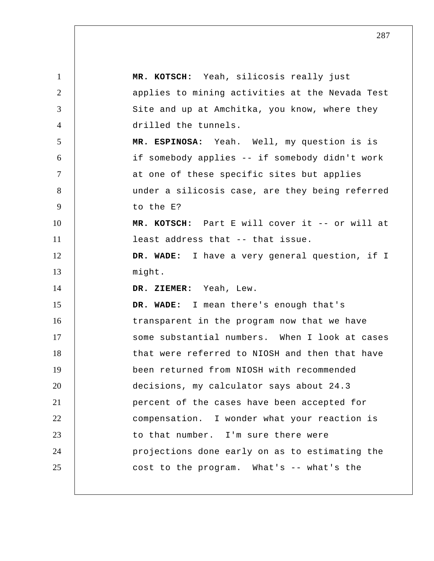| $\mathbf{1}$   | MR. KOTSCH: Yeah, silicosis really just         |
|----------------|-------------------------------------------------|
| $\overline{2}$ | applies to mining activities at the Nevada Test |
| 3              | Site and up at Amchitka, you know, where they   |
| $\overline{4}$ | drilled the tunnels.                            |
| 5              | MR. ESPINOSA: Yeah. Well, my question is is     |
| 6              | if somebody applies -- if somebody didn't work  |
| $\tau$         | at one of these specific sites but applies      |
| 8              | under a silicosis case, are they being referred |
| 9              | to the E?                                       |
| 10             | MR. KOTSCH: Part E will cover it -- or will at  |
| 11             | least address that -- that issue.               |
| 12             | DR. WADE: I have a very general question, if I  |
| 13             | might.                                          |
| 14             | DR. ZIEMER: Yeah, Lew.                          |
| 15             | DR. WADE: I mean there's enough that's          |
| 16             | transparent in the program now that we have     |
| 17             | some substantial numbers. When I look at cases  |
| 18             | that were referred to NIOSH and then that have  |
| 19             | been returned from NIOSH with recommended       |
| 20             | decisions, my calculator says about 24.3        |
| 21             | percent of the cases have been accepted for     |
| 22             | compensation. I wonder what your reaction is    |
| 23             | to that number. I'm sure there were             |
| 24             | projections done early on as to estimating the  |
| 25             | cost to the program. What's -- what's the       |
|                |                                                 |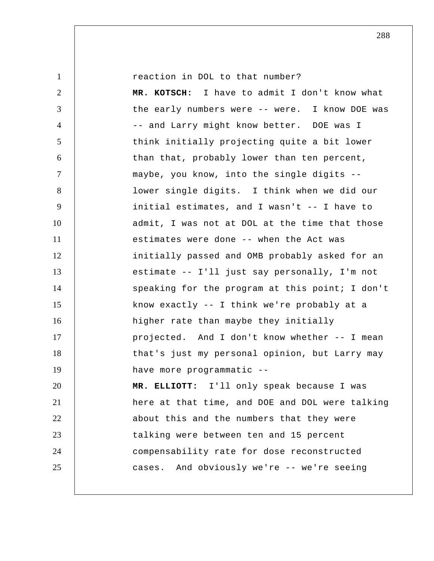1

reaction in DOL to that number?

2 3 4 5 6 7 8 9 10 11 12 13 14 15 16 17 18 19 20 21 22 23 24 25  **MR. KOTSCH:** I have to admit I don't know what the early numbers were -- were. I know DOE was -- and Larry might know better. DOE was I think initially projecting quite a bit lower than that, probably lower than ten percent, maybe, you know, into the single digits - lower single digits. I think when we did our initial estimates, and I wasn't -- I have to admit, I was not at DOL at the time that those estimates were done -- when the Act was initially passed and OMB probably asked for an estimate -- I'll just say personally, I'm not speaking for the program at this point; I don't know exactly -- I think we're probably at a higher rate than maybe they initially projected. And I don't know whether -- I mean that's just my personal opinion, but Larry may have more programmatic --  **MR. ELLIOTT:** I'll only speak because I was here at that time, and DOE and DOL were talking about this and the numbers that they were talking were between ten and 15 percent compensability rate for dose reconstructed cases. And obviously we're -- we're seeing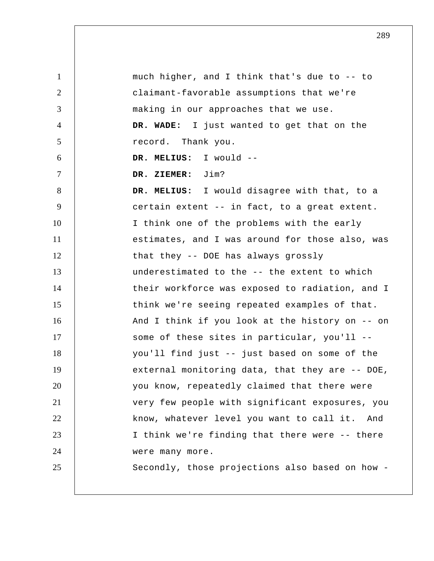1 2 3 4 5 6 7 8 9 10 11 12 13 14 15 16 17 18 19 20 21 22 23 24 25 much higher, and I think that's due to -- to claimant-favorable assumptions that we're making in our approaches that we use.  **DR. WADE:** I just wanted to get that on the record. Thank you.  **DR. MELIUS:** I would --  **DR. ZIEMER:** Jim?  **DR. MELIUS:** I would disagree with that, to a certain extent -- in fact, to a great extent. I think one of the problems with the early estimates, and I was around for those also, was that they -- DOE has always grossly underestimated to the -- the extent to which their workforce was exposed to radiation, and I think we're seeing repeated examples of that. And I think if you look at the history on -- on some of these sites in particular, you'll - you'll find just -- just based on some of the external monitoring data, that they are -- DOE, you know, repeatedly claimed that there were very few people with significant exposures, you know, whatever level you want to call it. And I think we're finding that there were -- there were many more. Secondly, those projections also based on how -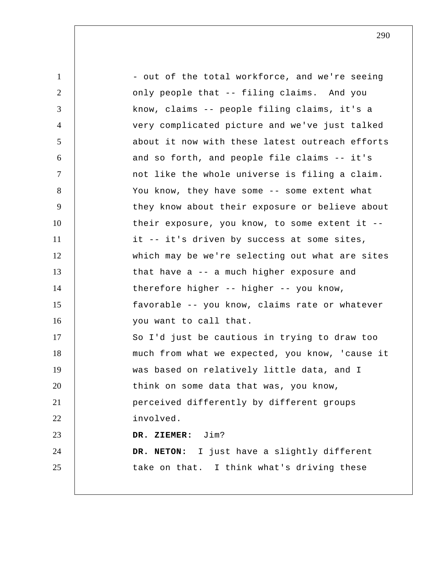| $\mathbf{1}$   | - out of the total workforce, and we're seeing  |
|----------------|-------------------------------------------------|
| 2              | only people that -- filing claims. And you      |
| 3              | know, claims -- people filing claims, it's a    |
| $\overline{4}$ | very complicated picture and we've just talked  |
| 5              | about it now with these latest outreach efforts |
| 6              | and so forth, and people file claims -- it's    |
| $\overline{7}$ | not like the whole universe is filing a claim.  |
| 8              | You know, they have some -- some extent what    |
| 9              | they know about their exposure or believe about |
| 10             | their exposure, you know, to some extent it $-$ |
| 11             | it -- it's driven by success at some sites,     |
| 12             | which may be we're selecting out what are sites |
| 13             | that have $a - a$ much higher exposure and      |
| 14             | therefore higher $--$ higher $--$ you know,     |
| 15             | favorable -- you know, claims rate or whatever  |
| 16             | you want to call that.                          |
| 17             | So I'd just be cautious in trying to draw too   |
| 18             | much from what we expected, you know, 'cause it |
| 19             | was based on relatively little data, and I      |
| 20             | think on some data that was, you know,          |
| 21             | perceived differently by different groups       |
| 22             | involved.                                       |
| 23             | DR. ZIEMER: Jim?                                |
| 24             | DR. NETON: I just have a slightly different     |
| 25             | take on that. I think what's driving these      |
|                |                                                 |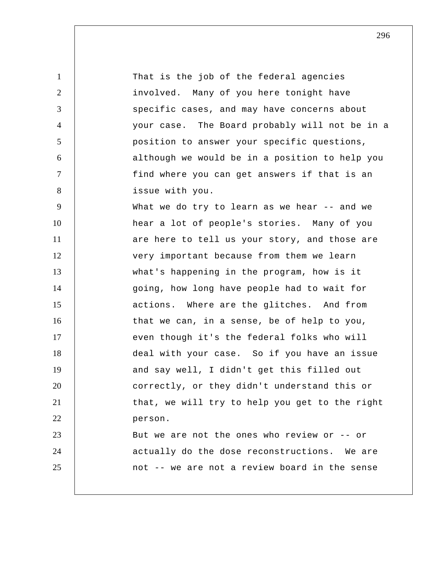1 2 3 4 5 6 7 8 9 10 11 12 13 14 15 16 17 18 19 20 21 22 23 24 25 That is the job of the federal agencies involved. Many of you here tonight have specific cases, and may have concerns about your case. The Board probably will not be in a position to answer your specific questions, although we would be in a position to help you find where you can get answers if that is an issue with you. What we do try to learn as we hear -- and we hear a lot of people's stories. Many of you are here to tell us your story, and those are very important because from them we learn what's happening in the program, how is it going, how long have people had to wait for actions. Where are the glitches. And from that we can, in a sense, be of help to you, even though it's the federal folks who will deal with your case. So if you have an issue and say well, I didn't get this filled out correctly, or they didn't understand this or that, we will try to help you get to the right person. But we are not the ones who review or -- or actually do the dose reconstructions. We are not -- we are not a review board in the sense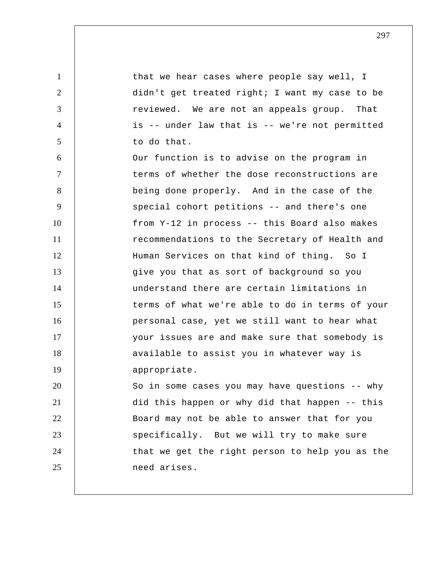that we hear cases where people say well, I didn't get treated right; I want my case to be reviewed. We are not an appeals group. That is -- under law that is -- we're not permitted to do that.

1

2

3

4

5

6 7 8 9 10 11 12 13 14 15 16 17 18 19 20 21 Our function is to advise on the program in terms of whether the dose reconstructions are being done properly. And in the case of the special cohort petitions -- and there's one from Y-12 in process -- this Board also makes recommendations to the Secretary of Health and Human Services on that kind of thing. So I give you that as sort of background so you understand there are certain limitations in terms of what we're able to do in terms of your personal case, yet we still want to hear what your issues are and make sure that somebody is available to assist you in whatever way is appropriate. So in some cases you may have questions -- why

22 23 24 25 did this happen or why did that happen -- this Board may not be able to answer that for you specifically. But we will try to make sure that we get the right person to help you as the need arises.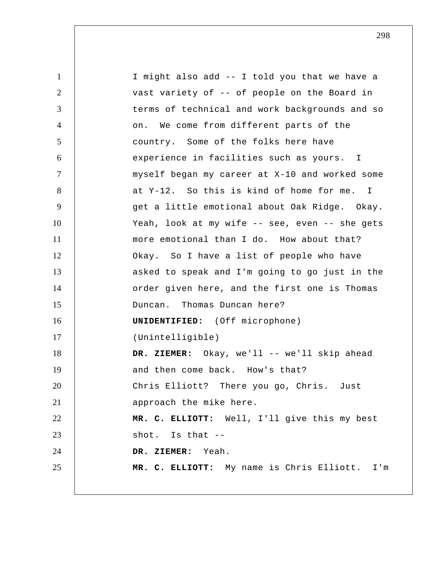1 2 3 4 5 6 7 8 9 10 11 12 13 14 15 16 17 18 19 20 21 22 23 24 25 I might also add -- I told you that we have a vast variety of -- of people on the Board in terms of technical and work backgrounds and so on. We come from different parts of the country. Some of the folks here have experience in facilities such as yours. I myself began my career at X-10 and worked some at Y-12. So this is kind of home for me. I get a little emotional about Oak Ridge. Okay. Yeah, look at my wife -- see, even -- she gets more emotional than I do. How about that? Okay. So I have a list of people who have asked to speak and I'm going to go just in the order given here, and the first one is Thomas Duncan. Thomas Duncan here? **UNIDENTIFIED:** (Off microphone) (Unintelligible)  **DR. ZIEMER:** Okay, we'll -- we'll skip ahead and then come back. How's that? Chris Elliott? There you go, Chris. Just approach the mike here. **MR. C. ELLIOTT:** Well, I'll give this my best shot. Is that --  **DR. ZIEMER:** Yeah. **MR. C. ELLIOTT:** My name is Chris Elliott. I'm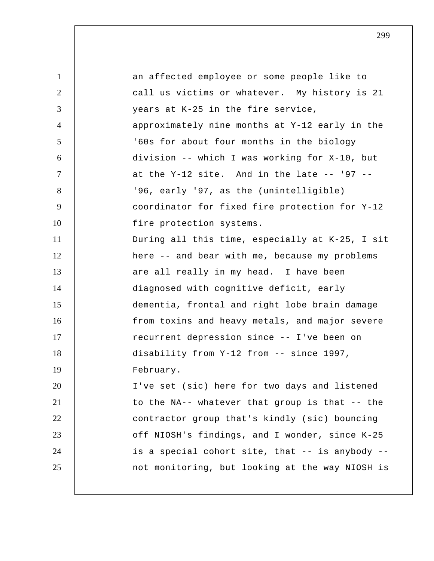| $\mathbf{1}$   | an affected employee or some people like to     |
|----------------|-------------------------------------------------|
| 2              | call us victims or whatever. My history is 21   |
| 3              | years at K-25 in the fire service,              |
| $\overline{4}$ | approximately nine months at Y-12 early in the  |
| 5              | '60s for about four months in the biology       |
| 6              | division -- which I was working for X-10, but   |
| $\overline{7}$ | at the $Y-12$ site. And in the late -- $'97$ -- |
| 8              | '96, early '97, as the (unintelligible)         |
| 9              | coordinator for fixed fire protection for Y-12  |
| 10             | fire protection systems.                        |
| 11             | During all this time, especially at K-25, I sit |
| 12             | here -- and bear with me, because my problems   |
| 13             | are all really in my head. I have been          |
| 14             | diagnosed with cognitive deficit, early         |
| 15             | dementia, frontal and right lobe brain damage   |
| 16             | from toxins and heavy metals, and major severe  |
| 17             | recurrent depression since -- I've been on      |
| 18             | disability from Y-12 from -- since 1997,        |
| 19             | February.                                       |
| 20             | I've set (sic) here for two days and listened   |
| 21             | to the NA-- whatever that group is that -- the  |
| 22             | contractor group that's kindly (sic) bouncing   |
| 23             | off NIOSH's findings, and I wonder, since K-25  |
| 24             | is a special cohort site, that -- is anybody -- |
| 25             | not monitoring, but looking at the way NIOSH is |
|                |                                                 |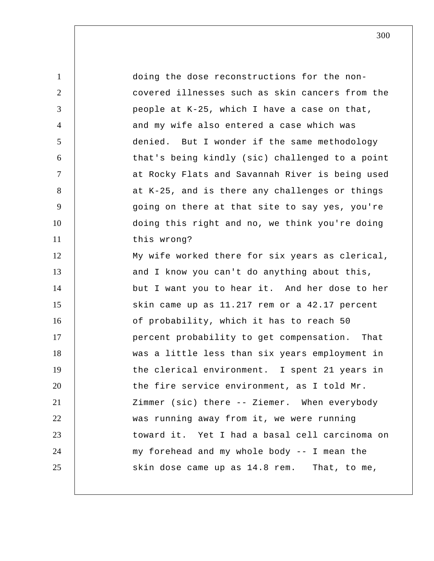1 2 3 4 5 6 7 8 9 10 11 12 13 14 15 16 17 18 19 20 21 22 23 24 25 doing the dose reconstructions for the noncovered illnesses such as skin cancers from the people at K-25, which I have a case on that, and my wife also entered a case which was denied. But I wonder if the same methodology that's being kindly (sic) challenged to a point at Rocky Flats and Savannah River is being used at K-25, and is there any challenges or things going on there at that site to say yes, you're doing this right and no, we think you're doing this wrong? My wife worked there for six years as clerical, and I know you can't do anything about this, but I want you to hear it. And her dose to her skin came up as 11.217 rem or a 42.17 percent of probability, which it has to reach 50 percent probability to get compensation. That was a little less than six years employment in the clerical environment. I spent 21 years in the fire service environment, as I told Mr. Zimmer (sic) there -- Ziemer. When everybody was running away from it, we were running toward it. Yet I had a basal cell carcinoma on my forehead and my whole body -- I mean the skin dose came up as 14.8 rem. That, to me,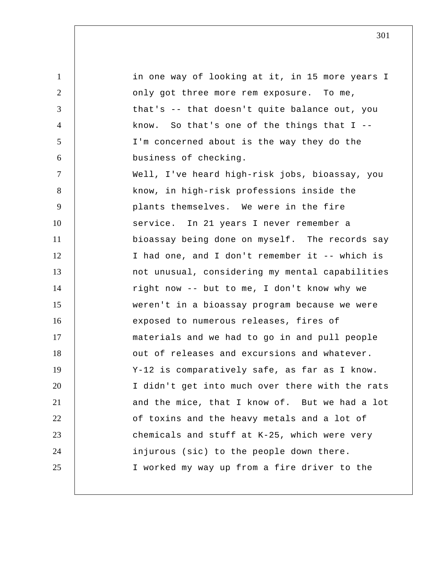1 2 3 4 5 6 7 8 9 10 11 12 13 14 15 16 17 18 19 20 21 22 23 24 25 in one way of looking at it, in 15 more years I only got three more rem exposure. To me, that's -- that doesn't quite balance out, you know. So that's one of the things that  $I$  --I'm concerned about is the way they do the business of checking. Well, I've heard high-risk jobs, bioassay, you know, in high-risk professions inside the plants themselves. We were in the fire service. In 21 years I never remember a bioassay being done on myself. The records say I had one, and I don't remember it -- which is not unusual, considering my mental capabilities right now -- but to me, I don't know why we weren't in a bioassay program because we were exposed to numerous releases, fires of materials and we had to go in and pull people out of releases and excursions and whatever. Y-12 is comparatively safe, as far as I know. I didn't get into much over there with the rats and the mice, that I know of. But we had a lot of toxins and the heavy metals and a lot of chemicals and stuff at K-25, which were very injurous (sic) to the people down there. I worked my way up from a fire driver to the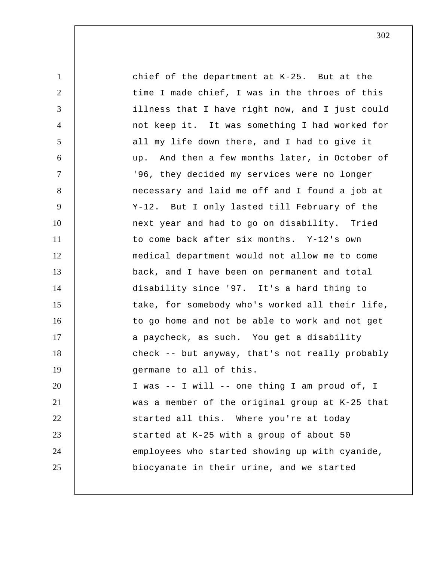| $\mathbf{1}$   | chief of the department at K-25. But at the     |
|----------------|-------------------------------------------------|
| $\overline{2}$ | time I made chief, I was in the throes of this  |
| 3              | illness that I have right now, and I just could |
| $\overline{4}$ | not keep it. It was something I had worked for  |
| 5              | all my life down there, and I had to give it    |
| 6              | up. And then a few months later, in October of  |
| $\overline{7}$ | '96, they decided my services were no longer    |
| 8              | necessary and laid me off and I found a job at  |
| 9              | Y-12. But I only lasted till February of the    |
| 10             | next year and had to go on disability. Tried    |
| 11             | to come back after six months. Y-12's own       |
| 12             | medical department would not allow me to come   |
| 13             | back, and I have been on permanent and total    |
| 14             | disability since '97. It's a hard thing to      |
| 15             | take, for somebody who's worked all their life, |
| 16             | to go home and not be able to work and not get  |
| 17             | a paycheck, as such. You get a disability       |
| 18             | check -- but anyway, that's not really probably |
| 19             | germane to all of this.                         |
| 20             | I was -- I will -- one thing I am proud of, I   |
| 21             | was a member of the original group at K-25 that |
| 22             | started all this. Where you're at today         |
| 23             | started at K-25 with a group of about 50        |
| 24             | employees who started showing up with cyanide,  |
| 25             | biocyanate in their urine, and we started       |
|                |                                                 |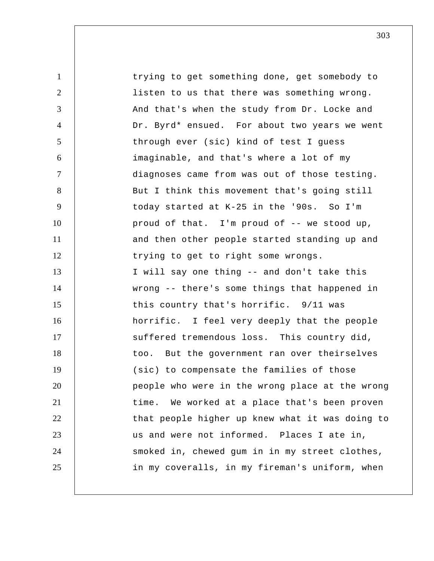1 2 3 4 5 6 7 8 9 10 11 12 13 14 15 16 17 18 19 20 21 22 23 24 25 trying to get something done, get somebody to listen to us that there was something wrong. And that's when the study from Dr. Locke and Dr. Byrd\* ensued. For about two years we went through ever (sic) kind of test I guess imaginable, and that's where a lot of my diagnoses came from was out of those testing. But I think this movement that's going still today started at K-25 in the '90s. So I'm proud of that. I'm proud of -- we stood up, and then other people started standing up and trying to get to right some wrongs. I will say one thing -- and don't take this wrong -- there's some things that happened in this country that's horrific. 9/11 was horrific. I feel very deeply that the people suffered tremendous loss. This country did, too. But the government ran over theirselves (sic) to compensate the families of those people who were in the wrong place at the wrong time. We worked at a place that's been proven that people higher up knew what it was doing to us and were not informed. Places I ate in, smoked in, chewed gum in in my street clothes, in my coveralls, in my fireman's uniform, when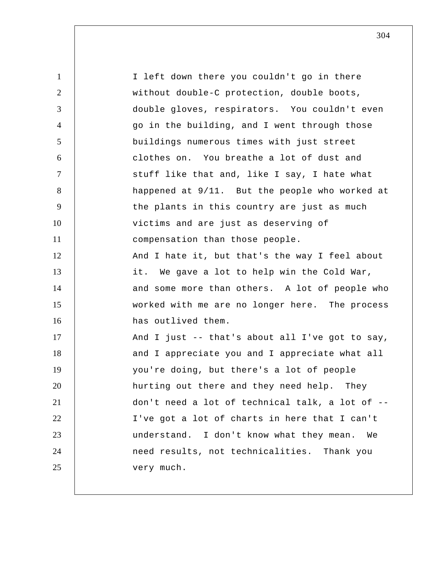1 2 3 4 5 6 7 8 9 10 11 12 13 14 15 16 17 18 19 20 21 22 23 24 25 I left down there you couldn't go in there without double-C protection, double boots, double gloves, respirators. You couldn't even go in the building, and I went through those buildings numerous times with just street clothes on. You breathe a lot of dust and stuff like that and, like I say, I hate what happened at 9/11. But the people who worked at the plants in this country are just as much victims and are just as deserving of compensation than those people. And I hate it, but that's the way I feel about it. We gave a lot to help win the Cold War, and some more than others. A lot of people who worked with me are no longer here. The process has outlived them. And I just -- that's about all I've got to say, and I appreciate you and I appreciate what all you're doing, but there's a lot of people hurting out there and they need help. They don't need a lot of technical talk, a lot of -- I've got a lot of charts in here that I can't understand. I don't know what they mean. We need results, not technicalities. Thank you very much.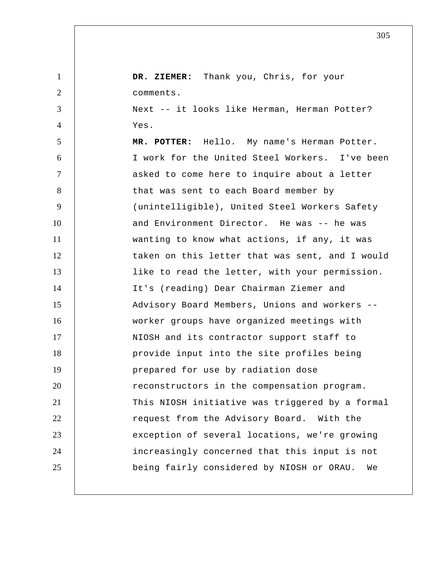1 2 3 4 5 6 7 8 9 10 11 12 13 14 15 16 17 18 19 20 21 22 23 24 25  **DR. ZIEMER:** Thank you, Chris, for your comments. Next -- it looks like Herman, Herman Potter? Yes.  **MR. POTTER:** Hello. My name's Herman Potter. I work for the United Steel Workers. I've been asked to come here to inquire about a letter that was sent to each Board member by (unintelligible), United Steel Workers Safety and Environment Director. He was -- he was wanting to know what actions, if any, it was taken on this letter that was sent, and I would like to read the letter, with your permission. It's (reading) Dear Chairman Ziemer and Advisory Board Members, Unions and workers - worker groups have organized meetings with NIOSH and its contractor support staff to provide input into the site profiles being prepared for use by radiation dose reconstructors in the compensation program. This NIOSH initiative was triggered by a formal request from the Advisory Board. With the exception of several locations, we're growing increasingly concerned that this input is not being fairly considered by NIOSH or ORAU. We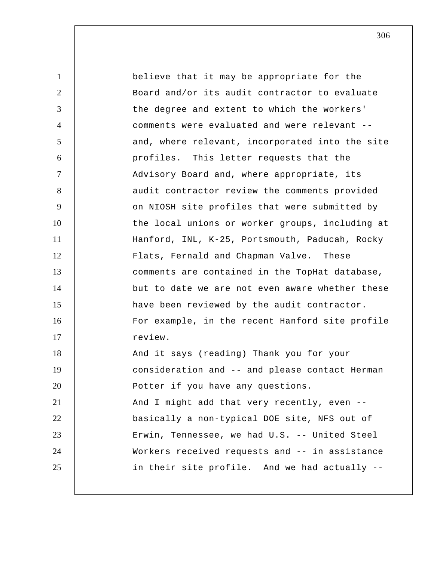1 2 3 4 5 6 7 8 9 10 11 12 13 14 15 16 17 18 19 20 21 22 23 24 25 believe that it may be appropriate for the Board and/or its audit contractor to evaluate the degree and extent to which the workers' comments were evaluated and were relevant - and, where relevant, incorporated into the site profiles. This letter requests that the Advisory Board and, where appropriate, its audit contractor review the comments provided on NIOSH site profiles that were submitted by the local unions or worker groups, including at Hanford, INL, K-25, Portsmouth, Paducah, Rocky Flats, Fernald and Chapman Valve. These comments are contained in the TopHat database, but to date we are not even aware whether these have been reviewed by the audit contractor. For example, in the recent Hanford site profile review. And it says (reading) Thank you for your consideration and -- and please contact Herman Potter if you have any questions. And I might add that very recently, even - basically a non-typical DOE site, NFS out of Erwin, Tennessee, we had U.S. -- United Steel Workers received requests and -- in assistance in their site profile. And we had actually --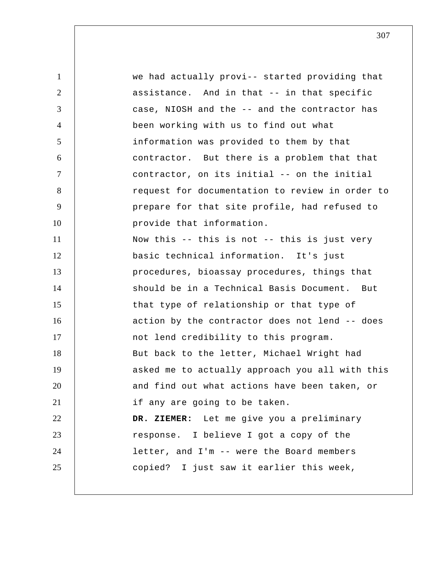1 2 3 4 5 6 7 8 9 10 11 12 13 14 15 16 17 18 19 20 21 22 23 24 25 we had actually provi-- started providing that assistance. And in that -- in that specific case, NIOSH and the -- and the contractor has been working with us to find out what information was provided to them by that contractor. But there is a problem that that contractor, on its initial -- on the initial request for documentation to review in order to prepare for that site profile, had refused to provide that information. Now this -- this is not -- this is just very basic technical information. It's just procedures, bioassay procedures, things that should be in a Technical Basis Document. But that type of relationship or that type of action by the contractor does not lend -- does not lend credibility to this program. But back to the letter, Michael Wright had asked me to actually approach you all with this and find out what actions have been taken, or if any are going to be taken.  **DR. ZIEMER:** Let me give you a preliminary response. I believe I got a copy of the letter, and I'm -- were the Board members copied? I just saw it earlier this week,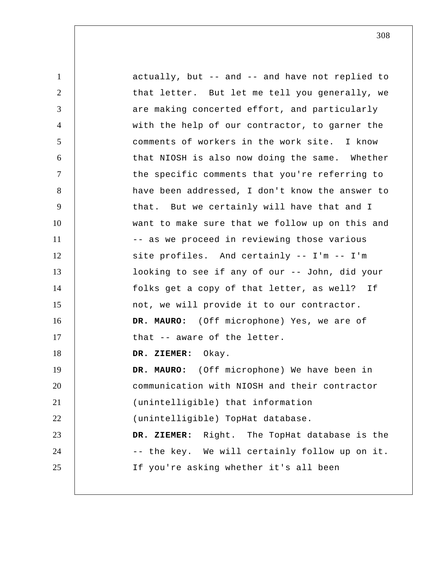1 2 3 4 5 6 7 8 9 10 11 12 13 14 15 16 17 18 19 20 21 22 23 24 25 actually, but -- and -- and have not replied to that letter. But let me tell you generally, we are making concerted effort, and particularly with the help of our contractor, to garner the comments of workers in the work site. I know that NIOSH is also now doing the same. Whether the specific comments that you're referring to have been addressed, I don't know the answer to that. But we certainly will have that and I want to make sure that we follow up on this and -- as we proceed in reviewing those various site profiles. And certainly -- I'm -- I'm looking to see if any of our -- John, did your folks get a copy of that letter, as well? If not, we will provide it to our contractor. **DR. MAURO:** (Off microphone) Yes, we are of that -- aware of the letter.  **DR. ZIEMER:** Okay. **DR. MAURO:** (Off microphone) We have been in communication with NIOSH and their contractor (unintelligible) that information (unintelligible) TopHat database.  **DR. ZIEMER:** Right. The TopHat database is the -- the key. We will certainly follow up on it. If you're asking whether it's all been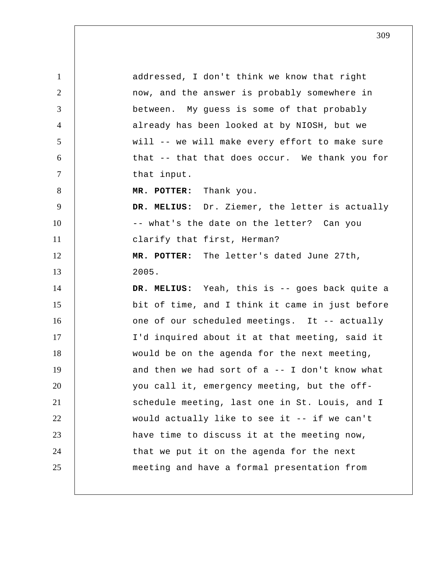1 2 3 4 5 6 7 8 9 10 11 12 13 14 15 16 17 18 19 20 21 22 23 24 25 addressed, I don't think we know that right now, and the answer is probably somewhere in between. My guess is some of that probably already has been looked at by NIOSH, but we will -- we will make every effort to make sure that -- that that does occur. We thank you for that input.  **MR. POTTER:** Thank you.  **DR. MELIUS:** Dr. Ziemer, the letter is actually -- what's the date on the letter? Can you clarify that first, Herman?  **MR. POTTER:** The letter's dated June 27th, 2005.  **DR. MELIUS:** Yeah, this is -- goes back quite a bit of time, and I think it came in just before one of our scheduled meetings. It -- actually I'd inquired about it at that meeting, said it would be on the agenda for the next meeting, and then we had sort of  $a$  -- I don't know what you call it, emergency meeting, but the offschedule meeting, last one in St. Louis, and I would actually like to see it -- if we can't have time to discuss it at the meeting now, that we put it on the agenda for the next meeting and have a formal presentation from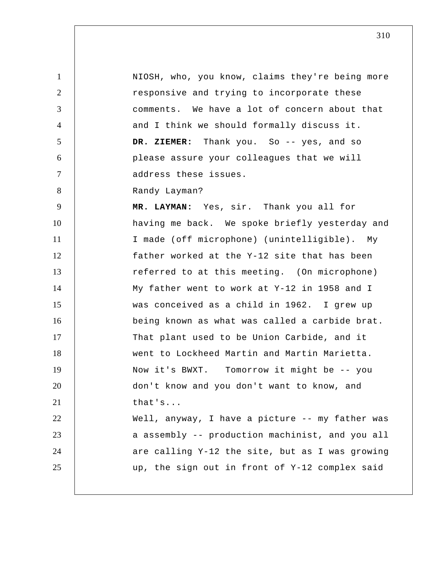1 2 3 4 5 6 7 8 9 10 11 12 13 14 15 16 17 18 19 20 21 22 23 24 25 NIOSH, who, you know, claims they're being more responsive and trying to incorporate these comments. We have a lot of concern about that and I think we should formally discuss it.  **DR. ZIEMER:** Thank you. So -- yes, and so please assure your colleagues that we will address these issues. Randy Layman?  **MR. LAYMAN:** Yes, sir. Thank you all for having me back. We spoke briefly yesterday and I made (off microphone) (unintelligible). My father worked at the Y-12 site that has been referred to at this meeting. (On microphone) My father went to work at Y-12 in 1958 and I was conceived as a child in 1962. I grew up being known as what was called a carbide brat. That plant used to be Union Carbide, and it went to Lockheed Martin and Martin Marietta. Now it's BWXT. Tomorrow it might be -- you don't know and you don't want to know, and that's... Well, anyway, I have a picture -- my father was a assembly -- production machinist, and you all are calling Y-12 the site, but as I was growing up, the sign out in front of Y-12 complex said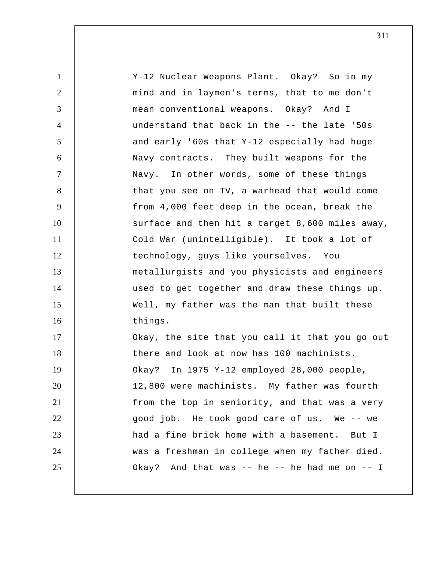| $\mathbf{1}$   | Y-12 Nuclear Weapons Plant. Okay? So in my      |
|----------------|-------------------------------------------------|
| $\overline{2}$ | mind and in laymen's terms, that to me don't    |
| 3              | mean conventional weapons. Okay? And I          |
| $\overline{4}$ | understand that back in the -- the late '50s    |
| 5              | and early '60s that Y-12 especially had huge    |
| 6              | Navy contracts. They built weapons for the      |
| $\tau$         | Navy. In other words, some of these things      |
| 8              | that you see on TV, a warhead that would come   |
| 9              | from 4,000 feet deep in the ocean, break the    |
| 10             | surface and then hit a target 8,600 miles away, |
| 11             | Cold War (unintelligible). It took a lot of     |
| 12             | technology, guys like yourselves. You           |
| 13             | metallurgists and you physicists and engineers  |
| 14             | used to get together and draw these things up.  |
| 15             | Well, my father was the man that built these    |
| 16             | things.                                         |
| 17             | Okay, the site that you call it that you go out |
| 18             | there and look at now has 100 machinists.       |
| 19             | Okay? In 1975 Y-12 employed 28,000 people,      |
| 20             | 12,800 were machinists. My father was fourth    |
| 21             | from the top in seniority, and that was a very  |
| 22             | good job. He took good care of us. We -- we     |
| 23             | had a fine brick home with a basement. But I    |
| 24             | was a freshman in college when my father died.  |
| 25             | Okay? And that was -- he -- he had me on -- I   |
|                |                                                 |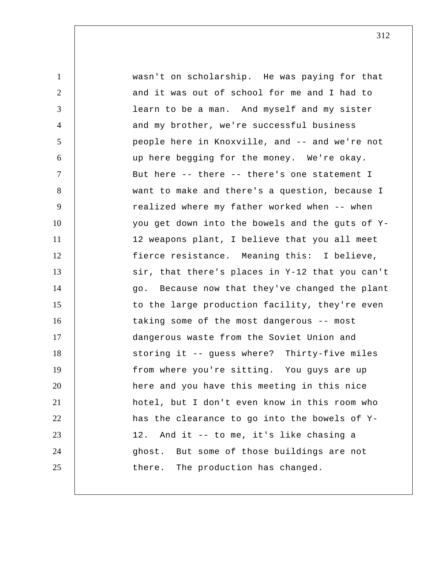1 2 3 4 5 6 7 8 9 10 11 12 13 14 15 16 17 18 19 20 21 22 23 24 25 wasn't on scholarship. He was paying for that and it was out of school for me and I had to learn to be a man. And myself and my sister and my brother, we're successful business people here in Knoxville, and -- and we're not up here begging for the money. We're okay. But here -- there -- there's one statement I want to make and there's a question, because I realized where my father worked when -- when you get down into the bowels and the guts of Y-12 weapons plant, I believe that you all meet fierce resistance. Meaning this: I believe, sir, that there's places in Y-12 that you can't go. Because now that they've changed the plant to the large production facility, they're even taking some of the most dangerous -- most dangerous waste from the Soviet Union and storing it -- guess where? Thirty-five miles from where you're sitting. You guys are up here and you have this meeting in this nice hotel, but I don't even know in this room who has the clearance to go into the bowels of Y-12. And it -- to me, it's like chasing a ghost. But some of those buildings are not there. The production has changed.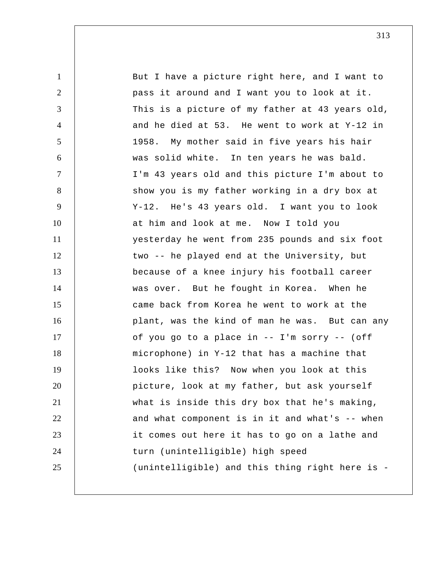1 2 3 4 5 6 7 8 9 10 11 12 13 14 15 16 17 18 19 20 21 22 23 24 25 But I have a picture right here, and I want to pass it around and I want you to look at it. This is a picture of my father at 43 years old, and he died at 53. He went to work at Y-12 in 1958. My mother said in five years his hair was solid white. In ten years he was bald. I'm 43 years old and this picture I'm about to show you is my father working in a dry box at Y-12. He's 43 years old. I want you to look at him and look at me. Now I told you yesterday he went from 235 pounds and six foot two -- he played end at the University, but because of a knee injury his football career was over. But he fought in Korea. When he came back from Korea he went to work at the plant, was the kind of man he was. But can any of you go to a place in -- I'm sorry -- (off microphone) in Y-12 that has a machine that looks like this? Now when you look at this picture, look at my father, but ask yourself what is inside this dry box that he's making, and what component is in it and what's -- when it comes out here it has to go on a lathe and turn (unintelligible) high speed (unintelligible) and this thing right here is -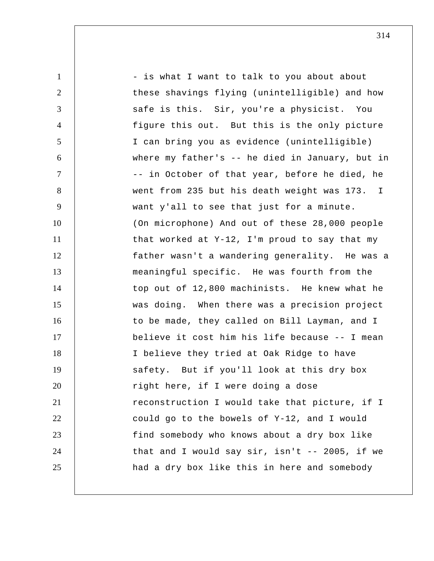1 2 3 4 5 6 7 8 9 10 11 12 13 14 15 16 17 18 19 20 21 22 23 24 25 - is what I want to talk to you about about these shavings flying (unintelligible) and how safe is this. Sir, you're a physicist. You figure this out. But this is the only picture I can bring you as evidence (unintelligible) where my father's -- he died in January, but in -- in October of that year, before he died, he went from 235 but his death weight was 173. I want y'all to see that just for a minute. (On microphone) And out of these 28,000 people that worked at Y-12, I'm proud to say that my father wasn't a wandering generality. He was a meaningful specific. He was fourth from the top out of 12,800 machinists. He knew what he was doing. When there was a precision project to be made, they called on Bill Layman, and I believe it cost him his life because -- I mean I believe they tried at Oak Ridge to have safety. But if you'll look at this dry box right here, if I were doing a dose reconstruction I would take that picture, if I could go to the bowels of Y-12, and I would find somebody who knows about a dry box like that and I would say sir, isn't -- 2005, if we had a dry box like this in here and somebody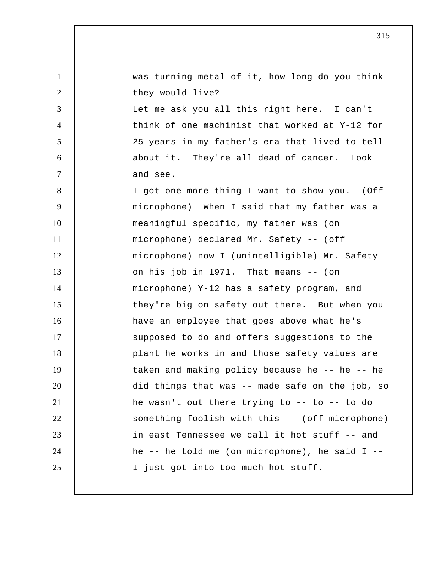1 2 3 4 5 6 7 8 9 10 11 12 13 14 15 16 17 18 19 20 21 22 23 24 25 was turning metal of it, how long do you think they would live? Let me ask you all this right here. I can't think of one machinist that worked at Y-12 for 25 years in my father's era that lived to tell about it. They're all dead of cancer. Look and see. I got one more thing I want to show you. (Off microphone) When I said that my father was a meaningful specific, my father was (on microphone) declared Mr. Safety -- (off microphone) now I (unintelligible) Mr. Safety on his job in 1971. That means -- (on microphone) Y-12 has a safety program, and they're big on safety out there. But when you have an employee that goes above what he's supposed to do and offers suggestions to the plant he works in and those safety values are taken and making policy because he -- he -- he did things that was -- made safe on the job, so he wasn't out there trying to -- to -- to do something foolish with this -- (off microphone) in east Tennessee we call it hot stuff -- and he -- he told me (on microphone), he said I -- I just got into too much hot stuff.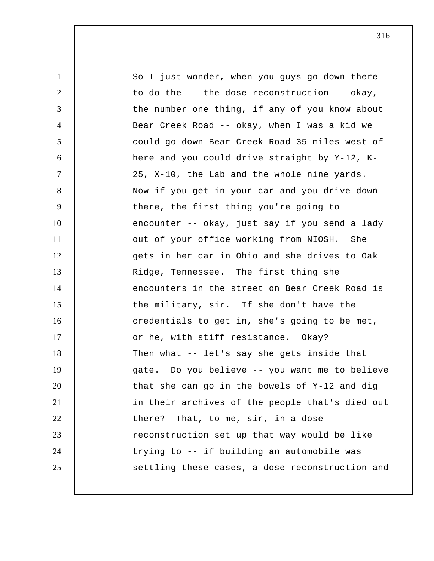1 2 3 4 5 6 7 8 9 10 11 12 13 14 15 16 17 18 19 20 21 22 23 24 25 So I just wonder, when you guys go down there to do the -- the dose reconstruction -- okay, the number one thing, if any of you know about Bear Creek Road -- okay, when I was a kid we could go down Bear Creek Road 35 miles west of here and you could drive straight by Y-12, K-25, X-10, the Lab and the whole nine yards. Now if you get in your car and you drive down there, the first thing you're going to encounter -- okay, just say if you send a lady out of your office working from NIOSH. She gets in her car in Ohio and she drives to Oak Ridge, Tennessee. The first thing she encounters in the street on Bear Creek Road is the military, sir. If she don't have the credentials to get in, she's going to be met, or he, with stiff resistance. Okay? Then what -- let's say she gets inside that gate. Do you believe -- you want me to believe that she can go in the bowels of Y-12 and dig in their archives of the people that's died out there? That, to me, sir, in a dose reconstruction set up that way would be like trying to -- if building an automobile was settling these cases, a dose reconstruction and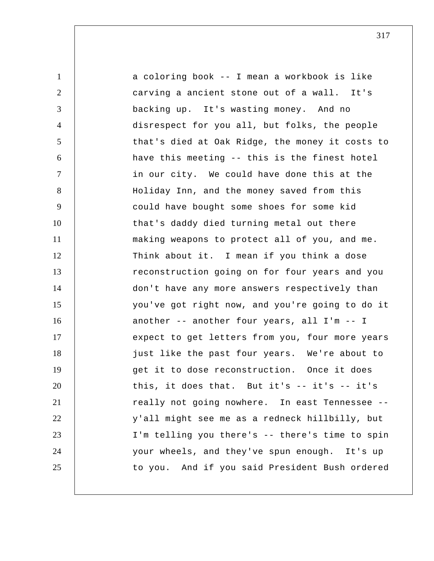| $\mathbf{1}$   | a coloring book -- I mean a workbook is like    |
|----------------|-------------------------------------------------|
| 2              | carving a ancient stone out of a wall. It's     |
| 3              | backing up. It's wasting money. And no          |
| $\overline{4}$ | disrespect for you all, but folks, the people   |
| 5              | that's died at Oak Ridge, the money it costs to |
| 6              | have this meeting -- this is the finest hotel   |
| $\tau$         | in our city. We could have done this at the     |
| 8              | Holiday Inn, and the money saved from this      |
| 9              | could have bought some shoes for some kid       |
| 10             | that's daddy died turning metal out there       |
| 11             | making weapons to protect all of you, and me.   |
| 12             | Think about it. I mean if you think a dose      |
| 13             | reconstruction going on for four years and you  |
| 14             | don't have any more answers respectively than   |
| 15             | you've got right now, and you're going to do it |
| 16             | another -- another four years, all I'm -- I     |
| 17             | expect to get letters from you, four more years |
| 18             | just like the past four years. We're about to   |
| 19             | get it to dose reconstruction. Once it does     |
| 20             | this, it does that. But it's $-$ it's $-$ it's  |
| 21             | really not going nowhere. In east Tennessee --  |
| 22             | y'all might see me as a redneck hillbilly, but  |
| 23             | I'm telling you there's -- there's time to spin |
| 24             | your wheels, and they've spun enough. It's up   |
| 25             | to you. And if you said President Bush ordered  |
|                |                                                 |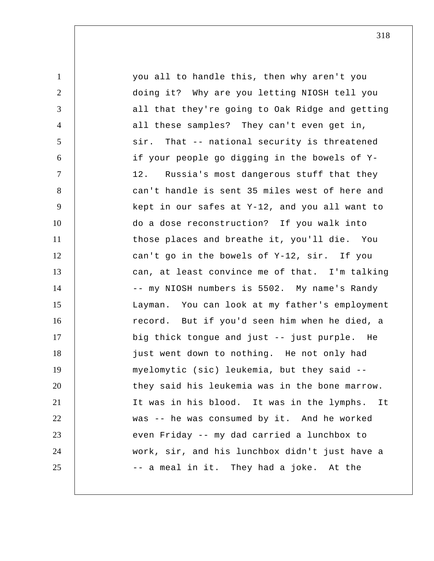1 2 3 4 5 6 7 8 9 10 11 12 13 14 15 16 17 18 19 20 21 22 23 24 25 you all to handle this, then why aren't you doing it? Why are you letting NIOSH tell you all that they're going to Oak Ridge and getting all these samples? They can't even get in, sir. That -- national security is threatened if your people go digging in the bowels of Y-12. Russia's most dangerous stuff that they can't handle is sent 35 miles west of here and kept in our safes at Y-12, and you all want to do a dose reconstruction? If you walk into those places and breathe it, you'll die. You can't go in the bowels of Y-12, sir. If you can, at least convince me of that. I'm talking -- my NIOSH numbers is 5502. My name's Randy Layman. You can look at my father's employment record. But if you'd seen him when he died, a big thick tongue and just -- just purple. He just went down to nothing. He not only had myelomytic (sic) leukemia, but they said - they said his leukemia was in the bone marrow. It was in his blood. It was in the lymphs. It was -- he was consumed by it. And he worked even Friday -- my dad carried a lunchbox to work, sir, and his lunchbox didn't just have a -- a meal in it. They had a joke. At the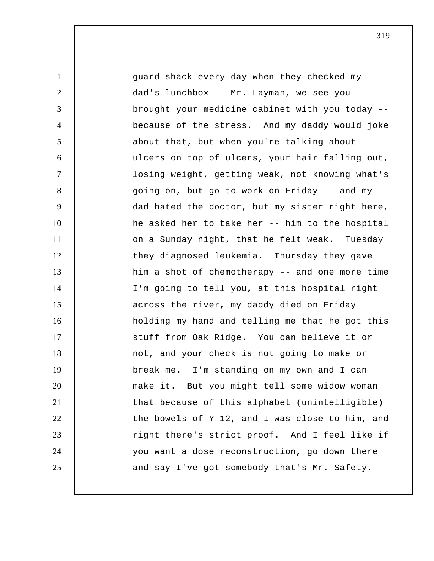1 2 3 4 5 6 7 8 9 10 11 12 13 14 15 16 17 18 19 20 21 22 23 24 25 guard shack every day when they checked my dad's lunchbox -- Mr. Layman, we see you brought your medicine cabinet with you today - because of the stress. And my daddy would joke about that, but when you're talking about ulcers on top of ulcers, your hair falling out, losing weight, getting weak, not knowing what's going on, but go to work on Friday -- and my dad hated the doctor, but my sister right here, he asked her to take her -- him to the hospital on a Sunday night, that he felt weak. Tuesday they diagnosed leukemia. Thursday they gave him a shot of chemotherapy -- and one more time I'm going to tell you, at this hospital right across the river, my daddy died on Friday holding my hand and telling me that he got this stuff from Oak Ridge. You can believe it or not, and your check is not going to make or break me. I'm standing on my own and I can make it. But you might tell some widow woman that because of this alphabet (unintelligible) the bowels of Y-12, and I was close to him, and right there's strict proof. And I feel like if you want a dose reconstruction, go down there and say I've got somebody that's Mr. Safety.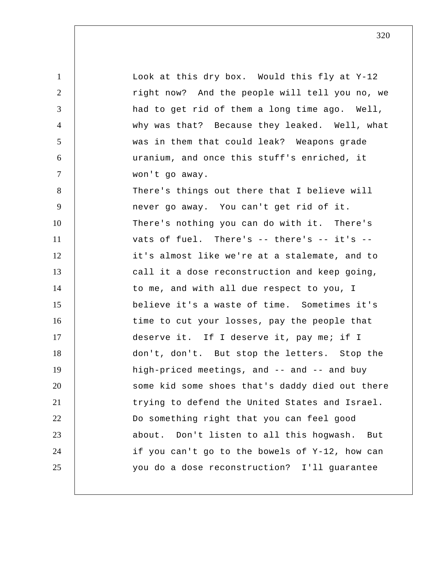1 2 3 4 5 6 7 8 9 10 11 12 13 14 15 16 17 18 19 20 21 22 23 24 25 Look at this dry box. Would this fly at Y-12 right now? And the people will tell you no, we had to get rid of them a long time ago. Well, why was that? Because they leaked. Well, what was in them that could leak? Weapons grade uranium, and once this stuff's enriched, it won't go away. There's things out there that I believe will never go away. You can't get rid of it. There's nothing you can do with it. There's vats of fuel. There's -- there's -- it's - it's almost like we're at a stalemate, and to call it a dose reconstruction and keep going, to me, and with all due respect to you, I believe it's a waste of time. Sometimes it's time to cut your losses, pay the people that deserve it. If I deserve it, pay me; if I don't, don't. But stop the letters. Stop the high-priced meetings, and -- and -- and buy some kid some shoes that's daddy died out there trying to defend the United States and Israel. Do something right that you can feel good about. Don't listen to all this hogwash. But if you can't go to the bowels of Y-12, how can you do a dose reconstruction? I'll guarantee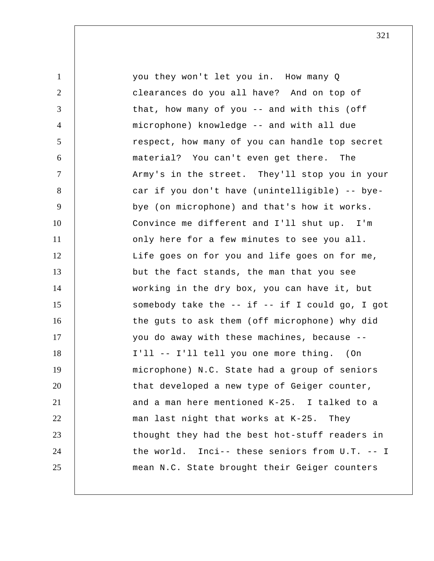1 2 3 4 5 6 7 8 9 10 11 12 13 14 15 16 17 18 19 20 21 22 23 24 25 you they won't let you in. How many Q clearances do you all have? And on top of that, how many of you -- and with this (off microphone) knowledge -- and with all due respect, how many of you can handle top secret material? You can't even get there. The Army's in the street. They'll stop you in your car if you don't have (unintelligible) -- byebye (on microphone) and that's how it works. Convince me different and I'll shut up. I'm only here for a few minutes to see you all. Life goes on for you and life goes on for me, but the fact stands, the man that you see working in the dry box, you can have it, but somebody take the  $--$  if  $--$  if I could go, I got the guts to ask them (off microphone) why did you do away with these machines, because -- I'll -- I'll tell you one more thing. (On microphone) N.C. State had a group of seniors that developed a new type of Geiger counter, and a man here mentioned K-25. I talked to a man last night that works at K-25. They thought they had the best hot-stuff readers in the world. Inci-- these seniors from U.T. -- I mean N.C. State brought their Geiger counters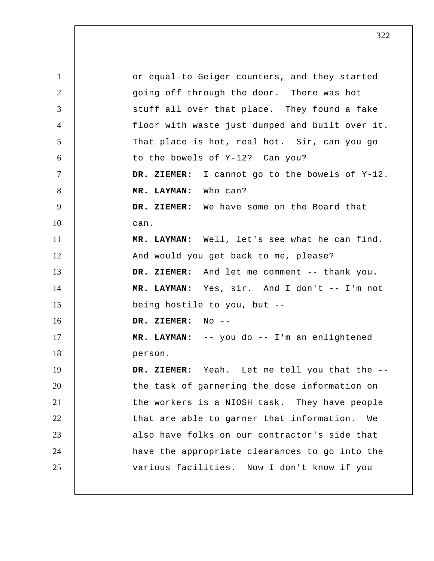1 2 3 4 5 6 7 8 9 10 11 12 13 14 15 16 17 18 19 20 21 22 23 24 25 or equal-to Geiger counters, and they started going off through the door. There was hot stuff all over that place. They found a fake floor with waste just dumped and built over it. That place is hot, real hot. Sir, can you go to the bowels of Y-12? Can you?  **DR. ZIEMER:** I cannot go to the bowels of Y-12.  **MR. LAYMAN:** Who can?  **DR. ZIEMER:** We have some on the Board that can.  **MR. LAYMAN:** Well, let's see what he can find. And would you get back to me, please?  **DR. ZIEMER:** And let me comment -- thank you.  **MR. LAYMAN:** Yes, sir. And I don't -- I'm not being hostile to you, but --  **DR. ZIEMER:** No --  **MR. LAYMAN:** -- you do -- I'm an enlightened person.  **DR. ZIEMER:** Yeah. Let me tell you that the - the task of garnering the dose information on the workers is a NIOSH task. They have people that are able to garner that information. We also have folks on our contractor's side that have the appropriate clearances to go into the various facilities. Now I don't know if you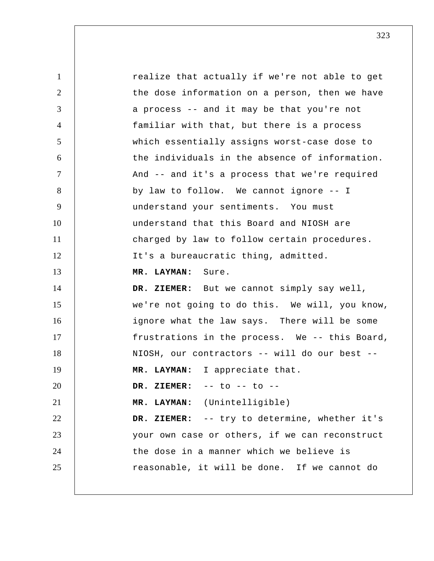1 2 3 4 5 6 7 8 9 10 11 12 13 14 15 16 17 18 19 20 21 22 23 24 25 realize that actually if we're not able to get the dose information on a person, then we have a process -- and it may be that you're not familiar with that, but there is a process which essentially assigns worst-case dose to the individuals in the absence of information. And -- and it's a process that we're required by law to follow. We cannot ignore -- I understand your sentiments. You must understand that this Board and NIOSH are charged by law to follow certain procedures. It's a bureaucratic thing, admitted.  **MR. LAYMAN:** Sure.  **DR. ZIEMER:** But we cannot simply say well, we're not going to do this. We will, you know, ignore what the law says. There will be some frustrations in the process. We -- this Board, NIOSH, our contractors -- will do our best --  **MR. LAYMAN:** I appreciate that.  **DR. ZIEMER:** -- to -- to --  **MR. LAYMAN:** (Unintelligible)  **DR. ZIEMER:** -- try to determine, whether it's your own case or others, if we can reconstruct the dose in a manner which we believe is reasonable, it will be done. If we cannot do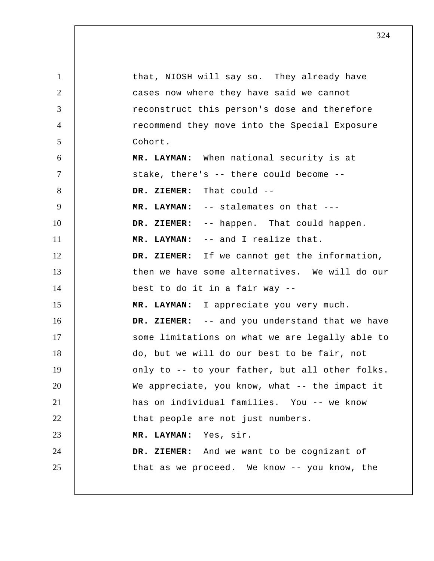| $\mathbf{1}$   | that, NIOSH will say so. They already have      |
|----------------|-------------------------------------------------|
| $\overline{2}$ | cases now where they have said we cannot        |
| 3              | reconstruct this person's dose and therefore    |
| $\overline{4}$ | recommend they move into the Special Exposure   |
| 5              | Cohort.                                         |
| 6              | MR. LAYMAN: When national security is at        |
| $\tau$         | stake, there's -- there could become --         |
| 8              | DR. ZIEMER: That could --                       |
| 9              | MR. LAYMAN: -- stalemates on that ---           |
| 10             | DR. ZIEMER: -- happen. That could happen.       |
| 11             | MR. LAYMAN: -- and I realize that.              |
| 12             | DR. ZIEMER: If we cannot get the information,   |
| 13             | then we have some alternatives. We will do our  |
| 14             | best to do it in a fair way --                  |
| 15             | MR. LAYMAN: I appreciate you very much.         |
| 16             | DR. ZIEMER: -- and you understand that we have  |
| 17             | some limitations on what we are legally able to |
| 18             | do, but we will do our best to be fair, not     |
| 19             | only to -- to your father, but all other folks. |
| 20             | We appreciate, you know, what -- the impact it  |
| 21             | has on individual families. You -- we know      |
| 22             | that people are not just numbers.               |
| 23             | MR. LAYMAN: Yes, sir.                           |
| 24             | DR. ZIEMER: And we want to be cognizant of      |
| 25             | that as we proceed. We know -- you know, the    |
|                |                                                 |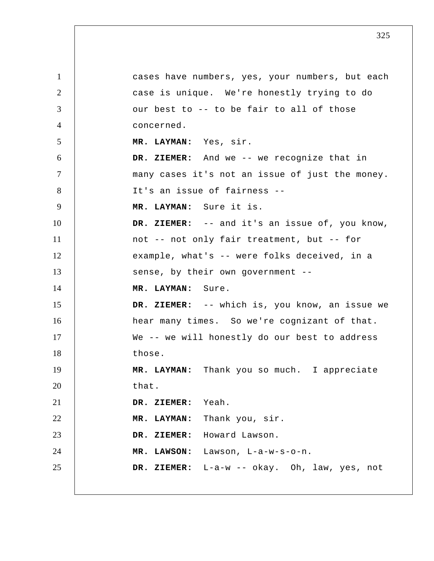1 2 3 4 5 6 7 8 9 10 11 12 13 14 15 16 17 18 19 20 21 22 23 24 25 cases have numbers, yes, your numbers, but each case is unique. We're honestly trying to do our best to -- to be fair to all of those concerned.  **MR. LAYMAN:** Yes, sir.  **DR. ZIEMER:** And we -- we recognize that in many cases it's not an issue of just the money. It's an issue of fairness --  **MR. LAYMAN:** Sure it is.  **DR. ZIEMER:** -- and it's an issue of, you know, not -- not only fair treatment, but -- for example, what's -- were folks deceived, in a sense, by their own government --  **MR. LAYMAN:** Sure.  **DR. ZIEMER:** -- which is, you know, an issue we hear many times. So we're cognizant of that. We -- we will honestly do our best to address those.  **MR. LAYMAN:** Thank you so much. I appreciate that.  **DR. ZIEMER:** Yeah.  **MR. LAYMAN:** Thank you, sir.  **DR. ZIEMER:** Howard Lawson.  **MR. LAWSON:** Lawson, L-a-w-s-o-n.  **DR. ZIEMER:** L-a-w -- okay. Oh, law, yes, not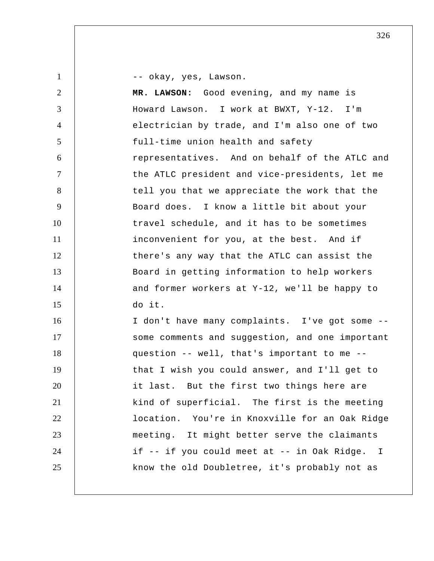-- okay, yes, Lawson.

1

2 3 4 5 6 7 8 9 10 11 12 13 14 15 16 17 18 19 20 21 22 23 24 25  **MR. LAWSON:** Good evening, and my name is Howard Lawson. I work at BWXT, Y-12. I'm electrician by trade, and I'm also one of two full-time union health and safety representatives. And on behalf of the ATLC and the ATLC president and vice-presidents, let me tell you that we appreciate the work that the Board does. I know a little bit about your travel schedule, and it has to be sometimes inconvenient for you, at the best. And if there's any way that the ATLC can assist the Board in getting information to help workers and former workers at Y-12, we'll be happy to do it. I don't have many complaints. I've got some - some comments and suggestion, and one important question -- well, that's important to me - that I wish you could answer, and I'll get to it last. But the first two things here are kind of superficial. The first is the meeting location. You're in Knoxville for an Oak Ridge meeting. It might better serve the claimants if -- if you could meet at -- in Oak Ridge. I know the old Doubletree, it's probably not as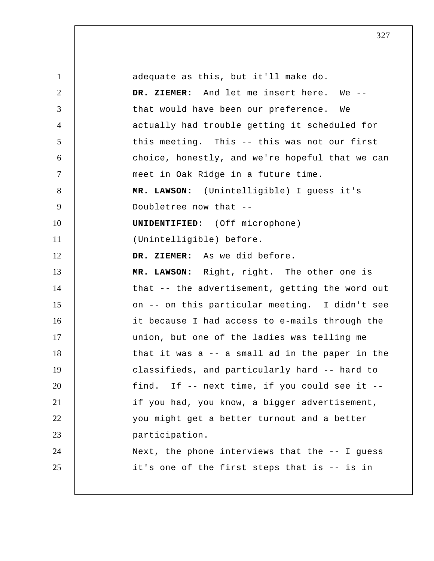| $\mathbf{1}$   | adequate as this, but it'll make do.              |
|----------------|---------------------------------------------------|
| $\overline{2}$ | DR. ZIEMER: And let me insert here. We --         |
| 3              | that would have been our preference. We           |
| $\overline{4}$ | actually had trouble getting it scheduled for     |
| 5              | this meeting. This -- this was not our first      |
| 6              | choice, honestly, and we're hopeful that we can   |
| $\tau$         | meet in Oak Ridge in a future time.               |
| 8              | MR. LAWSON: (Unintelligible) I guess it's         |
| 9              | Doubletree now that --                            |
| 10             | <b>UNIDENTIFIED:</b> (Off microphone)             |
| 11             | (Unintelligible) before.                          |
| 12             | DR. ZIEMER: As we did before.                     |
| 13             | MR. LAWSON: Right, right. The other one is        |
| 14             | that -- the advertisement, getting the word out   |
| 15             | on -- on this particular meeting. I didn't see    |
| 16             | it because I had access to e-mails through the    |
| 17             | union, but one of the ladies was telling me       |
| 18             | that it was a -- a small ad in the paper in the   |
| 19             | classifieds, and particularly hard -- hard to     |
| 20             | find. If -- next time, if you could see it --     |
| 21             | if you had, you know, a bigger advertisement,     |
| 22             | you might get a better turnout and a better       |
| 23             | participation.                                    |
| 24             | Next, the phone interviews that the $-$ - I guess |
| 25             | it's one of the first steps that is -- is in      |
|                |                                                   |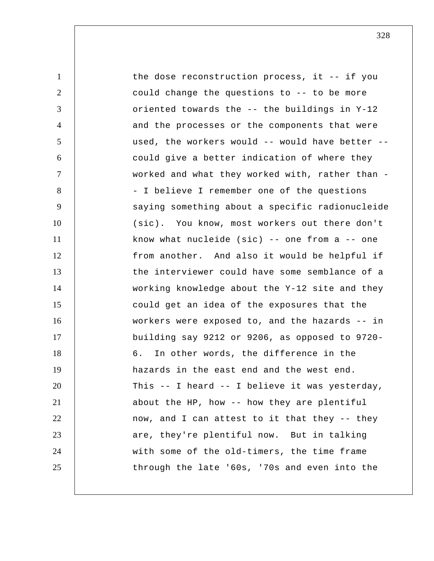1 2 3 4 5 6 7 8 9 10 11 12 13 14 15 16 17 18 19 20 21 22 23 24 25 the dose reconstruction process, it -- if you could change the questions to -- to be more oriented towards the -- the buildings in Y-12 and the processes or the components that were used, the workers would -- would have better - could give a better indication of where they worked and what they worked with, rather than - - I believe I remember one of the questions saying something about a specific radionucleide (sic). You know, most workers out there don't know what nucleide (sic)  $-$ - one from a  $-$ - one from another. And also it would be helpful if the interviewer could have some semblance of a working knowledge about the Y-12 site and they could get an idea of the exposures that the workers were exposed to, and the hazards -- in building say 9212 or 9206, as opposed to 9720- 6. In other words, the difference in the hazards in the east end and the west end. This -- I heard -- I believe it was yesterday, about the HP, how -- how they are plentiful now, and I can attest to it that they -- they are, they're plentiful now. But in talking with some of the old-timers, the time frame through the late '60s, '70s and even into the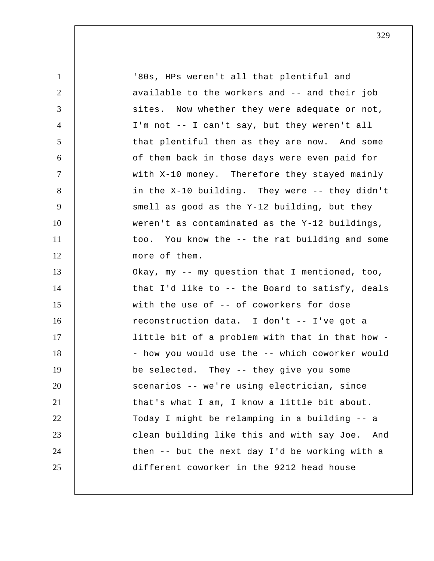| $\mathbf{1}$   | '80s, HPs weren't all that plentiful and          |
|----------------|---------------------------------------------------|
| $\overline{2}$ | available to the workers and -- and their job     |
| 3              | sites. Now whether they were adequate or not,     |
| $\overline{4}$ | I'm not -- I can't say, but they weren't all      |
| 5              | that plentiful then as they are now. And some     |
| 6              | of them back in those days were even paid for     |
| $\tau$         | with X-10 money. Therefore they stayed mainly     |
| 8              | in the X-10 building. They were -- they didn't    |
| 9              | smell as good as the Y-12 building, but they      |
| 10             | weren't as contaminated as the Y-12 buildings,    |
| 11             | too. You know the -- the rat building and some    |
| 12             | more of them.                                     |
| 13             | Okay, my -- my question that I mentioned, too,    |
| 14             | that I'd like to -- the Board to satisfy, deals   |
| 15             | with the use of -- of coworkers for dose          |
| 16             | reconstruction data. I don't -- I've got a        |
| 17             | little bit of a problem with that in that how -   |
| 18             | - how you would use the -- which coworker would   |
| 19             | be selected. They -- they give you some           |
| 20             | scenarios -- we're using electrician, since       |
| 21             | that's what I am, I know a little bit about.      |
| 22             | Today I might be relamping in a building -- a     |
| 23             | clean building like this and with say Joe.<br>And |
| 24             | then -- but the next day I'd be working with a    |
| 25             | different coworker in the 9212 head house         |
|                |                                                   |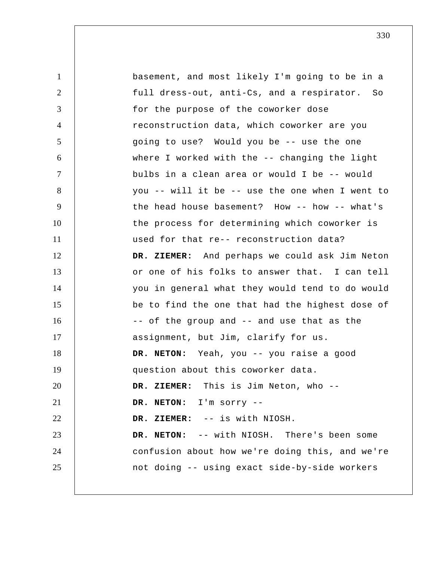1 2 3 4 5 6 7 8 9 10 11 12 13 14 15 16 17 18 19 20 21 22 23 24 25 basement, and most likely I'm going to be in a full dress-out, anti-Cs, and a respirator. So for the purpose of the coworker dose reconstruction data, which coworker are you going to use? Would you be -- use the one where I worked with the -- changing the light bulbs in a clean area or would I be -- would you -- will it be -- use the one when I went to the head house basement? How -- how -- what's the process for determining which coworker is used for that re-- reconstruction data?  **DR. ZIEMER:** And perhaps we could ask Jim Neton or one of his folks to answer that. I can tell you in general what they would tend to do would be to find the one that had the highest dose of -- of the group and -- and use that as the assignment, but Jim, clarify for us. **DR. NETON:** Yeah, you -- you raise a good question about this coworker data.  **DR. ZIEMER:** This is Jim Neton, who -- **DR. NETON:** I'm sorry --  **DR. ZIEMER:** -- is with NIOSH. **DR. NETON:** -- with NIOSH. There's been some confusion about how we're doing this, and we're not doing -- using exact side-by-side workers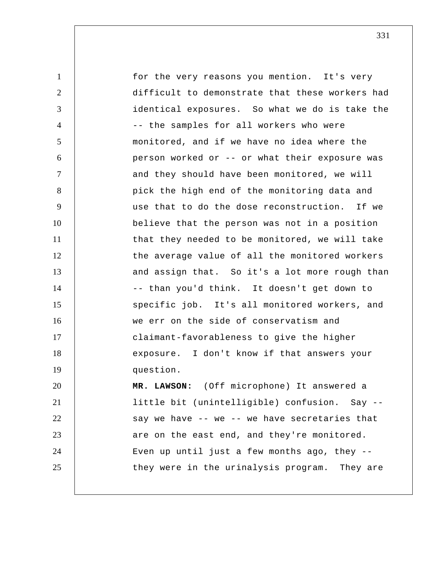1 2 3 4 5 6 7 8 9 10 11 12 13 14 15 16 17 18 19 20 21 22 23 24 25 for the very reasons you mention. It's very difficult to demonstrate that these workers had identical exposures. So what we do is take the -- the samples for all workers who were monitored, and if we have no idea where the person worked or -- or what their exposure was and they should have been monitored, we will pick the high end of the monitoring data and use that to do the dose reconstruction. If we believe that the person was not in a position that they needed to be monitored, we will take the average value of all the monitored workers and assign that. So it's a lot more rough than -- than you'd think. It doesn't get down to specific job. It's all monitored workers, and we err on the side of conservatism and claimant-favorableness to give the higher exposure. I don't know if that answers your question.  **MR. LAWSON:** (Off microphone) It answered a little bit (unintelligible) confusion. Say - say we have -- we -- we have secretaries that are on the east end, and they're monitored. Even up until just a few months ago, they - they were in the urinalysis program. They are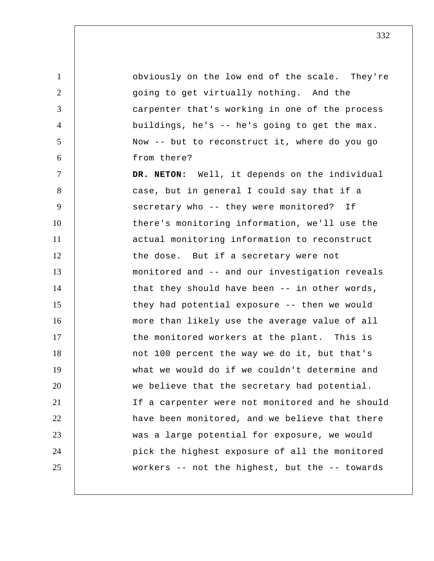1 2 3 4 5 6 7 8 9 10 11 12 13 14 15 16 17 18 19 20 21 22 23 24 25 obviously on the low end of the scale. They're going to get virtually nothing. And the carpenter that's working in one of the process buildings, he's -- he's going to get the max. Now -- but to reconstruct it, where do you go from there? **DR. NETON:** Well, it depends on the individual case, but in general I could say that if a secretary who -- they were monitored? If there's monitoring information, we'll use the actual monitoring information to reconstruct the dose. But if a secretary were not monitored and -- and our investigation reveals that they should have been -- in other words, they had potential exposure -- then we would more than likely use the average value of all the monitored workers at the plant. This is not 100 percent the way we do it, but that's what we would do if we couldn't determine and we believe that the secretary had potential. If a carpenter were not monitored and he should have been monitored, and we believe that there was a large potential for exposure, we would pick the highest exposure of all the monitored workers -- not the highest, but the -- towards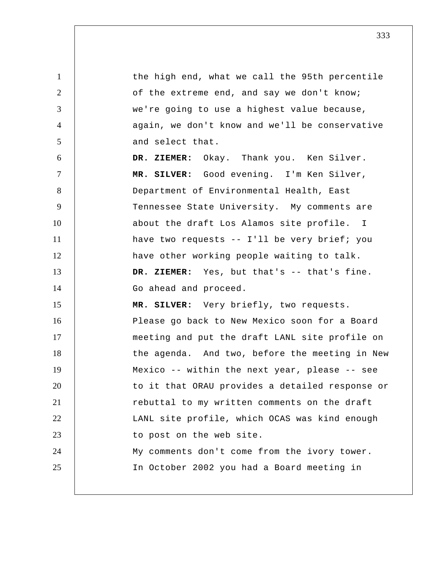1 2 3 4 5 6 7 8 9 10 11 12 13 14 15 16 17 18 19 20 21 22 23 24 25 the high end, what we call the 95th percentile of the extreme end, and say we don't know; we're going to use a highest value because, again, we don't know and we'll be conservative and select that.  **DR. ZIEMER:** Okay. Thank you. Ken Silver.  **MR. SILVER:** Good evening. I'm Ken Silver, Department of Environmental Health, East Tennessee State University. My comments are about the draft Los Alamos site profile. I have two requests -- I'll be very brief; you have other working people waiting to talk.  **DR. ZIEMER:** Yes, but that's -- that's fine. Go ahead and proceed.  **MR. SILVER:** Very briefly, two requests. Please go back to New Mexico soon for a Board meeting and put the draft LANL site profile on the agenda. And two, before the meeting in New Mexico -- within the next year, please -- see to it that ORAU provides a detailed response or rebuttal to my written comments on the draft LANL site profile, which OCAS was kind enough to post on the web site. My comments don't come from the ivory tower. In October 2002 you had a Board meeting in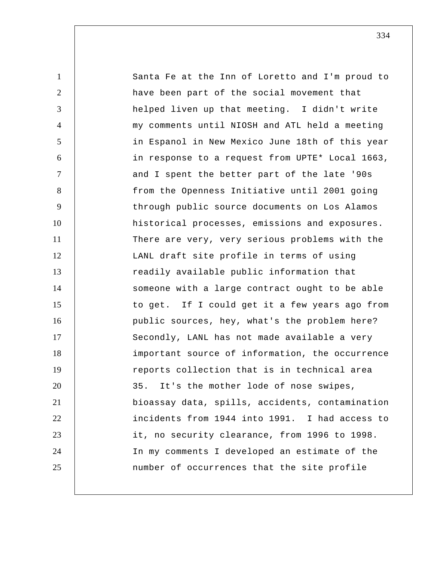1 2 3 4 5 6 7 8 9 10 11 12 13 14 15 16 17 18 19 20 21 22 23 24 25 Santa Fe at the Inn of Loretto and I'm proud to have been part of the social movement that helped liven up that meeting. I didn't write my comments until NIOSH and ATL held a meeting in Espanol in New Mexico June 18th of this year in response to a request from UPTE\* Local 1663, and I spent the better part of the late '90s from the Openness Initiative until 2001 going through public source documents on Los Alamos historical processes, emissions and exposures. There are very, very serious problems with the LANL draft site profile in terms of using readily available public information that someone with a large contract ought to be able to get. If I could get it a few years ago from public sources, hey, what's the problem here? Secondly, LANL has not made available a very important source of information, the occurrence reports collection that is in technical area 35. It's the mother lode of nose swipes, bioassay data, spills, accidents, contamination incidents from 1944 into 1991. I had access to it, no security clearance, from 1996 to 1998. In my comments I developed an estimate of the number of occurrences that the site profile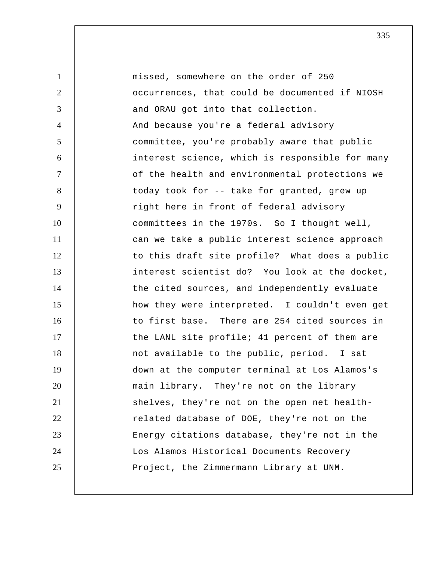1 2 3 4 5 6 7 8 9 10 11 12 13 14 15 16 17 18 19 20 21 22 23 24 25 missed, somewhere on the order of 250 occurrences, that could be documented if NIOSH and ORAU got into that collection. And because you're a federal advisory committee, you're probably aware that public interest science, which is responsible for many of the health and environmental protections we today took for -- take for granted, grew up right here in front of federal advisory committees in the 1970s. So I thought well, can we take a public interest science approach to this draft site profile? What does a public interest scientist do? You look at the docket, the cited sources, and independently evaluate how they were interpreted. I couldn't even get to first base. There are 254 cited sources in the LANL site profile; 41 percent of them are not available to the public, period. I sat down at the computer terminal at Los Alamos's main library. They're not on the library shelves, they're not on the open net healthrelated database of DOE, they're not on the Energy citations database, they're not in the Los Alamos Historical Documents Recovery Project, the Zimmermann Library at UNM.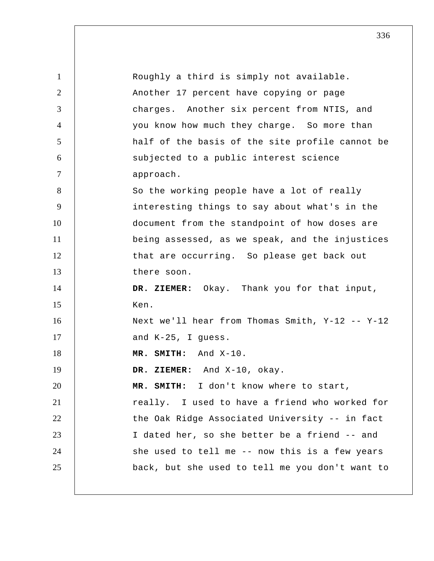| $\mathbf{1}$   | Roughly a third is simply not available.        |
|----------------|-------------------------------------------------|
| $\overline{2}$ | Another 17 percent have copying or page         |
| 3              | charges. Another six percent from NTIS, and     |
| $\overline{4}$ | you know how much they charge. So more than     |
| 5              | half of the basis of the site profile cannot be |
| 6              | subjected to a public interest science          |
| $\tau$         | approach.                                       |
| 8              | So the working people have a lot of really      |
| 9              | interesting things to say about what's in the   |
| 10             | document from the standpoint of how doses are   |
| 11             | being assessed, as we speak, and the injustices |
| 12             | that are occurring. So please get back out      |
| 13             | there soon.                                     |
| 14             | DR. ZIEMER: Okay. Thank you for that input,     |
| 15             | Ken.                                            |
| 16             | Next we'll hear from Thomas Smith, Y-12 -- Y-12 |
| 17             | and K-25, I guess.                              |
| 18             | MR. SMITH: And X-10.                            |
| 19             | DR. ZIEMER: And X-10, okay.                     |
| 20             | MR. SMITH: I don't know where to start,         |
| 21             | really. I used to have a friend who worked for  |
| 22             | the Oak Ridge Associated University -- in fact  |
| 23             | I dated her, so she better be a friend -- and   |
| 24             | she used to tell me -- now this is a few years  |
| 25             | back, but she used to tell me you don't want to |
|                |                                                 |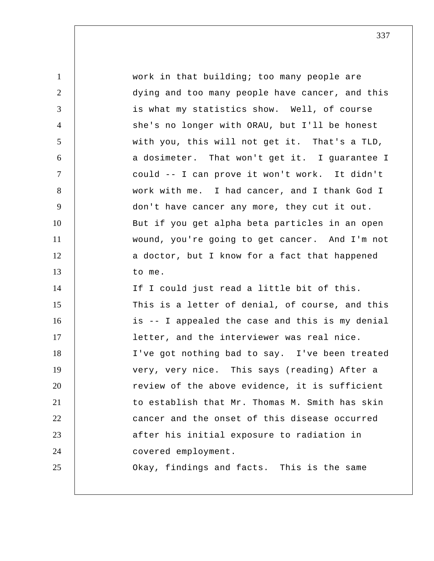1 2 3 4 5 6 7 8 9 10 11 12 13 14 15 16 17 18 19 20 21 22 23 24 25 work in that building; too many people are dying and too many people have cancer, and this is what my statistics show. Well, of course she's no longer with ORAU, but I'll be honest with you, this will not get it. That's a TLD, a dosimeter. That won't get it. I guarantee I could -- I can prove it won't work. It didn't work with me. I had cancer, and I thank God I don't have cancer any more, they cut it out. But if you get alpha beta particles in an open wound, you're going to get cancer. And I'm not a doctor, but I know for a fact that happened to me. If I could just read a little bit of this. This is a letter of denial, of course, and this is -- I appealed the case and this is my denial letter, and the interviewer was real nice. I've got nothing bad to say. I've been treated very, very nice. This says (reading) After a review of the above evidence, it is sufficient to establish that Mr. Thomas M. Smith has skin cancer and the onset of this disease occurred after his initial exposure to radiation in covered employment. Okay, findings and facts. This is the same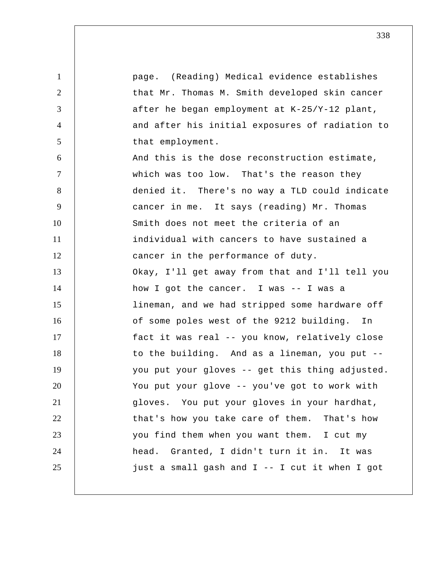1 2 3 4 5 6 7 8 9 10 11 12 13 14 15 16 17 18 19 20 21 22 23 24 25 page. (Reading) Medical evidence establishes that Mr. Thomas M. Smith developed skin cancer after he began employment at K-25/Y-12 plant, and after his initial exposures of radiation to that employment. And this is the dose reconstruction estimate, which was too low. That's the reason they denied it. There's no way a TLD could indicate cancer in me. It says (reading) Mr. Thomas Smith does not meet the criteria of an individual with cancers to have sustained a cancer in the performance of duty. Okay, I'll get away from that and I'll tell you how I got the cancer. I was -- I was a lineman, and we had stripped some hardware off of some poles west of the 9212 building. In fact it was real -- you know, relatively close to the building. And as a lineman, you put - you put your gloves -- get this thing adjusted. You put your glove -- you've got to work with gloves. You put your gloves in your hardhat, that's how you take care of them. That's how you find them when you want them. I cut my head. Granted, I didn't turn it in. It was just a small gash and I -- I cut it when I got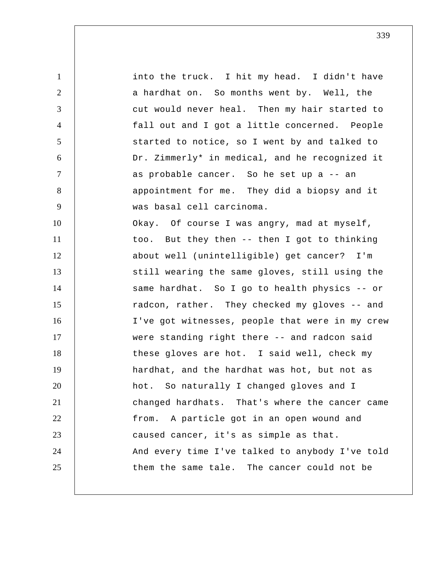1 2 3 4 5 6 7 8 9 10 11 12 13 14 15 16 17 18 19 20 21 22 23 24 25 into the truck. I hit my head. I didn't have a hardhat on. So months went by. Well, the cut would never heal. Then my hair started to fall out and I got a little concerned. People started to notice, so I went by and talked to Dr. Zimmerly\* in medical, and he recognized it as probable cancer. So he set up a -- an appointment for me. They did a biopsy and it was basal cell carcinoma. Okay. Of course I was angry, mad at myself, too. But they then -- then I got to thinking about well (unintelligible) get cancer? I'm still wearing the same gloves, still using the same hardhat. So I go to health physics -- or radcon, rather. They checked my gloves -- and I've got witnesses, people that were in my crew were standing right there -- and radcon said these gloves are hot. I said well, check my hardhat, and the hardhat was hot, but not as hot. So naturally I changed gloves and I changed hardhats. That's where the cancer came from. A particle got in an open wound and caused cancer, it's as simple as that. And every time I've talked to anybody I've told them the same tale. The cancer could not be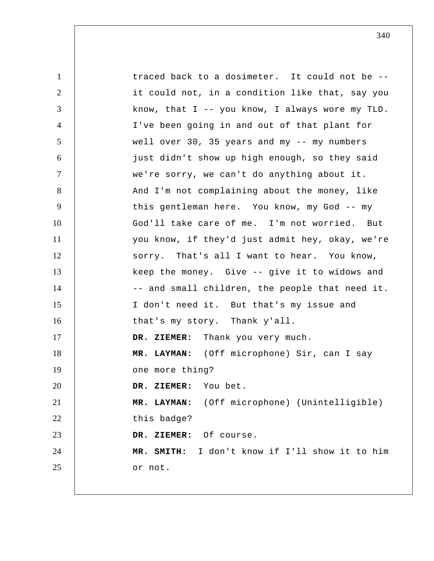1 2 3 4 5 6 7 8 9 10 11 12 13 14 15 16 17 18 19 20 21 22 23 24 25 traced back to a dosimeter. It could not be - it could not, in a condition like that, say you know, that I -- you know, I always wore my TLD. I've been going in and out of that plant for well over 30, 35 years and my -- my numbers just didn't show up high enough, so they said we're sorry, we can't do anything about it. And I'm not complaining about the money, like this gentleman here. You know, my God -- my God'll take care of me. I'm not worried. But you know, if they'd just admit hey, okay, we're sorry. That's all I want to hear. You know, keep the money. Give -- give it to widows and -- and small children, the people that need it. I don't need it. But that's my issue and that's my story. Thank y'all.  **DR. ZIEMER:** Thank you very much.  **MR. LAYMAN:** (Off microphone) Sir, can I say one more thing?  **DR. ZIEMER:** You bet.  **MR. LAYMAN:** (Off microphone) (Unintelligible) this badge?  **DR. ZIEMER:** Of course. **MR. SMITH:** I don't know if I'll show it to him or not.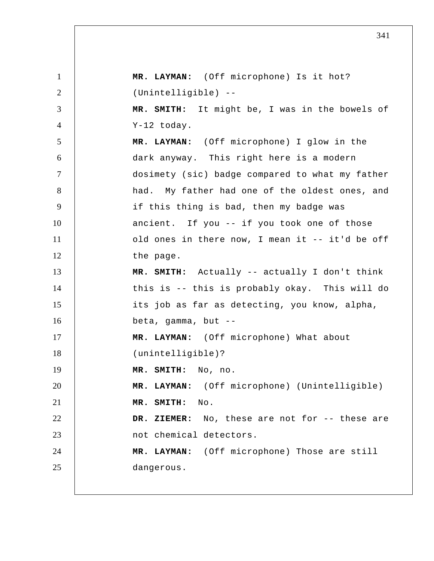1 2 3 4 5 6 7 8 9 10 11 12 13 14 15 16 17 18 19 20 21 22 23 24 25  **MR. LAYMAN:** (Off microphone) Is it hot? (Unintelligible) -- **MR. SMITH:** It might be, I was in the bowels of Y-12 today.  **MR. LAYMAN:** (Off microphone) I glow in the dark anyway. This right here is a modern dosimety (sic) badge compared to what my father had. My father had one of the oldest ones, and if this thing is bad, then my badge was ancient. If you -- if you took one of those old ones in there now, I mean it -- it'd be off the page. **MR. SMITH:** Actually -- actually I don't think this is -- this is probably okay. This will do its job as far as detecting, you know, alpha, beta, gamma, but --  **MR. LAYMAN:** (Off microphone) What about (unintelligible)? **MR. SMITH:** No, no.  **MR. LAYMAN:** (Off microphone) (Unintelligible) **MR. SMITH:** No.  **DR. ZIEMER:** No, these are not for -- these are not chemical detectors.  **MR. LAYMAN:** (Off microphone) Those are still dangerous.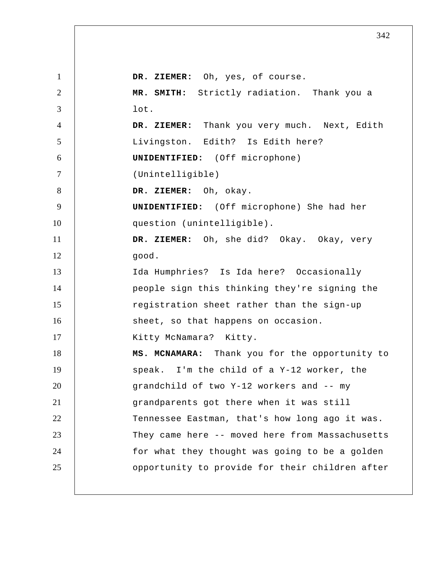1 2 3 4 5 6 7 8 9 10 11 12 13 14 15 16 17 18 19 20 21 22 23 24 25  **DR. ZIEMER:** Oh, yes, of course. **MR. SMITH:** Strictly radiation. Thank you a lot.  **DR. ZIEMER:** Thank you very much. Next, Edith Livingston. Edith? Is Edith here? **UNIDENTIFIED:** (Off microphone) (Unintelligible)  **DR. ZIEMER:** Oh, okay. **UNIDENTIFIED:** (Off microphone) She had her question (unintelligible).  **DR. ZIEMER:** Oh, she did? Okay. Okay, very good. Ida Humphries? Is Ida here? Occasionally people sign this thinking they're signing the registration sheet rather than the sign-up sheet, so that happens on occasion. Kitty McNamara? Kitty. **MS. MCNAMARA:** Thank you for the opportunity to speak. I'm the child of a Y-12 worker, the grandchild of two Y-12 workers and -- my grandparents got there when it was still Tennessee Eastman, that's how long ago it was. They came here -- moved here from Massachusetts for what they thought was going to be a golden opportunity to provide for their children after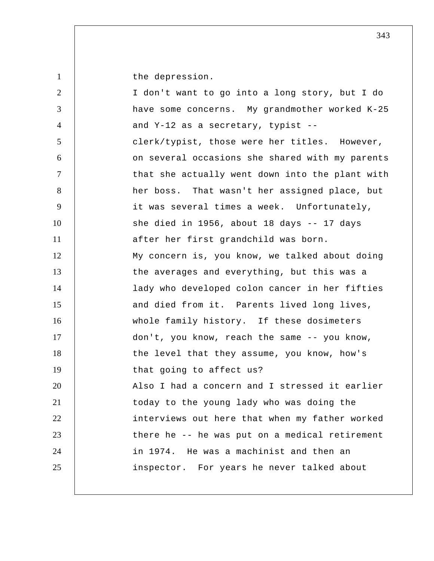1

the depression.

| $\overline{2}$ | I don't want to go into a long story, but I do  |
|----------------|-------------------------------------------------|
| 3              | have some concerns. My grandmother worked K-25  |
| $\overline{4}$ | and Y-12 as a secretary, typist --              |
| 5              | clerk/typist, those were her titles. However,   |
| 6              | on several occasions she shared with my parents |
| $\tau$         | that she actually went down into the plant with |
| $8\,$          | her boss. That wasn't her assigned place, but   |
| 9              | it was several times a week. Unfortunately,     |
| 10             | she died in 1956, about 18 days -- 17 days      |
| 11             | after her first grandchild was born.            |
| 12             | My concern is, you know, we talked about doing  |
| 13             | the averages and everything, but this was a     |
| 14             | lady who developed colon cancer in her fifties  |
| 15             | and died from it. Parents lived long lives,     |
| 16             | whole family history. If these dosimeters       |
| 17             | don't, you know, reach the same -- you know,    |
| 18             | the level that they assume, you know, how's     |
| 19             | that going to affect us?                        |
| 20             | Also I had a concern and I stressed it earlier  |
| 21             | today to the young lady who was doing the       |
| 22             | interviews out here that when my father worked  |
| 23             | there he -- he was put on a medical retirement  |
| 24             | in 1974. He was a machinist and then an         |
| 25             | inspector. For years he never talked about      |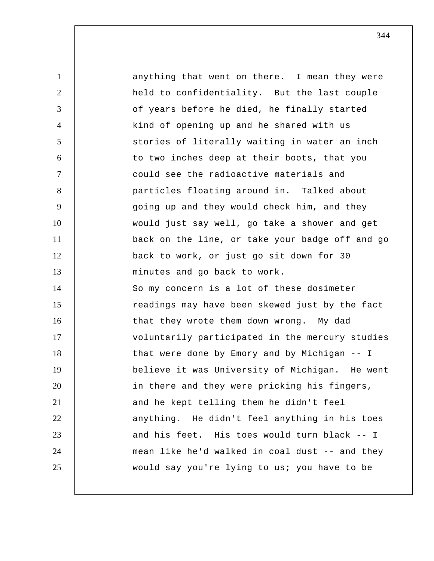1 2 3 4 5 6 7 8 9 10 11 12 13 14 15 16 17 18 19 20 21 22 23 24 25 anything that went on there. I mean they were held to confidentiality. But the last couple of years before he died, he finally started kind of opening up and he shared with us stories of literally waiting in water an inch to two inches deep at their boots, that you could see the radioactive materials and particles floating around in. Talked about going up and they would check him, and they would just say well, go take a shower and get back on the line, or take your badge off and go back to work, or just go sit down for 30 minutes and go back to work. So my concern is a lot of these dosimeter readings may have been skewed just by the fact that they wrote them down wrong. My dad voluntarily participated in the mercury studies that were done by Emory and by Michigan -- I believe it was University of Michigan. He went in there and they were pricking his fingers, and he kept telling them he didn't feel anything. He didn't feel anything in his toes and his feet. His toes would turn black -- I mean like he'd walked in coal dust -- and they would say you're lying to us; you have to be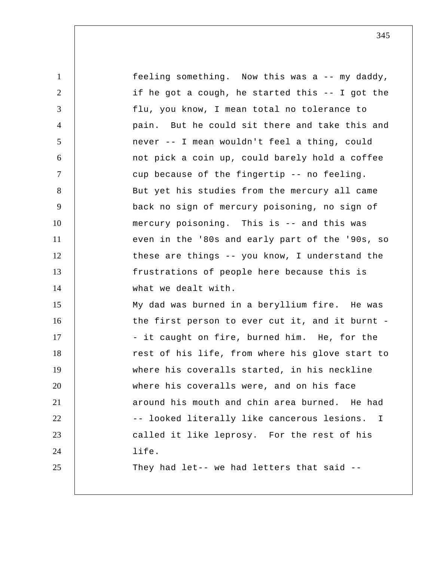1 2 3 4 5 6 7 8 9 10 11 12 13 14 15 16 17 18 19 20 21 22 23 24 25 feeling something. Now this was a -- my daddy, if he got a cough, he started this -- I got the flu, you know, I mean total no tolerance to pain. But he could sit there and take this and never -- I mean wouldn't feel a thing, could not pick a coin up, could barely hold a coffee cup because of the fingertip -- no feeling. But yet his studies from the mercury all came back no sign of mercury poisoning, no sign of mercury poisoning. This is -- and this was even in the '80s and early part of the '90s, so these are things -- you know, I understand the frustrations of people here because this is what we dealt with. My dad was burned in a beryllium fire. He was the first person to ever cut it, and it burnt - - it caught on fire, burned him. He, for the rest of his life, from where his glove start to where his coveralls started, in his neckline where his coveralls were, and on his face around his mouth and chin area burned. He had -- looked literally like cancerous lesions. I called it like leprosy. For the rest of his life. They had let-- we had letters that said --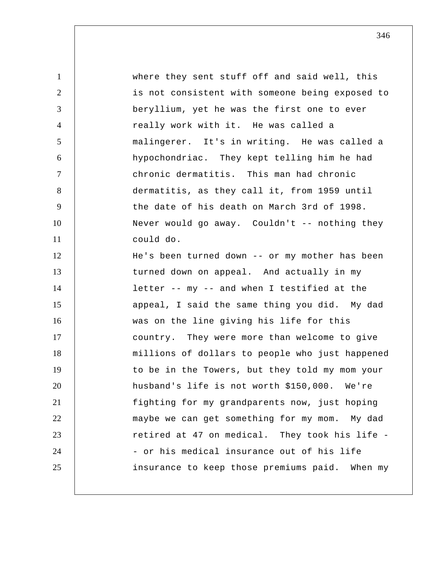1 2 3 4 5 6 7 8 9 10 11 12 13 14 15 16 17 18 19 20 21 22 23 24 25 where they sent stuff off and said well, this is not consistent with someone being exposed to beryllium, yet he was the first one to ever really work with it. He was called a malingerer. It's in writing. He was called a hypochondriac. They kept telling him he had chronic dermatitis. This man had chronic dermatitis, as they call it, from 1959 until the date of his death on March 3rd of 1998. Never would go away. Couldn't -- nothing they could do. He's been turned down -- or my mother has been turned down on appeal. And actually in my letter -- my -- and when I testified at the appeal, I said the same thing you did. My dad was on the line giving his life for this country. They were more than welcome to give millions of dollars to people who just happened to be in the Towers, but they told my mom your husband's life is not worth \$150,000. We're fighting for my grandparents now, just hoping maybe we can get something for my mom. My dad retired at 47 on medical. They took his life - - or his medical insurance out of his life insurance to keep those premiums paid. When my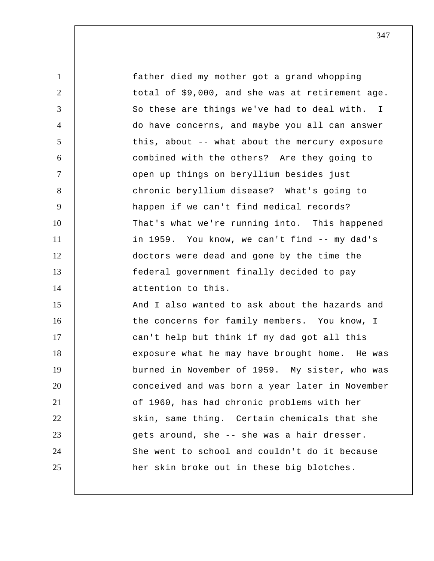1 2 3 4 5 6 7 8 9 10 11 12 13 14 15 16 17 18 19 20 21 22 23 24 25 So these are things we've had to deal with. I father died my mother got a grand whopping total of \$9,000, and she was at retirement age. do have concerns, and maybe you all can answer this, about -- what about the mercury exposure combined with the others? Are they going to open up things on beryllium besides just chronic beryllium disease? What's going to happen if we can't find medical records? That's what we're running into. This happened in 1959. You know, we can't find -- my dad's doctors were dead and gone by the time the federal government finally decided to pay attention to this. And I also wanted to ask about the hazards and the concerns for family members. You know, I can't help but think if my dad got all this exposure what he may have brought home. He was burned in November of 1959. My sister, who was conceived and was born a year later in November of 1960, has had chronic problems with her skin, same thing. Certain chemicals that she gets around, she -- she was a hair dresser. She went to school and couldn't do it because her skin broke out in these big blotches.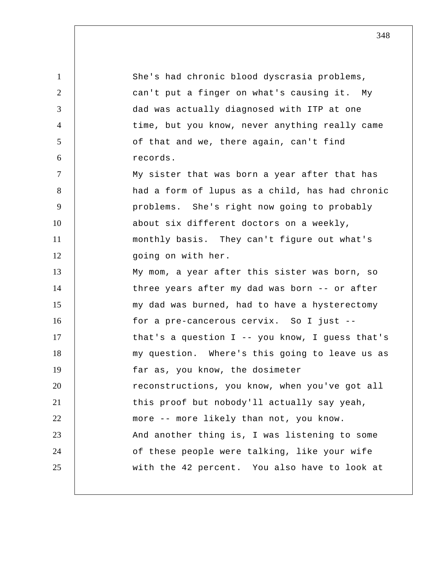1 2 3 4 5 6 7 8 9 10 11 12 13 14 15 16 17 18 19 20 21 22 23 24 25 She's had chronic blood dyscrasia problems, can't put a finger on what's causing it. My dad was actually diagnosed with ITP at one time, but you know, never anything really came of that and we, there again, can't find records. My sister that was born a year after that has had a form of lupus as a child, has had chronic problems. She's right now going to probably about six different doctors on a weekly, monthly basis. They can't figure out what's going on with her. My mom, a year after this sister was born, so three years after my dad was born -- or after my dad was burned, had to have a hysterectomy for a pre-cancerous cervix. So I just - that's a question I -- you know, I guess that's my question. Where's this going to leave us as far as, you know, the dosimeter reconstructions, you know, when you've got all this proof but nobody'll actually say yeah, more -- more likely than not, you know. And another thing is, I was listening to some of these people were talking, like your wife with the 42 percent. You also have to look at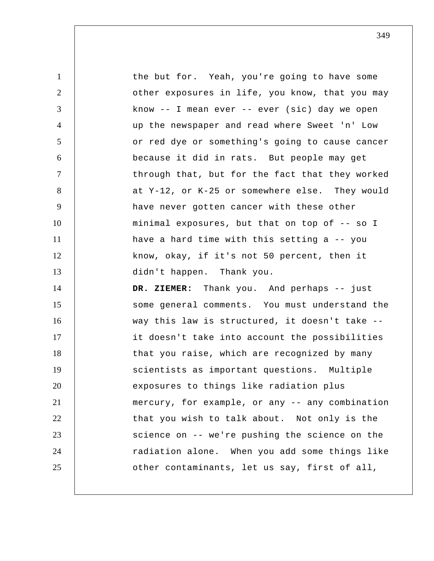1 2 3 4 5 6 7 8 9 10 11 12 13 14 15 16 17 18 19 20 21 22 23 24 25 the but for. Yeah, you're going to have some other exposures in life, you know, that you may know  $--$  I mean ever  $--$  ever (sic) day we open up the newspaper and read where Sweet 'n' Low or red dye or something's going to cause cancer because it did in rats. But people may get through that, but for the fact that they worked at Y-12, or K-25 or somewhere else. They would have never gotten cancer with these other minimal exposures, but that on top of -- so I have a hard time with this setting a -- you know, okay, if it's not 50 percent, then it didn't happen. Thank you.  **DR. ZIEMER:** Thank you. And perhaps -- just some general comments. You must understand the way this law is structured, it doesn't take - it doesn't take into account the possibilities that you raise, which are recognized by many scientists as important questions. Multiple exposures to things like radiation plus mercury, for example, or any -- any combination that you wish to talk about. Not only is the science on -- we're pushing the science on the radiation alone. When you add some things like other contaminants, let us say, first of all,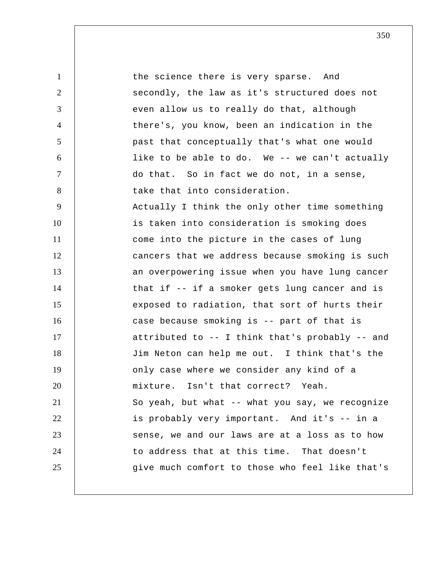1 2 3 4 5 6 7 8 9 10 11 12 13 14 15 16 17 18 19 20 21 22 23 24 25 the science there is very sparse. And secondly, the law as it's structured does not even allow us to really do that, although there's, you know, been an indication in the past that conceptually that's what one would like to be able to do. We -- we can't actually do that. So in fact we do not, in a sense, take that into consideration. Actually I think the only other time something is taken into consideration is smoking does come into the picture in the cases of lung cancers that we address because smoking is such an overpowering issue when you have lung cancer that if -- if a smoker gets lung cancer and is exposed to radiation, that sort of hurts their case because smoking is -- part of that is attributed to -- I think that's probably -- and Jim Neton can help me out. I think that's the only case where we consider any kind of a mixture. Isn't that correct? Yeah. So yeah, but what -- what you say, we recognize is probably very important. And it's -- in a sense, we and our laws are at a loss as to how to address that at this time. That doesn't give much comfort to those who feel like that's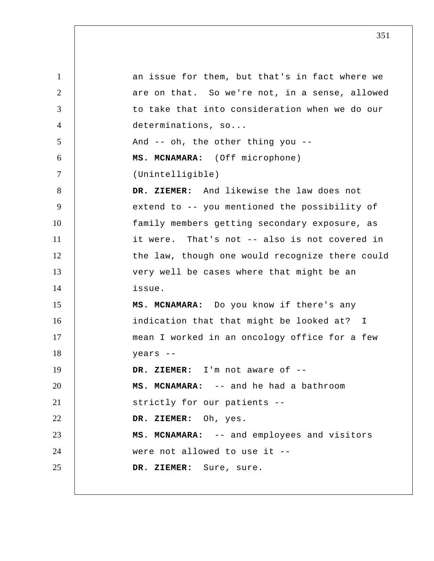1 2 3 4 5 6 7 8 9 10 11 12 13 14 15 16 17 18 19 20 21 22 23 24 25 an issue for them, but that's in fact where we are on that. So we're not, in a sense, allowed to take that into consideration when we do our determinations, so... And -- oh, the other thing you -- **MS. MCNAMARA:** (Off microphone) (Unintelligible)  **DR. ZIEMER:** And likewise the law does not extend to -- you mentioned the possibility of family members getting secondary exposure, as it were. That's not -- also is not covered in the law, though one would recognize there could very well be cases where that might be an issue. **MS. MCNAMARA:** Do you know if there's any indication that that might be looked at? I mean I worked in an oncology office for a few years --  **DR. ZIEMER:** I'm not aware of -- **MS. MCNAMARA:** -- and he had a bathroom strictly for our patients --  **DR. ZIEMER:** Oh, yes. **MS. MCNAMARA:** -- and employees and visitors were not allowed to use it --  **DR. ZIEMER:** Sure, sure.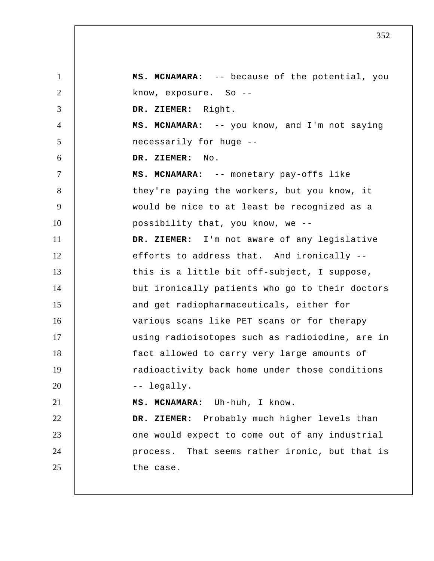1 2 3 4 5 6 7 8 9 10 11 12 13 14 15 16 17 18 19 20 21 22 23 24 25 **MS. MCNAMARA:** -- because of the potential, you know, exposure. So --  **DR. ZIEMER:** Right. **MS. MCNAMARA:** -- you know, and I'm not saying necessarily for huge --  **DR. ZIEMER:** No. **MS. MCNAMARA:** -- monetary pay-offs like they're paying the workers, but you know, it would be nice to at least be recognized as a possibility that, you know, we --  **DR. ZIEMER:** I'm not aware of any legislative efforts to address that. And ironically - this is a little bit off-subject, I suppose, but ironically patients who go to their doctors and get radiopharmaceuticals, either for various scans like PET scans or for therapy using radioisotopes such as radioiodine, are in fact allowed to carry very large amounts of radioactivity back home under those conditions -- legally. **MS. MCNAMARA:** Uh-huh, I know.  **DR. ZIEMER:** Probably much higher levels than one would expect to come out of any industrial process. That seems rather ironic, but that is the case.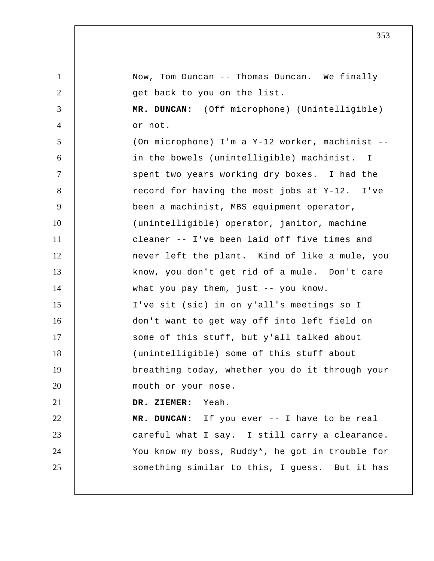1 2 3 4 5 6 7 8 9 10 11 12 13 14 15 16 17 18 19 20 21 22 23 24 25 Now, Tom Duncan -- Thomas Duncan. We finally get back to you on the list.  **MR. DUNCAN:** (Off microphone) (Unintelligible) or not. (On microphone) I'm a Y-12 worker, machinist - in the bowels (unintelligible) machinist. I spent two years working dry boxes. I had the record for having the most jobs at Y-12. I've been a machinist, MBS equipment operator, (unintelligible) operator, janitor, machine cleaner -- I've been laid off five times and never left the plant. Kind of like a mule, you know, you don't get rid of a mule. Don't care what you pay them, just -- you know. I've sit (sic) in on y'all's meetings so I don't want to get way off into left field on some of this stuff, but y'all talked about (unintelligible) some of this stuff about breathing today, whether you do it through your mouth or your nose.  **DR. ZIEMER:** Yeah.  **MR. DUNCAN:** If you ever -- I have to be real careful what I say. I still carry a clearance. You know my boss, Ruddy\*, he got in trouble for something similar to this, I guess. But it has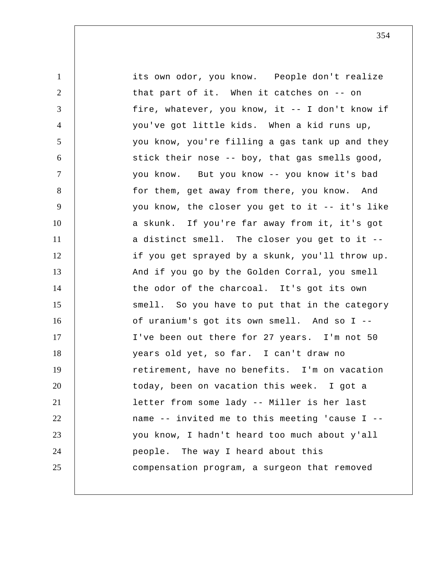1 2 3 4 5 6 7 8 9 10 11 12 13 14 15 16 17 18 19 20 21 22 23 24 25 its own odor, you know. People don't realize that part of it. When it catches on -- on fire, whatever, you know, it -- I don't know if you've got little kids. When a kid runs up, you know, you're filling a gas tank up and they stick their nose -- boy, that gas smells good, you know. But you know -- you know it's bad for them, get away from there, you know. And you know, the closer you get to it -- it's like a skunk. If you're far away from it, it's got a distinct smell. The closer you get to it - if you get sprayed by a skunk, you'll throw up. And if you go by the Golden Corral, you smell the odor of the charcoal. It's got its own smell. So you have to put that in the category of uranium's got its own smell. And so I -- I've been out there for 27 years. I'm not 50 years old yet, so far. I can't draw no retirement, have no benefits. I'm on vacation today, been on vacation this week. I got a letter from some lady -- Miller is her last name -- invited me to this meeting 'cause I - you know, I hadn't heard too much about y'all people. The way I heard about this compensation program, a surgeon that removed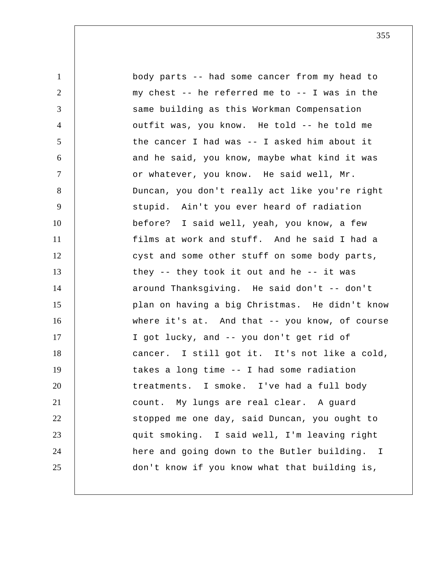1 2 3 4 5 6 7 8 9 10 11 12 13 14 15 16 17 18 19 20 21 22 23 24 25 body parts -- had some cancer from my head to my chest -- he referred me to -- I was in the same building as this Workman Compensation outfit was, you know. He told -- he told me the cancer I had was -- I asked him about it and he said, you know, maybe what kind it was or whatever, you know. He said well, Mr. Duncan, you don't really act like you're right stupid. Ain't you ever heard of radiation before? I said well, yeah, you know, a few films at work and stuff. And he said I had a cyst and some other stuff on some body parts, they  $-$ - they took it out and he  $-$ - it was around Thanksgiving. He said don't -- don't plan on having a big Christmas. He didn't know where it's at. And that -- you know, of course I got lucky, and -- you don't get rid of cancer. I still got it. It's not like a cold, takes a long time -- I had some radiation treatments. I smoke. I've had a full body count. My lungs are real clear. A guard stopped me one day, said Duncan, you ought to quit smoking. I said well, I'm leaving right here and going down to the Butler building. I don't know if you know what that building is,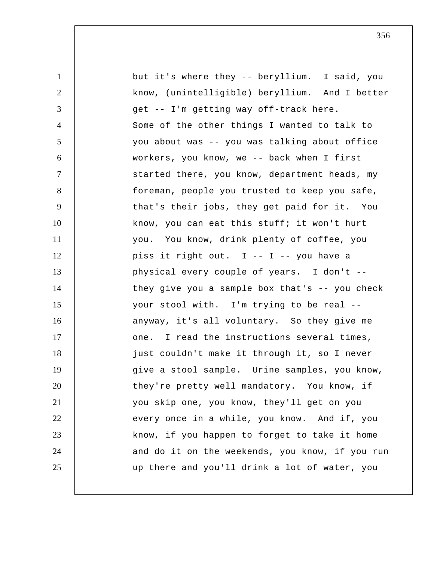1 2 3 4 5 6 7 8 9 10 11 12 13 14 15 16 17 18 19 20 21 22 23 24 25 but it's where they -- beryllium. I said, you know, (unintelligible) beryllium. And I better get -- I'm getting way off-track here. Some of the other things I wanted to talk to you about was -- you was talking about office workers, you know, we -- back when I first started there, you know, department heads, my foreman, people you trusted to keep you safe, that's their jobs, they get paid for it. You know, you can eat this stuff; it won't hurt you. You know, drink plenty of coffee, you piss it right out. I -- I -- you have a physical every couple of years. I don't - they give you a sample box that's -- you check your stool with. I'm trying to be real - anyway, it's all voluntary. So they give me one. I read the instructions several times, just couldn't make it through it, so I never give a stool sample. Urine samples, you know, they're pretty well mandatory. You know, if you skip one, you know, they'll get on you every once in a while, you know. And if, you know, if you happen to forget to take it home and do it on the weekends, you know, if you run up there and you'll drink a lot of water, you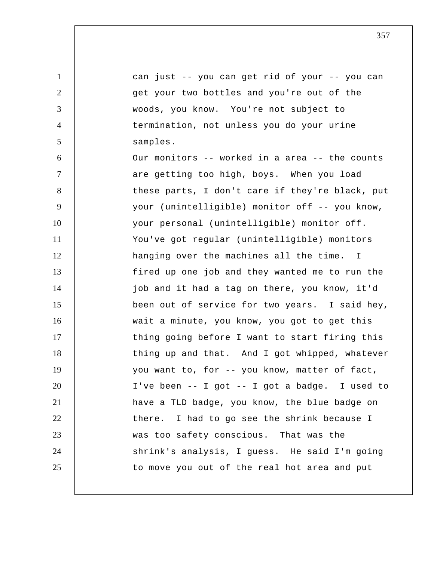1 2 3 4 5 6 7 8 9 10 11 12 13 14 15 16 17 18 19 20 21 22 23 24 25 can just -- you can get rid of your -- you can get your two bottles and you're out of the woods, you know. You're not subject to termination, not unless you do your urine samples. Our monitors -- worked in a area -- the counts are getting too high, boys. When you load these parts, I don't care if they're black, put your (unintelligible) monitor off -- you know, your personal (unintelligible) monitor off. You've got regular (unintelligible) monitors hanging over the machines all the time. I fired up one job and they wanted me to run the job and it had a tag on there, you know, it'd been out of service for two years. I said hey, wait a minute, you know, you got to get this thing going before I want to start firing this thing up and that. And I got whipped, whatever you want to, for -- you know, matter of fact, I've been -- I got -- I got a badge. I used to have a TLD badge, you know, the blue badge on there. I had to go see the shrink because I was too safety conscious. That was the shrink's analysis, I guess. He said I'm going to move you out of the real hot area and put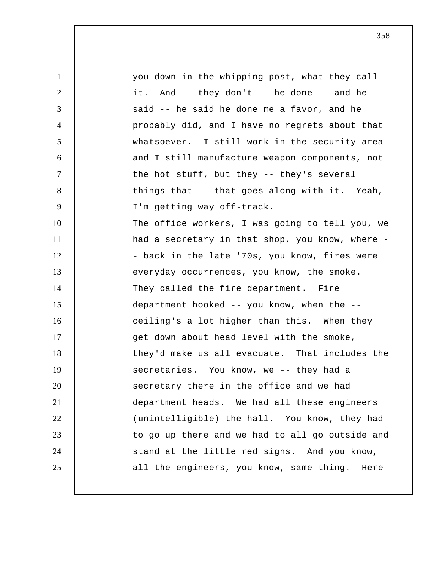1 2 3 4 5 6 7 8 9 10 11 12 13 14 15 16 17 18 19 20 21 22 23 24 25 you down in the whipping post, what they call it. And -- they don't -- he done -- and he said -- he said he done me a favor, and he probably did, and I have no regrets about that whatsoever. I still work in the security area and I still manufacture weapon components, not the hot stuff, but they -- they's several things that -- that goes along with it. Yeah, I'm getting way off-track. The office workers, I was going to tell you, we had a secretary in that shop, you know, where - - back in the late '70s, you know, fires were everyday occurrences, you know, the smoke. They called the fire department. Fire department hooked -- you know, when the - ceiling's a lot higher than this. When they get down about head level with the smoke, they'd make us all evacuate. That includes the secretaries. You know, we -- they had a secretary there in the office and we had department heads. We had all these engineers (unintelligible) the hall. You know, they had to go up there and we had to all go outside and stand at the little red signs. And you know, all the engineers, you know, same thing. Here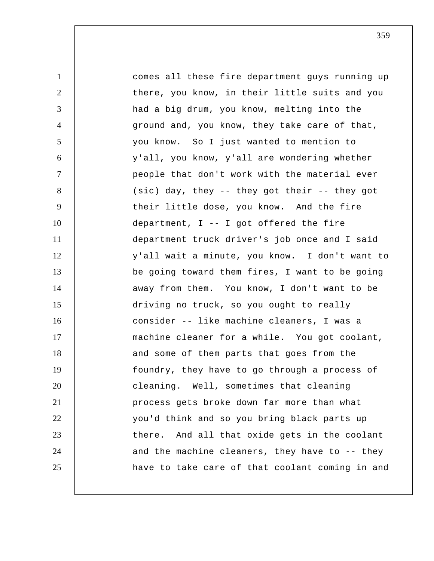| $\mathbf{1}$   | comes all these fire department guys running up  |
|----------------|--------------------------------------------------|
| $\overline{2}$ | there, you know, in their little suits and you   |
| 3              | had a big drum, you know, melting into the       |
| 4              | ground and, you know, they take care of that,    |
| 5              | you know. So I just wanted to mention to         |
| 6              | y'all, you know, y'all are wondering whether     |
| $\overline{7}$ | people that don't work with the material ever    |
| 8              | (sic) day, they -- they got their -- they got    |
| 9              | their little dose, you know. And the fire        |
| 10             | department, $I$ -- I got offered the fire        |
| 11             | department truck driver's job once and I said    |
| 12             | y'all wait a minute, you know. I don't want to   |
| 13             | be going toward them fires, I want to be going   |
| 14             | away from them. You know, I don't want to be     |
| 15             | driving no truck, so you ought to really         |
| 16             | consider -- like machine cleaners, I was a       |
| 17             | machine cleaner for a while. You got coolant,    |
| 18             | and some of them parts that goes from the        |
| 19             | foundry, they have to go through a process of    |
| 20             | cleaning. Well, sometimes that cleaning          |
| 21             | process gets broke down far more than what       |
| 22             | you'd think and so you bring black parts up      |
| 23             | And all that oxide gets in the coolant<br>there. |
| 24             | and the machine cleaners, they have to -- they   |
| 25             | have to take care of that coolant coming in and  |
|                |                                                  |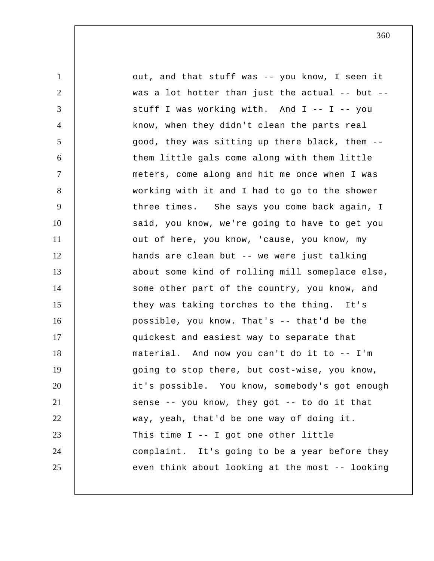1 2 3 4 5 6 7 8 9 10 11 12 13 14 15 16 17 18 19 20 21 22 23 24 25 out, and that stuff was -- you know, I seen it was a lot hotter than just the actual -- but - stuff I was working with. And I -- I -- you know, when they didn't clean the parts real good, they was sitting up there black, them - them little gals come along with them little meters, come along and hit me once when I was working with it and I had to go to the shower three times. She says you come back again, I said, you know, we're going to have to get you out of here, you know, 'cause, you know, my hands are clean but -- we were just talking about some kind of rolling mill someplace else, some other part of the country, you know, and they was taking torches to the thing. It's possible, you know. That's -- that'd be the quickest and easiest way to separate that material. And now you can't do it to -- I'm going to stop there, but cost-wise, you know, it's possible. You know, somebody's got enough sense -- you know, they got -- to do it that way, yeah, that'd be one way of doing it. This time I -- I got one other little complaint. It's going to be a year before they even think about looking at the most -- looking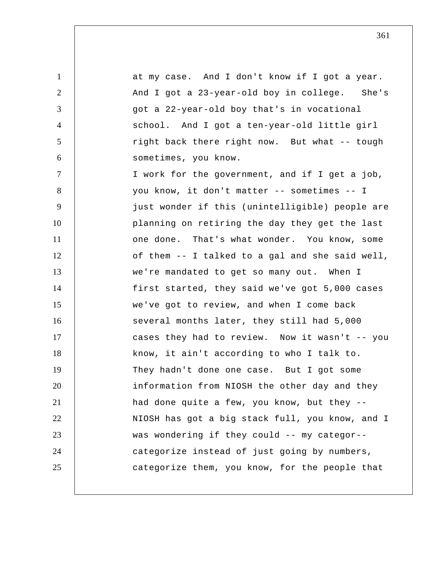1 2 3 4 5 6 7 8 9 10 11 12 13 14 15 16 17 18 19 20 21 22 23 24 25 at my case. And I don't know if I got a year. And I got a 23-year-old boy in college. She's got a 22-year-old boy that's in vocational school. And I got a ten-year-old little girl right back there right now. But what -- tough sometimes, you know. I work for the government, and if I get a job, you know, it don't matter -- sometimes -- I just wonder if this (unintelligible) people are planning on retiring the day they get the last one done. That's what wonder. You know, some of them -- I talked to a gal and she said well, we're mandated to get so many out. When I first started, they said we've got 5,000 cases we've got to review, and when I come back several months later, they still had 5,000 cases they had to review. Now it wasn't -- you know, it ain't according to who I talk to. They hadn't done one case. But I got some information from NIOSH the other day and they had done quite a few, you know, but they -- NIOSH has got a big stack full, you know, and I was wondering if they could -- my categor- categorize instead of just going by numbers, categorize them, you know, for the people that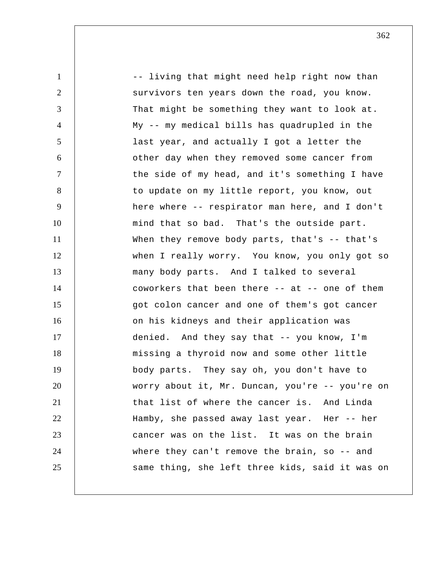1 2 3 4 5 6 7 8 9 10 11 12 13 14 15 16 17 18 19 20 21 22 23 24 25 -- living that might need help right now than survivors ten years down the road, you know. That might be something they want to look at. My -- my medical bills has quadrupled in the last year, and actually I got a letter the other day when they removed some cancer from the side of my head, and it's something I have to update on my little report, you know, out here where -- respirator man here, and I don't mind that so bad. That's the outside part. When they remove body parts, that's -- that's when I really worry. You know, you only got so many body parts. And I talked to several coworkers that been there -- at -- one of them got colon cancer and one of them's got cancer on his kidneys and their application was denied. And they say that -- you know, I'm missing a thyroid now and some other little body parts. They say oh, you don't have to worry about it, Mr. Duncan, you're -- you're on that list of where the cancer is. And Linda Hamby, she passed away last year. Her -- her cancer was on the list. It was on the brain where they can't remove the brain, so -- and same thing, she left three kids, said it was on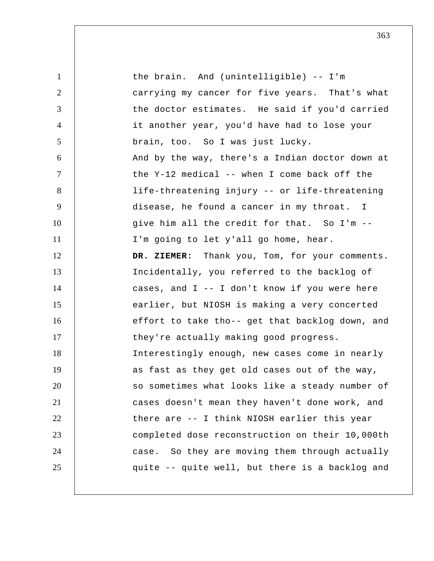1 2 3 4 5 6 7 8 9 10 11 12 13 14 15 16 17 18 19 20 21 22 23 24 25 the brain. And (unintelligible) -- I'm carrying my cancer for five years. That's what the doctor estimates. He said if you'd carried it another year, you'd have had to lose your brain, too. So I was just lucky. And by the way, there's a Indian doctor down at the Y-12 medical -- when I come back off the life-threatening injury -- or life-threatening disease, he found a cancer in my throat. I give him all the credit for that. So I'm -- I'm going to let y'all go home, hear.  **DR. ZIEMER:** Thank you, Tom, for your comments. Incidentally, you referred to the backlog of cases, and I -- I don't know if you were here earlier, but NIOSH is making a very concerted effort to take tho-- get that backlog down, and they're actually making good progress. Interestingly enough, new cases come in nearly as fast as they get old cases out of the way, so sometimes what looks like a steady number of cases doesn't mean they haven't done work, and there are -- I think NIOSH earlier this year completed dose reconstruction on their 10,000th case. So they are moving them through actually quite -- quite well, but there is a backlog and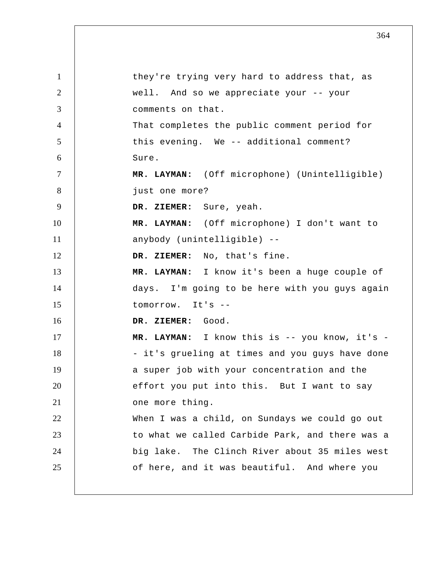1 2 3 4 5 6 7 8 9 10 11 12 13 14 15 16 17 18 19 20 21 22 23 24 25 they're trying very hard to address that, as well. And so we appreciate your -- your comments on that. That completes the public comment period for this evening. We -- additional comment? Sure.  **MR. LAYMAN:** (Off microphone) (Unintelligible) just one more?  **DR. ZIEMER:** Sure, yeah.  **MR. LAYMAN:** (Off microphone) I don't want to anybody (unintelligible) --  **DR. ZIEMER:** No, that's fine.  **MR. LAYMAN:** I know it's been a huge couple of days. I'm going to be here with you guys again tomorrow. It's --  **DR. ZIEMER:** Good.  **MR. LAYMAN:** I know this is -- you know, it's - - it's grueling at times and you guys have done a super job with your concentration and the effort you put into this. But I want to say one more thing. When I was a child, on Sundays we could go out to what we called Carbide Park, and there was a big lake. The Clinch River about 35 miles west of here, and it was beautiful. And where you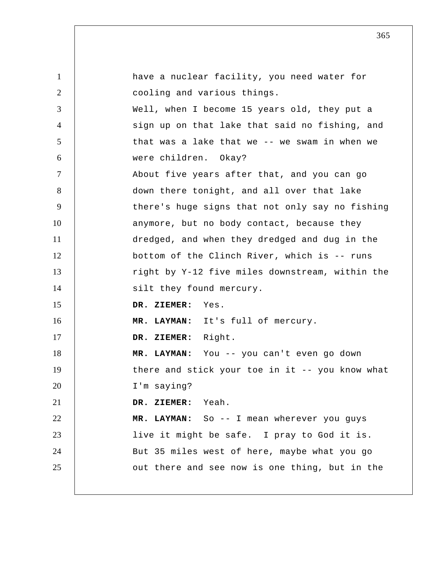1 2 3 4 5 6 7 8 9 10 11 12 13 14 15 16 17 18 19 20 21 22 23 24 25 have a nuclear facility, you need water for cooling and various things. Well, when I become 15 years old, they put a sign up on that lake that said no fishing, and that was a lake that we -- we swam in when we were children. Okay? About five years after that, and you can go down there tonight, and all over that lake there's huge signs that not only say no fishing anymore, but no body contact, because they dredged, and when they dredged and dug in the bottom of the Clinch River, which is -- runs right by Y-12 five miles downstream, within the silt they found mercury.  **DR. ZIEMER:** Yes.  **MR. LAYMAN:** It's full of mercury.  **DR. ZIEMER:** Right.  **MR. LAYMAN:** You -- you can't even go down there and stick your toe in it -- you know what I'm saying?  **DR. ZIEMER:** Yeah.  **MR. LAYMAN:** So -- I mean wherever you guys live it might be safe. I pray to God it is. But 35 miles west of here, maybe what you go out there and see now is one thing, but in the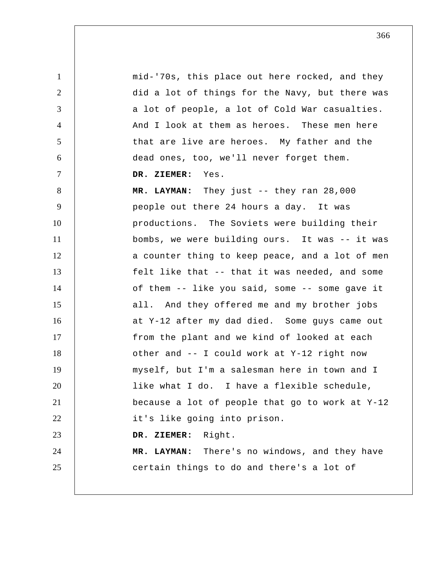1 2 3 4 5 6 7 8 9 10 11 12 13 14 15 16 17 18 19 20 21 22 23 24 25 mid-'70s, this place out here rocked, and they did a lot of things for the Navy, but there was a lot of people, a lot of Cold War casualties. And I look at them as heroes. These men here that are live are heroes. My father and the dead ones, too, we'll never forget them.  **DR. ZIEMER:** Yes.  **MR. LAYMAN:** They just -- they ran 28,000 people out there 24 hours a day. It was productions. The Soviets were building their bombs, we were building ours. It was -- it was a counter thing to keep peace, and a lot of men felt like that -- that it was needed, and some of them -- like you said, some -- some gave it all. And they offered me and my brother jobs at Y-12 after my dad died. Some guys came out from the plant and we kind of looked at each other and -- I could work at Y-12 right now myself, but I'm a salesman here in town and I like what I do. I have a flexible schedule, because a lot of people that go to work at Y-12 it's like going into prison.  **DR. ZIEMER:** Right.  **MR. LAYMAN:** There's no windows, and they have certain things to do and there's a lot of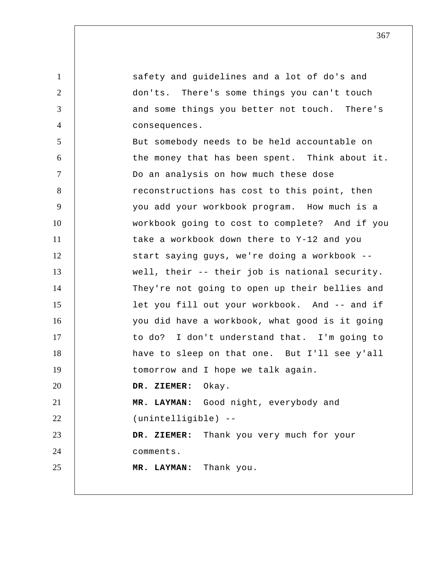1 2 3 4 5 6 7 8 9 10 11 12 13 14 15 16 17 18 19 20 21 22 23 24 25 safety and guidelines and a lot of do's and don'ts. There's some things you can't touch and some things you better not touch. There's consequences. But somebody needs to be held accountable on the money that has been spent. Think about it. Do an analysis on how much these dose reconstructions has cost to this point, then you add your workbook program. How much is a workbook going to cost to complete? And if you take a workbook down there to Y-12 and you start saying guys, we're doing a workbook - well, their -- their job is national security. They're not going to open up their bellies and let you fill out your workbook. And -- and if you did have a workbook, what good is it going to do? I don't understand that. I'm going to have to sleep on that one. But I'll see y'all tomorrow and I hope we talk again.  **DR. ZIEMER:** Okay.  **MR. LAYMAN:** Good night, everybody and (unintelligible) --  **DR. ZIEMER:** Thank you very much for your comments.  **MR. LAYMAN:** Thank you.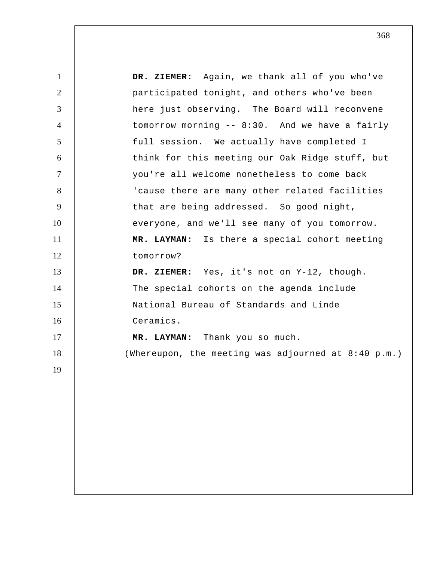1 2 3 4 5 6 7 8 9 10 11 12 13 14 15 16 17 18 19  **DR. ZIEMER:** Again, we thank all of you who've participated tonight, and others who've been here just observing. The Board will reconvene tomorrow morning -- 8:30. And we have a fairly full session. We actually have completed I think for this meeting our Oak Ridge stuff, but you're all welcome nonetheless to come back 'cause there are many other related facilities that are being addressed. So good night, everyone, and we'll see many of you tomorrow.  **MR. LAYMAN:** Is there a special cohort meeting tomorrow?  **DR. ZIEMER:** Yes, it's not on Y-12, though. The special cohorts on the agenda include National Bureau of Standards and Linde Ceramics.  **MR. LAYMAN:** Thank you so much. (Whereupon, the meeting was adjourned at 8:40 p.m.)